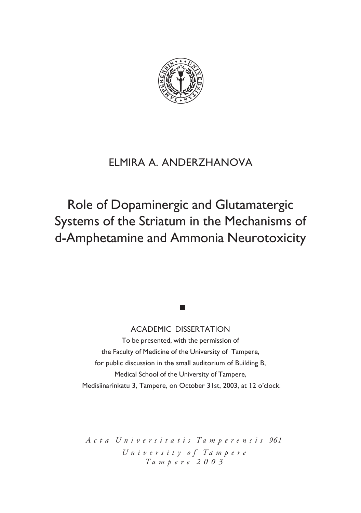

# ELMIRA A. ANDERZHANOVA

# Role of Dopaminergic and Glutamatergic Systems of the Striatum in the Mechanisms of d-Amphetamine and Ammonia Neurotoxicity

# ACADEMIC DISSERTATION

**The State** 

To be presented, with the permission of the Faculty of Medicine of the University of Tampere, for public discussion in the small auditorium of Building B, Medical School of the University of Tampere, Medisiinarinkatu 3, Tampere, on October 31st, 2003, at 12 o'clock.

*A c t a U n i v e r s i t a t i s T a m p e r e n s i s 961 U n i v e r s i t y o f T a m p e r e T a m p e r e 2 0 0 3*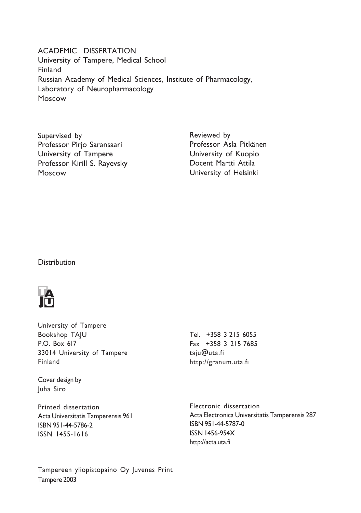ACADEMIC DISSERTATION University of Tampere, Medical School Finland Russian Academy of Medical Sciences, Institute of Pharmacology, Laboratory of Neuropharmacology Moscow

Supervised by Professor Pirjo Saransaari University of Tampere Professor Kirill S. Rayevsky Moscow

Reviewed by Professor Asla Pitkänen University of Kuopio Docent Martti Attila University of Helsinki

# **Distribution**



University of Tampere Bookshop TAJU P.O. Box 617 33014 University of Tampere Finland

Cover design by Juha Siro

Printed dissertation Acta Universitatis Tamperensis 961 ISBN 951-44-5786-2 ISSN 1455-1616

Tel. +358 3 215 6055 Fax +358 3 215 7685 taju@uta.fi http://granum.uta.fi

Electronic dissertation Acta Electronica Universitatis Tamperensis 287 ISBN 951-44-5787-0 ISSN 1456-954X http://acta.uta.fi

Tampereen yliopistopaino Oy Juvenes Print Tampere 2003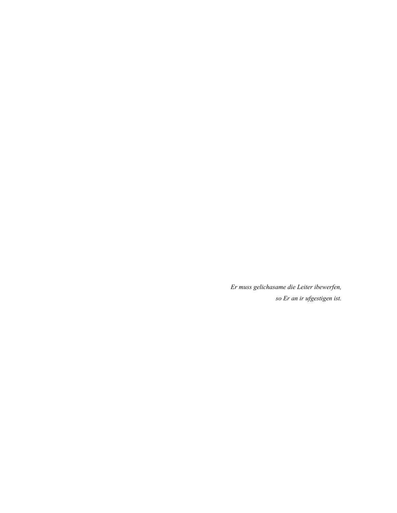*Er muss gelichasame die Leiter ibewerfen, so Er an ir ufgestigen ist.*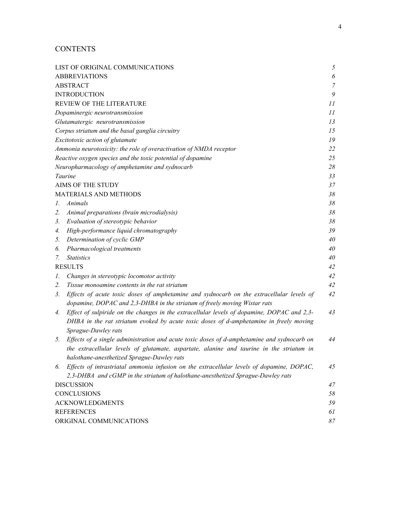# **CONTENTS**

|                                                                    | LIST OF ORIGINAL COMMUNICATIONS                                                                                                                                       | 5                     |  |
|--------------------------------------------------------------------|-----------------------------------------------------------------------------------------------------------------------------------------------------------------------|-----------------------|--|
| <b>ABBREVIATIONS</b>                                               |                                                                                                                                                                       | $\boldsymbol{\delta}$ |  |
| <b>ABSTRACT</b>                                                    |                                                                                                                                                                       | $\overline{7}$        |  |
| <b>INTRODUCTION</b>                                                |                                                                                                                                                                       | 9                     |  |
| REVIEW OF THE LITERATURE                                           |                                                                                                                                                                       | 11                    |  |
| Dopaminergic neurotransmission                                     |                                                                                                                                                                       | 11                    |  |
| Glutamatergic neurotransmission                                    |                                                                                                                                                                       | 13                    |  |
| Corpus striatum and the basal ganglia circuitry                    |                                                                                                                                                                       | 15                    |  |
| Excitotoxic action of glutamate                                    |                                                                                                                                                                       | 19                    |  |
| Ammonia neurotoxicity: the role of overactivation of NMDA receptor |                                                                                                                                                                       | 22                    |  |
| Reactive oxygen species and the toxic potential of dopamine        |                                                                                                                                                                       | 25                    |  |
| Neuropharmacology of amphetamine and sydnocarb                     |                                                                                                                                                                       | 28                    |  |
|                                                                    | Taurine                                                                                                                                                               | 33                    |  |
| AIMS OF THE STUDY                                                  |                                                                                                                                                                       | 37                    |  |
|                                                                    | MATERIALS AND METHODS                                                                                                                                                 | 38                    |  |
| Ι.                                                                 | Animals                                                                                                                                                               | 38                    |  |
| 2.                                                                 | Animal preparations (brain microdialysis)                                                                                                                             | 38                    |  |
| 3.                                                                 | Evaluation of stereotypic behavior                                                                                                                                    | 38                    |  |
| 4.                                                                 | High-performance liquid chromatography                                                                                                                                | 39                    |  |
| 5.                                                                 | Determination of cyclic GMP                                                                                                                                           | 40                    |  |
| 6.                                                                 | Pharmacological treatments                                                                                                                                            | 40                    |  |
| 7.                                                                 | <i>Statistics</i>                                                                                                                                                     | 40                    |  |
| <b>RESULTS</b>                                                     |                                                                                                                                                                       | 42                    |  |
| Ι.                                                                 | Changes in stereotypic locomotor activity                                                                                                                             | 42                    |  |
| 2.                                                                 | Tissue monoamine contents in the rat striatum                                                                                                                         | 42                    |  |
| 3.                                                                 | Effects of acute toxic doses of amphetamine and sydnocarb on the extracellular levels of<br>dopamine, DOPAC and 2,3-DHBA in the striatum of freely moving Wistar rats | 42                    |  |
| 4.                                                                 | Effect of sulpiride on the changes in the extracellular levels of dopamine, DOPAC and 2,3-                                                                            | 43                    |  |
|                                                                    | DHBA in the rat striatum evoked by acute toxic doses of d-amphetamine in freely moving                                                                                |                       |  |
|                                                                    | Sprague-Dawley rats                                                                                                                                                   |                       |  |
| 5.                                                                 | Effects of a single administration and acute toxic doses of d-amphetamine and sydnocarb on                                                                            | 44                    |  |
|                                                                    | the extracellular levels of glutamate, aspartate, alanine and taurine in the striatum in                                                                              |                       |  |
|                                                                    | halothane-anesthetized Sprague-Dawley rats                                                                                                                            |                       |  |
| 6.                                                                 | Effects of intrastriatal ammonia infusion on the extracellular levels of dopamine, DOPAC,                                                                             | 45                    |  |
|                                                                    | 2,3-DHBA and cGMP in the striatum of halothane-anesthetized Sprague-Dawley rats                                                                                       |                       |  |
|                                                                    | <b>DISCUSSION</b>                                                                                                                                                     |                       |  |
|                                                                    | <b>CONCLUSIONS</b>                                                                                                                                                    |                       |  |
|                                                                    | <b>ACKNOWLEDGMENTS</b>                                                                                                                                                |                       |  |
|                                                                    | <b>REFERENCES</b>                                                                                                                                                     |                       |  |
|                                                                    | ORIGINAL COMMUNICATIONS                                                                                                                                               |                       |  |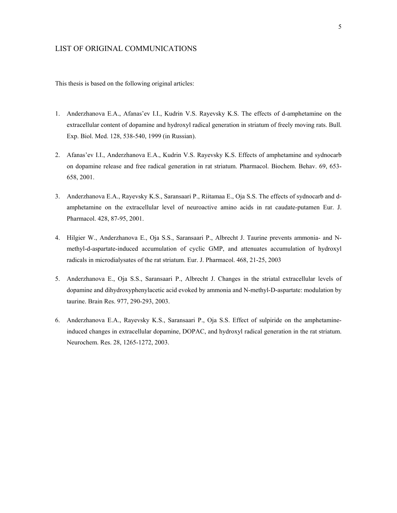# <span id="page-4-0"></span>LIST OF ORIGINAL COMMUNICATIONS

This thesis is based on the following original articles:

- 1. Anderzhanova E.A., Afanasíev I.I., Kudrin V.S. Rayevsky K.S. The effects of d-amphetamine on the extracellular content of dopamine and hydroxyl radical generation in striatum of freely moving rats. Bull. Exp. Biol. Med. 128, 538-540, 1999 (in Russian).
- 2. Afanasíev I.I., Anderzhanova E.A., Kudrin V.S. Rayevsky K.S. Effects of amphetamine and sydnocarb on dopamine release and free radical generation in rat striatum. Pharmacol. Biochem. Behav. 69, 653- 658, 2001.
- 3. Anderzhanova E.A., Rayevsky K.S., Saransaari P., Riitamaa E., Oja S.S. The effects of sydnocarb and damphetamine on the extracellular level of neuroactive amino acids in rat caudate-putamen Eur. J. Pharmacol. 428, 87-95, 2001.
- 4. Hilgier W., Anderzhanova E., Oja S.S., Saransaari P., Albrecht J. Taurine prevents ammonia- and Nmethyl-d-aspartate-induced accumulation of cyclic GMP, and attenuates accumulation of hydroxyl radicals in microdialysates of the rat striatum. Eur. J. Pharmacol. 468, 21-25, 2003
- 5. Anderzhanova E., Oja S.S., Saransaari P., Albrecht J. Changes in the striatal extracellular levels of dopamine and dihydroxyphenylacetic acid evoked by ammonia and N-methyl-D-aspartate: modulation by taurine. Brain Res. 977, 290-293, 2003.
- 6. Anderzhanova E.A., Rayevsky K.S., Saransaari P., Oja S.S. Effect of sulpiride on the amphetamineinduced changes in extracellular dopamine, DOPAC, and hydroxyl radical generation in the rat striatum. Neurochem. Res. 28, 1265-1272, 2003.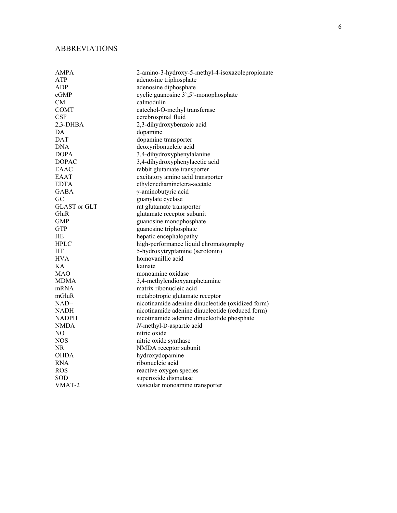# <span id="page-5-0"></span>ABBREVIATIONS

| <b>AMPA</b>  | 2-amino-3-hydroxy-5-methyl-4-isoxazolepropionate  |
|--------------|---------------------------------------------------|
| <b>ATP</b>   | adenosine triphosphate                            |
| <b>ADP</b>   | adenosine diphosphate                             |
| cGMP         | cyclic guanosine 3,5 - monophosphate              |
| CМ           | calmodulin                                        |
| <b>COMT</b>  | catechol-O-methyl transferase                     |
| CSF          | cerebrospinal fluid                               |
| 2,3-DHBA     | 2,3-dihydroxybenzoic acid                         |
| DA           | dopamine                                          |
| DAT          | dopamine transporter                              |
| DNA          | deoxyribonucleic acid                             |
| <b>DOPA</b>  | 3,4-dihydroxyphenylalanine                        |
| <b>DOPAC</b> | 3,4-dihydroxyphenylacetic acid                    |
| EAAC         | rabbit glutamate transporter                      |
| EAAT         | excitatory amino acid transporter                 |
| <b>EDTA</b>  | ethylenediaminetetra-acetate                      |
| GABA         | $\gamma$ -aminobutyric acid                       |
| GC           | guanylate cyclase                                 |
| GLAST or GLT | rat glutamate transporter                         |
| GluR         | glutamate receptor subunit                        |
| <b>GMP</b>   | guanosine monophosphate                           |
| <b>GTP</b>   | guanosine triphosphate                            |
| HE           | hepatic encephalopathy                            |
| <b>HPLC</b>  | high-performance liquid chromatography            |
| HT           | 5-hydroxytryptamine (serotonin)                   |
| <b>HVA</b>   | homovanillic acid                                 |
| K A          | kainate                                           |
| <b>MAO</b>   | monoamine oxidase                                 |
| MDMA         | 3,4-methylendioxyamphetamine                      |
| mRNA         | matrix ribonucleic acid                           |
| mGluR        | metabotropic glutamate receptor                   |
| $NAD+$       | nicotinamide adenine dinucleotide (oxidized form) |
| NADH         | nicotinamide adenine dinucleotide (reduced form)  |
| NADPH        | nicotinamide adenine dinucleotide phosphate       |
| NMDA         | N-methyl-D-aspartic acid                          |
| NO           | nitric oxide                                      |
| <b>NOS</b>   | nitric oxide synthase                             |
| NR.          | NMDA receptor subunit                             |
| OHDA         | hydroxydopamine                                   |
| <b>RNA</b>   | ribonucleic acid                                  |
| <b>ROS</b>   | reactive oxygen species                           |
| SOD          | superoxide dismutase                              |
| VMAT-2       | vesicular monoamine transporter                   |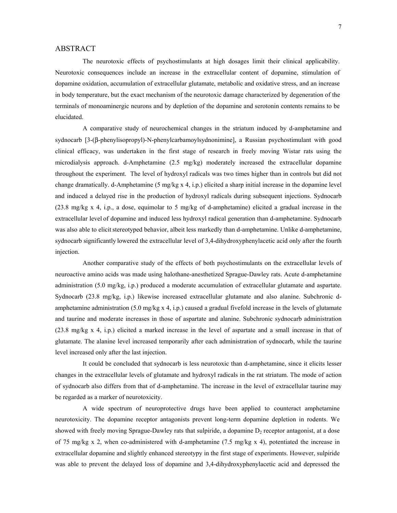## <span id="page-6-0"></span>ABSTRACT

The neurotoxic effects of psychostimulants at high dosages limit their clinical applicability. Neurotoxic consequences include an increase in the extracellular content of dopamine, stimulation of dopamine oxidation, accumulation of extracellular glutamate, metabolic and oxidative stress, and an increase in body temperature, but the exact mechanism of the neurotoxic damage characterized by degeneration of the terminals of monoaminergic neurons and by depletion of the dopamine and serotonin contents remains to be elucidated.

A comparative study of neurochemical changes in the striatum induced by d-amphetamine and sydnocarb [3-(β-phenylisopropyl)-N-phenylcarbamoylsydnonimine], a Russian psychostimulant with good clinical efficacy, was undertaken in the first stage of research in freely moving Wistar rats using the microdialysis approach. d-Amphetamine (2.5 mg/kg) moderately increased the extracellular dopamine throughout the experiment. The level of hydroxyl radicals was two times higher than in controls but did not change dramatically. d-Amphetamine (5 mg/kg x 4, i.p.) elicited a sharp initial increase in the dopamine level and induced a delayed rise in the production of hydroxyl radicals during subsequent injections. Sydnocarb  $(23.8 \text{ mg/kg x 4, i.p., a dose, equimolar to 5 mg/kg of d-ampletamine})$  elicited a gradual increase in the extracellular level of dopamine and induced less hydroxyl radical generation than d-amphetamine. Sydnocarb was also able to elicit stereotyped behavior, albeit less markedly than d-amphetamine. Unlike d-amphetamine, sydnocarb significantly lowered the extracellular level of 3,4-dihydroxyphenylacetic acid only after the fourth injection.

Another comparative study of the effects of both psychostimulants on the extracellular levels of neuroactive amino acids was made using halothane-anesthetized Sprague-Dawley rats. Acute d-amphetamine administration (5.0 mg/kg, i.p.) produced a moderate accumulation of extracellular glutamate and aspartate. Sydnocarb (23.8 mg/kg, i.p.) likewise increased extracellular glutamate and also alanine. Subchronic damphetamine administration (5.0 mg/kg x 4, i.p.) caused a gradual fivefold increase in the levels of glutamate and taurine and moderate increases in those of aspartate and alanine. Subchronic sydnocarb administration (23.8 mg/kg x 4, i.p.) elicited a marked increase in the level of aspartate and a small increase in that of glutamate. The alanine level increased temporarily after each administration of sydnocarb, while the taurine level increased only after the last injection.

It could be concluded that sydnocarb is less neurotoxic than d-amphetamine, since it elicits lesser changes in the extracellular levels of glutamate and hydroxyl radicals in the rat striatum. The mode of action of sydnocarb also differs from that of d-amphetamine. The increase in the level of extracellular taurine may be regarded as a marker of neurotoxicity.

A wide spectrum of neuroprotective drugs have been applied to counteract amphetamine neurotoxicity. The dopamine receptor antagonists prevent long-term dopamine depletion in rodents. We showed with freely moving Sprague-Dawley rats that sulpiride, a dopamine  $D_2$  receptor antagonist, at a dose of 75 mg/kg x 2, when co-administered with d-amphetamine (7.5 mg/kg x 4), potentiated the increase in extracellular dopamine and slightly enhanced stereotypy in the first stage of experiments. However, sulpiride was able to prevent the delayed loss of dopamine and 3,4-dihydroxyphenylacetic acid and depressed the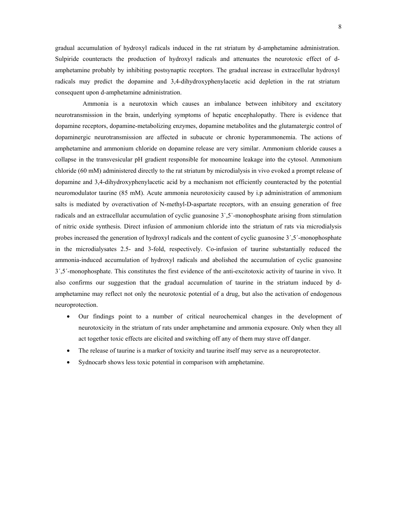gradual accumulation of hydroxyl radicals induced in the rat striatum by d-amphetamine administration. Sulpiride counteracts the production of hydroxyl radicals and attenuates the neurotoxic effect of damphetamine probably by inhibiting postsynaptic receptors. The gradual increase in extracellular hydroxyl radicals may predict the dopamine and 3,4-dihydroxyphenylacetic acid depletion in the rat striatum consequent upon d-amphetamine administration.

Ammonia is a neurotoxin which causes an imbalance between inhibitory and excitatory neurotransmission in the brain, underlying symptoms of hepatic encephalopathy. There is evidence that dopamine receptors, dopamine-metabolizing enzymes, dopamine metabolites and the glutamatergic control of dopaminergic neurotransmission are affected in subacute or chronic hyperammonemia. The actions of amphetamine and ammonium chloride on dopamine release are very similar. Ammonium chloride causes a collapse in the transvesicular pH gradient responsible for monoamine leakage into the cytosol. Ammonium chloride (60 mM) administered directly to the rat striatum by microdialysis in vivo evoked a prompt release of dopamine and 3,4-dihydroxyphenylacetic acid by a mechanism not efficiently counteracted by the potential neuromodulator taurine (85 mM). Acute ammonia neurotoxicity caused by i.p administration of ammonium salts is mediated by overactivation of N-methyl-D-aspartate receptors, with an ensuing generation of free radicals and an extracellular accumulation of cyclic guanosine 3`,5`-monophosphate arising from stimulation of nitric oxide synthesis. Direct infusion of ammonium chloride into the striatum of rats via microdialysis probes increased the generation of hydroxyl radicals and the content of cyclic guanosine 3′,5′-monophosphate in the microdialysates 2.5- and 3-fold, respectively. Co-infusion of taurine substantially reduced the ammonia-induced accumulation of hydroxyl radicals and abolished the accumulation of cyclic guanosine  $3^{\prime}$ ,5'-monophosphate. This constitutes the first evidence of the anti-excitotoxic activity of taurine in vivo. It also confirms our suggestion that the gradual accumulation of taurine in the striatum induced by damphetamine may reflect not only the neurotoxic potential of a drug, but also the activation of endogenous neuroprotection.

- Our findings point to a number of critical neurochemical changes in the development of neurotoxicity in the striatum of rats under amphetamine and ammonia exposure. Only when they all act together toxic effects are elicited and switching off any of them may stave off danger.
- The release of taurine is a marker of toxicity and taurine itself may serve as a neuroprotector.
- Sydnocarb shows less toxic potential in comparison with amphetamine.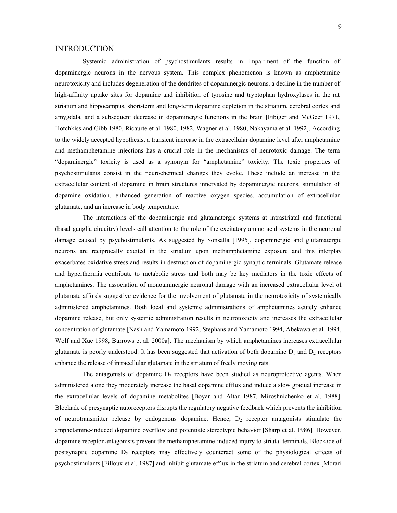### <span id="page-8-0"></span>INTRODUCTION

Systemic administration of psychostimulants results in impairment of the function of dopaminergic neurons in the nervous system. This complex phenomenon is known as amphetamine neurotoxicity and includes degeneration of the dendrites of dopaminergic neurons, a decline in the number of high-affinity uptake sites for dopamine and inhibition of tyrosine and tryptophan hydroxylases in the rat striatum and hippocampus, short-term and long-term dopamine depletion in the striatum, cerebral cortex and amygdala, and a subsequent decrease in dopaminergic functions in the brain [Fibiger and McGeer 1971, Hotchkiss and Gibb 1980, Ricaurte et al. 1980, 1982, Wagner et al. 1980, Nakayama et al. 1992]. According to the widely accepted hypothesis, a transient increase in the extracellular dopamine level after amphetamine and methamphetamine injections has a crucial role in the mechanisms of neurotoxic damage. The term "dopaminergic" toxicity is used as a synonym for "amphetamine" toxicity. The toxic properties of psychostimulants consist in the neurochemical changes they evoke. These include an increase in the extracellular content of dopamine in brain structures innervated by dopaminergic neurons, stimulation of dopamine oxidation, enhanced generation of reactive oxygen species, accumulation of extracellular glutamate, and an increase in body temperature.

The interactions of the dopaminergic and glutamatergic systems at intrastriatal and functional (basal ganglia circuitry) levels call attention to the role of the excitatory amino acid systems in the neuronal damage caused by psychostimulants. As suggested by Sonsalla [1995], dopaminergic and glutamatergic neurons are reciprocally excited in the striatum upon methamphetamine exposure and this interplay exacerbates oxidative stress and results in destruction of dopaminergic synaptic terminals. Glutamate release and hyperthermia contribute to metabolic stress and both may be key mediators in the toxic effects of amphetamines. The association of monoaminergic neuronal damage with an increased extracellular level of glutamate affords suggestive evidence for the involvement of glutamate in the neurotoxicity of systemically administered amphetamines. Both local and systemic administrations of amphetamines acutely enhance dopamine release, but only systemic administration results in neurotoxicity and increases the extracellular concentration of glutamate [Nash and Yamamoto 1992, Stephans and Yamamoto 1994, Abekawa et al. 1994, Wolf and Xue 1998, Burrows et al. 2000a]. The mechanism by which amphetamines increases extracellular glutamate is poorly understood. It has been suggested that activation of both dopamine  $D_1$  and  $D_2$  receptors enhance the release of intracellular glutamate in the striatum of freely moving rats.

The antagonists of dopamine  $D_2$  receptors have been studied as neuroprotective agents. When administered alone they moderately increase the basal dopamine efflux and induce a slow gradual increase in the extracellular levels of dopamine metabolites [Boyar and Altar 1987, Miroshnichenko et al. 1988]. Blockade of presynaptic autoreceptors disrupts the regulatory negative feedback which prevents the inhibition of neurotransmitter release by endogenous dopamine. Hence,  $D_2$  receptor antagonists stimulate the amphetamine-induced dopamine overflow and potentiate stereotypic behavior [Sharp et al. 1986]. However, dopamine receptor antagonists prevent the methamphetamine-induced injury to striatal terminals. Blockade of postsynaptic dopamine D<sub>2</sub> receptors may effectively counteract some of the physiological effects of psychostimulants [Filloux et al. 1987] and inhibit glutamate efflux in the striatum and cerebral cortex [Morari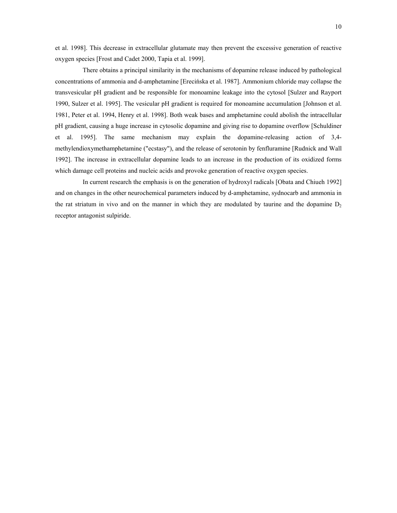et al. 1998]. This decrease in extracellular glutamate may then prevent the excessive generation of reactive oxygen species [Frost and Cadet 2000, Tapia et al. 1999].

There obtains a principal similarity in the mechanisms of dopamine release induced by pathological concentrations of ammonia and d-amphetamine [Erecińska et al. 1987]. Ammonium chloride may collapse the transvesicular pH gradient and be responsible for monoamine leakage into the cytosol [Sulzer and Rayport 1990, Sulzer et al. 1995]. The vesicular pH gradient is required for monoamine accumulation [Johnson et al. 1981, Peter et al. 1994, Henry et al. 1998]. Both weak bases and amphetamine could abolish the intracellular pH gradient, causing a huge increase in cytosolic dopamine and giving rise to dopamine overflow [Schuldiner et al. 1995]. The same mechanism may explain the dopamine-releasing action of 3,4 methylendioxymethamphetamine ("ecstasy"), and the release of serotonin by fenfluramine [Rudnick and Wall 1992]. The increase in extracellular dopamine leads to an increase in the production of its oxidized forms which damage cell proteins and nucleic acids and provoke generation of reactive oxygen species.

In current research the emphasis is on the generation of hydroxyl radicals [Obata and Chiueh 1992] and on changes in the other neurochemical parameters induced by d-amphetamine, sydnocarb and ammonia in the rat striatum in vivo and on the manner in which they are modulated by taurine and the dopamine  $D_2$ receptor antagonist sulpiride.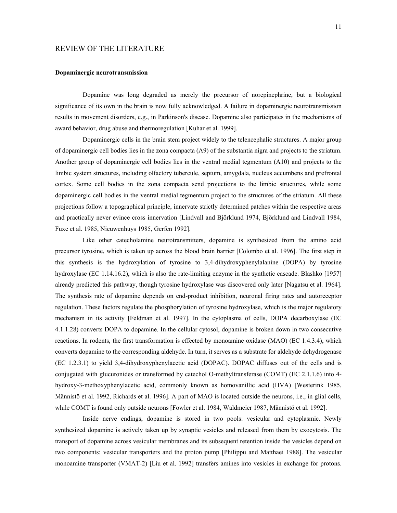# <span id="page-10-0"></span>REVIEW OF THE LITERATURE

#### **Dopaminergic neurotransmission**

Dopamine was long degraded as merely the precursor of norepinephrine, but a biological significance of its own in the brain is now fully acknowledged. A failure in dopaminergic neurotransmission results in movement disorders, e.g., in Parkinson's disease. Dopamine also participates in the mechanisms of award behavior, drug abuse and thermoregulation [Kuhar et al. 1999].

Dopaminergic cells in the brain stem project widely to the telencephalic structures. A major group of dopaminergic cell bodies lies in the zona compacta (A9) of the substantia nigra and projects to the striatum. Another group of dopaminergic cell bodies lies in the ventral medial tegmentum (A10) and projects to the limbic system structures, including olfactory tubercule, septum, amygdala, nucleus accumbens and prefrontal cortex. Some cell bodies in the zona compacta send projections to the limbic structures, while some dopaminergic cell bodies in the ventral medial tegmentum project to the structures of the striatum. All these projections follow a topographical principle, innervate strictly determined patches within the respective areas and practically never evince cross innervation [Lindvall and Björklund 1974, Björklund and Lindvall 1984, Fuxe et al. 1985, Nieuwenhuys 1985, Gerfen 1992].

Like other catecholamine neurotransmitters, dopamine is synthesized from the amino acid precursor tyrosine, which is taken up across the blood brain barrier [Colombo et al. 1996]. The first step in this synthesis is the hydroxylation of tyrosine to 3,4-dihydroxyphenylalanine (DOPA) by tyrosine hydroxylase (EC 1.14.16.2), which is also the rate-limiting enzyme in the synthetic cascade. Blashko [1957] already predicted this pathway, though tyrosine hydroxylase was discovered only later [Nagatsu et al. 1964]. The synthesis rate of dopamine depends on end-product inhibition, neuronal firing rates and autoreceptor regulation. These factors regulate the phosphorylation of tyrosine hydroxylase, which is the major regulatory mechanism in its activity [Feldman et al. 1997]. In the cytoplasma of cells, DOPA decarboxylase (EC 4.1.1.28) converts DOPA to dopamine. In the cellular cytosol, dopamine is broken down in two consecutive reactions. In rodents, the first transformation is effected by monoamine oxidase (MAO) (EC 1.4.3.4), which converts dopamine to the corresponding aldehyde. In turn, it serves as a substrate for aldehyde dehydrogenase (EC 1.2.3.1) to yield 3,4-dihydroxyphenylacetic acid (DOPAC). DOPAC diffuses out of the cells and is conjugated with glucuronides or transformed by catechol O-methyltransferase (COMT) (EC 2.1.1.6) into 4 hydroxy-3-methoxyphenylacetic acid, commonly known as homovanillic acid (HVA) [Westerink 1985, Männistö et al. 1992, Richards et al. 1996]. A part of MAO is located outside the neurons, i.e., in glial cells, while COMT is found only outside neurons [Fowler et al. 1984, Waldmeier 1987, Männistö et al. 1992].

Inside nerve endings, dopamine is stored in two pools: vesicular and cytoplasmic. Newly synthesized dopamine is actively taken up by synaptic vesicles and released from them by exocytosis. The transport of dopamine across vesicular membranes and its subsequent retention inside the vesicles depend on two components: vesicular transporters and the proton pump [Philippu and Matthaei 1988]. The vesicular monoamine transporter (VMAT-2) [Liu et al. 1992] transfers amines into vesicles in exchange for protons.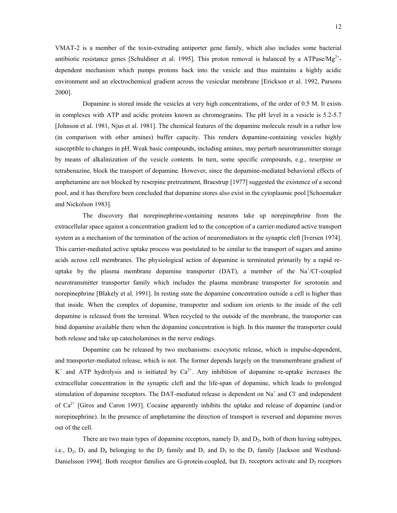VMAT-2 is a member of the toxin-extruding antiporter gene family, which also includes some bacterial antibiotic resistance genes [Schuldiner et al. 1995]. This proton removal is balanced by a ATPase/ $Mg^{2+}$ dependent mechanism which pumps protons back into the vesicle and thus maintains a highly acidic environment and an electrochemical gradient across the vesicular membrane [Erickson et al. 1992, Parsons 2000].

Dopamine is stored inside the vesicles at very high concentrations, of the order of 0.5 M. It exists in complexes with ATP and acidic proteins known as chromogranins. The pH level in a vesicle is 5.2-5.7 [Johnson et al. 1981, Njus et al. 1981]. The chemical features of the dopamine molecule result in a rather low (in comparison with other amines) buffer capacity. This renders dopamine-containing vesicles highly susceptible to changes in pH. Weak basic compounds, including amines, may perturb neurotransmitter storage by means of alkalinization of the vesicle contents. In turn, some specific compounds, e.g., reserpine or tetrabenazine, block the transport of dopamine. However, since the dopamine-mediated behavioral effects of amphetamine are not blocked by reserpine pretreatment, Braestrup [1977] suggested the existence of a second pool, and it has therefore been concluded that dopamine stores also exist in the cytoplasmic pool [Schoemaker and Nickolson 1983].

The discovery that norepinephrine-containing neurons take up norepinephrine from the extracellular space against a concentration gradient led to the conception of a carrier-mediated active transport system as a mechanism of the termination of the action of neuromediators in the synaptic cleft [Iversen 1974]. This carrier-mediated active uptake process was postulated to be similar to the transport of sugars and amino acids across cell membranes. The physiological action of dopamine is terminated primarily by a rapid reuptake by the plasma membrane dopamine transporter (DAT), a member of the  $Na^+ / Cl$ -coupled neurotransmitter transporter family which includes the plasma membrane transporter for serotonin and norepinephrine [Blakely et al. 1991]. In resting state the dopamine concentration outside a cell is higher than that inside. When the complex of dopamine, transporter and sodium ion orients to the inside of the cell dopamine is released from the terminal. When recycled to the outside of the membrane, the transporter can bind dopamine available there when the dopamine concentration is high. In this manner the transporter could both release and take up catecholamines in the nerve endings.

Dopamine can be released by two mechanisms: exocytotic release, which is impulse-dependent, and transporter-mediated release, which is not. The former depends largely on the transmembrane gradient of  $K^+$  and ATP hydrolysis and is initiated by  $Ca^{2+}$ . Any inhibition of dopamine re-uptake increases the extracellular concentration in the synaptic cleft and the life-span of dopamine, which leads to prolonged stimulation of dopamine receptors. The DAT-mediated release is dependent on  $Na<sup>+</sup>$  and Cl<sup>-</sup> and independent of  $Ca^{2+}$  [Giros and Caron 1993]. Cocaine apparently inhibits the uptake and release of dopamine (and/or norepinephrine). In the presence of amphetamine the direction of transport is reversed and dopamine moves out of the cell.

There are two main types of dopamine receptors, namely  $D_1$  and  $D_2$ , both of them having subtypes, i.e.,  $D_2$ ,  $D_3$  and  $D_4$  belonging to the  $D_2$  family and  $D_1$  and  $D_5$  to the  $D_1$  family [Jackson and Westlund-Danielsson 1994]. Both receptor families are G-protein-coupled, but  $D_1$  receptors activate and  $D_2$  receptors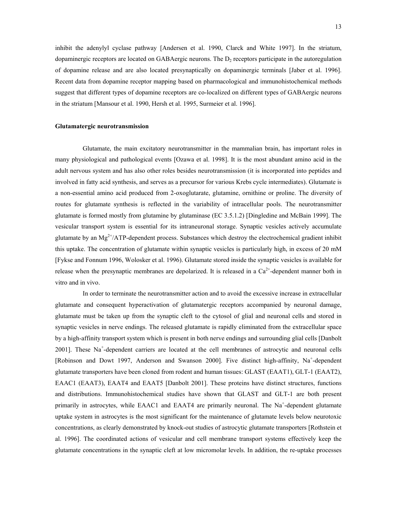<span id="page-12-0"></span>inhibit the adenylyl cyclase pathway [Andersen et al. 1990, Clarck and White 1997]. In the striatum, dopaminergic receptors are located on GABAergic neurons. The  $D_2$  receptors participate in the autoregulation of dopamine release and are also located presynaptically on dopaminergic terminals [Jaber et al. 1996]. Recent data from dopamine receptor mapping based on pharmacological and immunohistochemical methods suggest that different types of dopamine receptors are co-localized on different types of GABAergic neurons in the striatum [Mansour et al. 1990, Hersh et al. 1995, Surmeier et al. 1996].

#### **Glutamatergic neurotransmission**

Glutamate, the main excitatory neurotransmitter in the mammalian brain, has important roles in many physiological and pathological events [Ozawa et al. 1998]. It is the most abundant amino acid in the adult nervous system and has also other roles besides neurotransmission (it is incorporated into peptides and involved in fatty acid synthesis, and serves as a precursor for various Krebs cycle intermediates). Glutamate is a non-essential amino acid produced from 2-oxoglutarate, glutamine, ornithine or proline. The diversity of routes for glutamate synthesis is reflected in the variability of intracellular pools. The neurotransmitter glutamate is formed mostly from glutamine by glutaminase (EC 3.5.1.2) [Dingledine and McBain 1999]. The vesicular transport system is essential for its intraneuronal storage. Synaptic vesicles actively accumulate glutamate by an  $Mg^{2+}/ATP$ -dependent process. Substances which destroy the electrochemical gradient inhibit this uptake. The concentration of glutamate within synaptic vesicles is particularly high, in excess of 20 mM [Fykse and Fonnum 1996, Wolosker et al. 1996). Glutamate stored inside the synaptic vesicles is available for release when the presynaptic membranes are depolarized. It is released in a  $Ca<sup>2+</sup>$ -dependent manner both in vitro and in vivo.

In order to terminate the neurotransmitter action and to avoid the excessive increase in extracellular glutamate and consequent hyperactivation of glutamatergic receptors accompanied by neuronal damage, glutamate must be taken up from the synaptic cleft to the cytosol of glial and neuronal cells and stored in synaptic vesicles in nerve endings. The released glutamate is rapidly eliminated from the extracellular space by a high-affinity transport system which is present in both nerve endings and surrounding glial cells [Danbolt 2001]. These Na<sup>+</sup>-dependent carriers are located at the cell membranes of astrocytic and neuronal cells [Robinson and Dowt 1997, Anderson and Swanson 2000]. Five distinct high-affinity, Na<sup>+</sup>-dependent glutamate transporters have been cloned from rodent and human tissues: GLAST (EAAT1), GLT-1 (EAAT2), EAAC1 (EAAT3), EAAT4 and EAAT5 [Danbolt 2001]. These proteins have distinct structures, functions and distributions. Immunohistochemical studies have shown that GLAST and GLT-1 are both present primarily in astrocytes, while EAAC1 and EAAT4 are primarily neuronal. The Na<sup>+</sup>-dependent glutamate uptake system in astrocytes is the most significant for the maintenance of glutamate levels below neurotoxic concentrations, as clearly demonstrated by knock-out studies of astrocytic glutamate transporters [Rothstein et al. 1996]. The coordinated actions of vesicular and cell membrane transport systems effectively keep the glutamate concentrations in the synaptic cleft at low micromolar levels. In addition, the re-uptake processes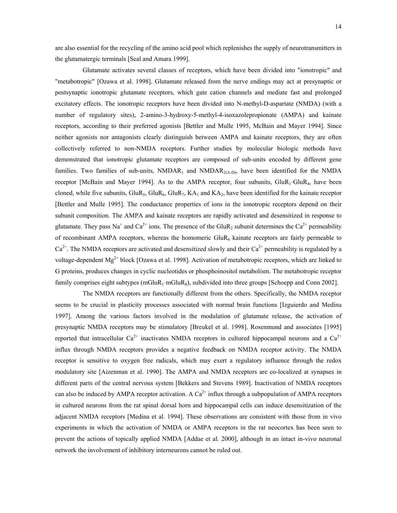are also essential for the recycling of the amino acid pool which replenishes the supply of neurotransmitters in the glutamatergic terminals [Seal and Amara 1999].

Glutamate activates several classes of receptors, which have been divided into "ionotropic" and "metabotropic" [Ozawa et al. 1998]. Glutamate released from the nerve endings may act at presynaptic or postsynaptic ionotropic glutamate receptors, which gate cation channels and mediate fast and prolonged excitatory effects. The ionotropic receptors have been divided into N-methyl-D-aspartate (NMDA) (with a number of regulatory sites), 2-amino-3-hydroxy-5-methyl-4-isoxazolepropionate (AMPA) and kainate receptors, according to their preferred agonists [Bettler and Mulle 1995, McBain and Mayer 1994]. Since neither agonists nor antagonists clearly distinguish between AMPA and kainate receptors, they are often collectively referred to non-NMDA receptors. Further studies by molecular biologic methods have demonstrated that ionotropic glutamate receptors are composed of sub-units encoded by different gene families. Two families of sub-units,  $NMDAR_1$  and  $NMDAR_{2(A-D)}$ , have been identified for the NMDA receptor [McBain and Mayer 1994]. As to the AMPA receptor, four subunits,  $GluR_1-GluR_4$ , have been cloned, while five subunits,  $GluR_5$ ,  $GluR_6$ ,  $GluR_7$ ,  $KA_1$  and  $KA_2$ , have been identified for the kainate receptor [Bettler and Mulle 1995]. The conductance properties of ions in the ionotropic receptors depend on their subunit composition. The AMPA and kainate receptors are rapidly activated and desensitized in response to glutamate. They pass Na<sup>+</sup> and Ca<sup>2+</sup> ions. The presence of the GluR<sub>2</sub> subunit determines the Ca<sup>2+</sup> permeability of recombinant AMPA receptors, whereas the homomeric  $GluR_6$  kainate receptors are fairly permeable to  $Ca^{2+}$ . The NMDA receptors are activated and desensitized slowly and their  $Ca^{2+}$  permeability is regulated by a voltage-dependent Mg<sup>2+</sup> block [Ozawa et al. 1998]. Activation of metabotropic receptors, which are linked to G proteins, produces changes in cyclic nucleotides or phosphoinositol metabolism. The metabotropic receptor family comprises eight subtypes (mGluR<sub>1</sub>-mGluR<sub>8</sub>), subdivided into three groups [Schoepp and Conn 2002].

The NMDA receptors are functionally different from the others. Specifically, the NMDA receptor seems to be crucial in plasticity processes associated with normal brain functions [Izguierdo and Medina 1997]. Among the various factors involved in the modulation of glutamate release, the activation of presynaptic NMDA receptors may be stimulatory [Breukel et al. 1998]. Rosenmund and associates [1995] reported that intracellular  $Ca^{2+}$  inactivates NMDA receptors in cultured hippocampal neurons and a  $Ca^{2+}$ influx through NMDA receptors provides a negative feedback on NMDA receptor activity. The NMDA receptor is sensitive to oxygen free radicals, which may exert a regulatory influence through the redox modulatory site [Aizenman et al. 1990]. The AMPA and NMDA receptors are co-localized at synapses in different parts of the central nervous system [Bekkers and Stevens 1989]. Inactivation of NMDA receptors can also be induced by AMPA receptor activation. A  $Ca<sup>2+</sup>$  influx through a subpopulation of AMPA receptors in cultured neurons from the rat spinal dorsal horn and hippocampal cells can induce desensitization of the adjacent NMDA receptors [Medina et al. 1994]. These observations are consistent with those from in vivo experiments in which the activation of NMDA or AMPA receptors in the rat neocortex has been seen to prevent the actions of topically applied NMDA [Addae et al. 2000], although in an intact in-vivo neuronal network the involvement of inhibitory interneurons cannot be ruled out.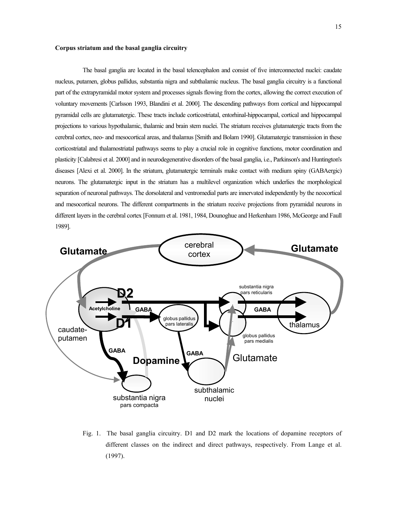#### <span id="page-14-0"></span>**Corpus striatum and the basal ganglia circuitry**

The basal ganglia are located in the basal telencephalon and consist of five interconnected nuclei: caudate nucleus, putamen, globus pallidus, substantia nigra and subthalamic nucleus. The basal ganglia circuitry is a functional part of the extrapyramidal motor system and processes signals flowing from the cortex, allowing the correct execution of voluntary movements [Carlsson 1993, Blandini et al. 2000]. The descending pathways from cortical and hippocampal pyramidal cells are glutamatergic. These tracts include corticostriatal, entorhinal-hippocampal, cortical and hippocampal projections to various hypothalamic, thalamic and brain stem nuclei. The striatum receives glutamatergic tracts from the cerebral cortex, neo- and mesocortical areas, and thalamus [Smith and Bolam 1990]. Glutamatergic transmission in these corticostriatal and thalamostriatal pathways seems to play a crucial role in cognitive functions, motor coordination and plasticity [Calabresi et al. 2000] and in neurodegenerative disorders of the basal ganglia, i.e., Parkinson's and Huntington's diseases [Alexi et al. 2000]. In the striatum, glutamatergic terminals make contact with medium spiny (GABAergic) neurons. The glutamatergic input in the striatum has a multilevel organization which underlies the morphological separation of neuronal pathways. The dorsolateral and ventromedial parts are innervated independently by the neocortical and mesocortical neurons. The different compartments in the striatum receive projections from pyramidal neurons in different layers in the cerebral cortex [Fonnum et al. 1981, 1984, Dounoghue and Herkenham 1986, McGeorge and Faull 1989].



Fig. 1. The basal ganglia circuitry. D1 and D2 mark the locations of dopamine receptors of different classes on the indirect and direct pathways, respectively. From Lange et al. (1997).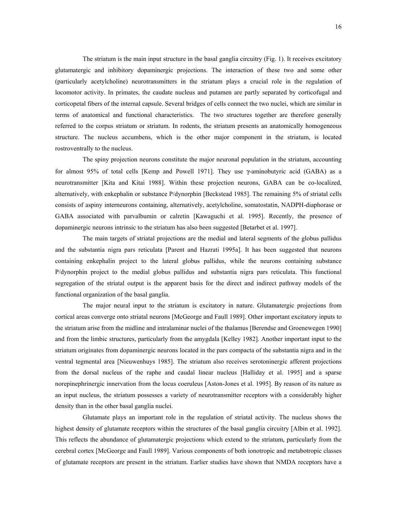The striatum is the main input structure in the basal ganglia circuitry (Fig. 1). It receives excitatory glutamatergic and inhibitory dopaminergic projections. The interaction of these two and some other (particularly acetylcholine) neurotransmitters in the striatum plays a crucial role in the regulation of locomotor activity. In primates, the caudate nucleus and putamen are partly separated by corticofugal and corticopetal fibers of the internal capsule. Several bridges of cells connect the two nuclei, which are similar in terms of anatomical and functional characteristics. The two structures together are therefore generally referred to the corpus striatum or striatum. In rodents, the striatum presents an anatomically homogeneous structure. The nucleus accumbens, which is the other major component in the striatum, is located rostroventrally to the nucleus.

The spiny projection neurons constitute the major neuronal population in the striatum, accounting for almost 95% of total cells [Kemp and Powell 1971]. They use γ-aminobutyric acid (GABA) as a neurotransmitter [Kita and Kitai 1988]. Within these projection neurons, GABA can be co-localized, alternatively, with enkephalin or substance P/dynorphin [Beckstead 1985]. The remaining 5% of striatal cells consists of aspiny interneurons containing, alternatively, acetylcholine, somatostatin, NADPH-diaphorase or GABA associated with parvalbumin or calretin [Kawaguchi et al. 1995]. Recently, the presence of dopaminergic neurons intrinsic to the striatum has also been suggested [Betarbet et al. 1997].

The main targets of striatal projections are the medial and lateral segments of the globus pallidus and the substantia nigra pars reticulata [Parent and Hazrati 1995a]. It has been suggested that neurons containing enkephalin project to the lateral globus pallidus, while the neurons containing substance P/dynorphin project to the medial globus pallidus and substantia nigra pars reticulata. This functional segregation of the striatal output is the apparent basis for the direct and indirect pathway models of the functional organization of the basal ganglia.

The major neural input to the striatum is excitatory in nature. Glutamatergic projections from cortical areas converge onto striatal neurons [McGeorge and Faull 1989]. Other important excitatory inputs to the striatum arise from the midline and intralaminar nuclei of the thalamus [Berendse and Groenewegen 1990] and from the limbic structures, particularly from the amygdala [Kelley 1982]. Another important input to the striatum originates from dopaminergic neurons located in the pars compacta of the substantia nigra and in the ventral tegmental area [Nieuwenhuys 1985]. The striatum also receives serotoninergic afferent projections from the dorsal nucleus of the raphe and caudal linear nucleus [Halliday et al. 1995] and a sparse norepinephrinergic innervation from the locus coeruleus [Aston-Jones et al. 1995]. By reason of its nature as an input nucleus, the striatum possesses a variety of neurotransmitter receptors with a considerably higher density than in the other basal ganglia nuclei.

Glutamate plays an important role in the regulation of striatal activity. The nucleus shows the highest density of glutamate receptors within the structures of the basal ganglia circuitry [Albin et al. 1992]. This reflects the abundance of glutamatergic projections which extend to the striatum, particularly from the cerebral cortex [McGeorge and Faull 1989]. Various components of both ionotropic and metabotropic classes of glutamate receptors are present in the striatum. Earlier studies have shown that NMDA receptors have a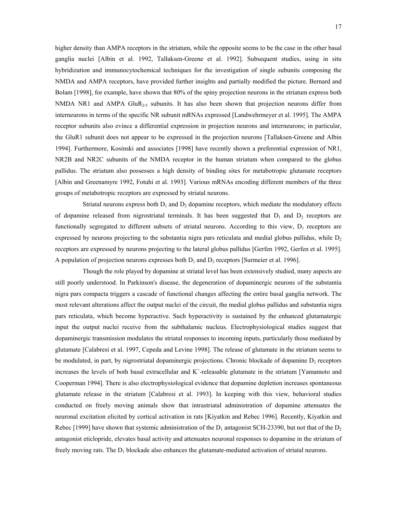higher density than AMPA receptors in the striatum, while the opposite seems to be the case in the other basal ganglia nuclei [Albin et al. 1992, Tallaksen-Greene et al. 1992]. Subsequent studies, using in situ hybridization and immunocytochemical techniques for the investigation of single subunits composing the NMDA and AMPA receptors, have provided further insights and partially modified the picture. Bernard and Bolam [1998], for example, have shown that 80% of the spiny projection neurons in the striatum express both NMDA NR1 and AMPA GluR<sub>2/3</sub> subunits. It has also been shown that projection neurons differ from interneurons in terms of the specific NR subunit mRNAs expressed [Landwehrmeyer et al. 1995]. The AMPA receptor subunits also evince a differential expression in projection neurons and interneurons; in particular, the GluR1 subunit does not appear to be expressed in the projection neurons [Tallaksen-Greene and Albin 1994]. Furthermore, Kosinski and associates [1998] have recently shown a preferential expression of NR1, NR2B and NR2C subunits of the NMDA receptor in the human striatum when compared to the globus pallidus. The striatum also possesses a high density of binding sites for metabotropic glutamate receptors [Albin and Greenamyre 1992, Fotuhi et al. 1993]. Various mRNAs encoding different members of the three groups of metabotropic receptors are expressed by striatal neurons.

Striatal neurons express both  $D_1$  and  $D_2$  dopamine receptors, which mediate the modulatory effects of dopamine released from nigrostriatal terminals. It has been suggested that  $D_1$  and  $D_2$  receptors are functionally segregated to different subsets of striatal neurons. According to this view,  $D_1$  receptors are expressed by neurons projecting to the substantia nigra pars reticulata and medial globus pallidus, while  $D<sub>2</sub>$ receptors are expressed by neurons projecting to the lateral globus pallidus [Gerfen 1992, Gerfen et al. 1995]. A population of projection neurons expresses both  $D_1$  and  $D_2$  receptors [Surmeier et al. 1996].

Though the role played by dopamine at striatal level has been extensively studied, many aspects are still poorly understood. In Parkinson's disease, the degeneration of dopaminergic neurons of the substantia nigra pars compacta triggers a cascade of functional changes affecting the entire basal ganglia network. The most relevant alterations affect the output nuclei of the circuit, the medial globus pallidus and substantia nigra pars reticulata, which become hyperactive. Such hyperactivity is sustained by the enhanced glutamatergic input the output nuclei receive from the subthalamic nucleus. Electrophysiological studies suggest that dopaminergic transmission modulates the striatal responses to incoming inputs, particularly those mediated by glutamate [Calabresi et al. 1997, Cepeda and Levine 1998]. The release of glutamate in the striatum seems to be modulated, in part, by nigrostriatal dopaminergic projections. Chronic blockade of dopamine  $D<sub>2</sub>$  receptors increases the levels of both basal extracellular and  $K^+$ -releasable glutamate in the striatum [Yamamoto and Cooperman 1994]. There is also electrophysiological evidence that dopamine depletion increases spontaneous glutamate release in the striatum [Calabresi et al. 1993]. In keeping with this view, behavioral studies conducted on freely moving animals show that intrastriatal administration of dopamine attenuates the neuronal excitation elicited by cortical activation in rats [Kiyatkin and Rebec 1996]. Recently, Kiyatkin and Rebec [1999] have shown that systemic administration of the  $D_1$  antagonist SCH-23390, but not that of the  $D_2$ antagonist eticlopride, elevates basal activity and attenuates neuronal responses to dopamine in the striatum of freely moving rats. The  $D_1$  blockade also enhances the glutamate-mediated activation of striatal neurons.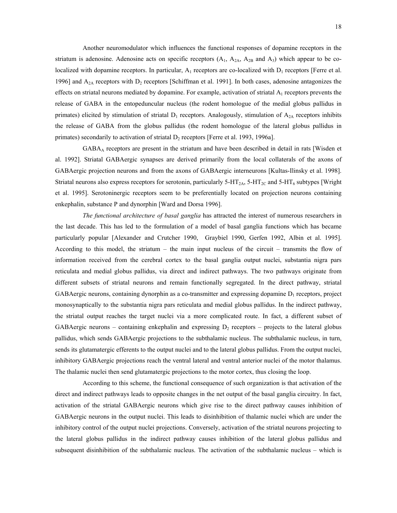Another neuromodulator which influences the functional responses of dopamine receptors in the striatum is adenosine. Adenosine acts on specific receptors  $(A_1, A_{2A}, A_{2B}$  and  $A_3)$  which appear to be colocalized with dopamine receptors. In particular,  $A_1$  receptors are co-localized with  $D_1$  receptors [Ferre et al. 1996] and  $A_{2A}$  receptors with  $D_2$  receptors [Schiffman et al. 1991]. In both cases, adenosine antagonizes the effects on striatal neurons mediated by dopamine. For example, activation of striatal  $A_1$  receptors prevents the release of GABA in the entopeduncular nucleus (the rodent homologue of the medial globus pallidus in primates) elicited by stimulation of striatal  $D_1$  receptors. Analogously, stimulation of  $A_{2A}$  receptors inhibits the release of GABA from the globus pallidus (the rodent homologue of the lateral globus pallidus in primates) secondarily to activation of striatal  $D_2$  receptors [Ferre et al. 1993, 1996a].

GABAA receptors are present in the striatum and have been described in detail in rats [Wisden et al. 1992]. Striatal GABAergic synapses are derived primarily from the local collaterals of the axons of GABAergic projection neurons and from the axons of GABAergic interneurons [Kultas-Ilinsky et al. 1998]. Striatal neurons also express receptors for serotonin, particularly  $5-HT_{2\text{A}}$ ,  $5-HT_{2\text{C}}$  and  $5-HT_6$  subtypes [Wright] et al. 1995]. Serotoninergic receptors seem to be preferentially located on projection neurons containing enkephalin, substance P and dynorphin [Ward and Dorsa 1996].

*The functional architecture of basal ganglia* has attracted the interest of numerous researchers in the last decade. This has led to the formulation of a model of basal ganglia functions which has became particularly popular [Alexander and Crutcher 1990, Graybiel 1990, Gerfen 1992, Albin et al. 1995]. According to this model, the striatum  $-$  the main input nucleus of the circuit  $-$  transmits the flow of information received from the cerebral cortex to the basal ganglia output nuclei, substantia nigra pars reticulata and medial globus pallidus, via direct and indirect pathways. The two pathways originate from different subsets of striatal neurons and remain functionally segregated. In the direct pathway, striatal GABAergic neurons, containing dynorphin as a co-transmitter and expressing dopamine  $D_1$  receptors, project monosynaptically to the substantia nigra pars reticulata and medial globus pallidus. In the indirect pathway, the striatal output reaches the target nuclei via a more complicated route. In fact, a different subset of GABAergic neurons – containing enkephalin and expressing  $D_2$  receptors – projects to the lateral globus pallidus, which sends GABAergic projections to the subthalamic nucleus. The subthalamic nucleus, in turn, sends its glutamatergic efferents to the output nuclei and to the lateral globus pallidus. From the output nuclei, inhibitory GABAergic projections reach the ventral lateral and ventral anterior nuclei of the motor thalamus. The thalamic nuclei then send glutamatergic projections to the motor cortex, thus closing the loop.

According to this scheme, the functional consequence of such organization is that activation of the direct and indirect pathways leads to opposite changes in the net output of the basal ganglia circuitry. In fact, activation of the striatal GABAergic neurons which give rise to the direct pathway causes inhibition of GABAergic neurons in the output nuclei. This leads to disinhibition of thalamic nuclei which are under the inhibitory control of the output nuclei projections. Conversely, activation of the striatal neurons projecting to the lateral globus pallidus in the indirect pathway causes inhibition of the lateral globus pallidus and subsequent disinhibition of the subthalamic nucleus. The activation of the subthalamic nucleus – which is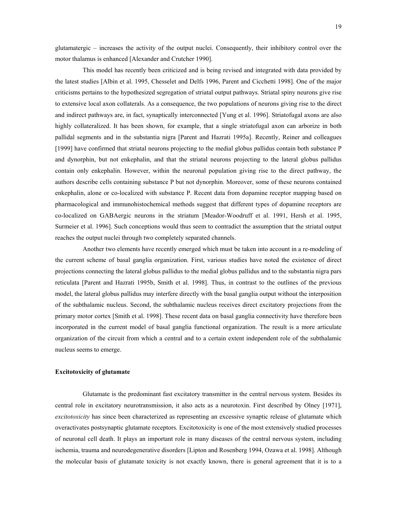<span id="page-18-0"></span>glutamatergic  $\overline{\phantom{a}}$  increases the activity of the output nuclei. Consequently, their inhibitory control over the motor thalamus is enhanced [Alexander and Crutcher 1990].

This model has recently been criticized and is being revised and integrated with data provided by the latest studies [Albin et al. 1995, Chesselet and Delfs 1996, Parent and Cicchetti 1998]. One of the major criticisms pertains to the hypothesized segregation of striatal output pathways. Striatal spiny neurons give rise to extensive local axon collaterals. As a consequence, the two populations of neurons giving rise to the direct and indirect pathways are, in fact, synaptically interconnected [Yung et al. 1996]. Striatofugal axons are also highly collateralized. It has been shown, for example, that a single striatofugal axon can arborize in both pallidal segments and in the substantia nigra [Parent and Hazrati 1995a]. Recently, Reiner and colleagues [1999] have confirmed that striatal neurons projecting to the medial globus pallidus contain both substance P and dynorphin, but not enkephalin, and that the striatal neurons projecting to the lateral globus pallidus contain only enkephalin. However, within the neuronal population giving rise to the direct pathway, the authors describe cells containing substance P but not dynorphin. Moreover, some of these neurons contained enkephalin, alone or co-localized with substance P. Recent data from dopamine receptor mapping based on pharmacological and immunohistochemical methods suggest that different types of dopamine receptors are co-localized on GABAergic neurons in the striatum [Meador-Woodruff et al. 1991, Hersh et al. 1995, Surmeier et al. 1996]. Such conceptions would thus seem to contradict the assumption that the striatal output reaches the output nuclei through two completely separated channels.

Another two elements have recently emerged which must be taken into account in a re-modeling of the current scheme of basal ganglia organization. First, various studies have noted the existence of direct projections connecting the lateral globus pallidus to the medial globus pallidus and to the substantia nigra pars reticulata [Parent and Hazrati 1995b, Smith et al. 1998]. Thus, in contrast to the outlines of the previous model, the lateral globus pallidus may interfere directly with the basal ganglia output without the interposition of the subthalamic nucleus. Second, the subthalamic nucleus receives direct excitatory projections from the primary motor cortex [Smith et al. 1998]. These recent data on basal ganglia connectivity have therefore been incorporated in the current model of basal ganglia functional organization. The result is a more articulate organization of the circuit from which a central and to a certain extent independent role of the subthalamic nucleus seems to emerge.

#### **Excitotoxicity of glutamate**

Glutamate is the predominant fast excitatory transmitter in the central nervous system. Besides its central role in excitatory neurotransmission, it also acts as a neurotoxin. First described by Olney [1971], *excitotoxicity* has since been characterized as representing an excessive synaptic release of glutamate which overactivates postsynaptic glutamate receptors. Excitotoxicity is one of the most extensively studied processes of neuronal cell death. It plays an important role in many diseases of the central nervous system, including ischemia, trauma and neurodegenerative disorders [Lipton and Rosenberg 1994, Ozawa et al. 1998]. Although the molecular basis of glutamate toxicity is not exactly known, there is general agreement that it is to a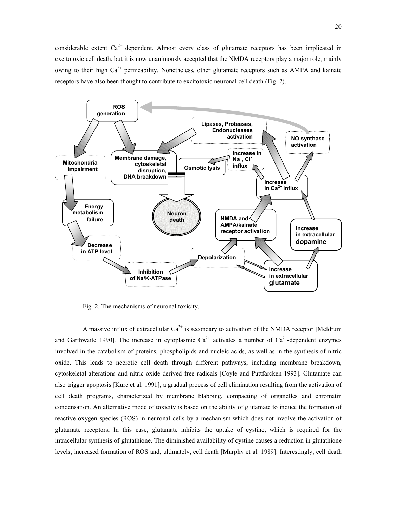considerable extent  $Ca^{2+}$  dependent. Almost every class of glutamate receptors has been implicated in excitotoxic cell death, but it is now unanimously accepted that the NMDA receptors play a major role, mainly owing to their high  $Ca^{2+}$  permeability. Nonetheless, other glutamate receptors such as AMPA and kainate receptors have also been thought to contribute to excitotoxic neuronal cell death (Fig. 2).



Fig. 2. The mechanisms of neuronal toxicity.

A massive influx of extracellular  $Ca^{2+}$  is secondary to activation of the NMDA receptor [Meldrum] and Garthwaite 1990]. The increase in cytoplasmic  $Ca^{2+}$  activates a number of  $Ca^{2+}$ -dependent enzymes involved in the catabolism of proteins, phospholipids and nucleic acids, as well as in the synthesis of nitric oxide. This leads to necrotic cell death through different pathways, including membrane breakdown, cytoskeletal alterations and nitric-oxide-derived free radicals [Coyle and Puttfarcken 1993]. Glutamate can also trigger apoptosis [Kure et al. 1991], a gradual process of cell elimination resulting from the activation of cell death programs, characterized by membrane blabbing, compacting of organelles and chromatin condensation. An alternative mode of toxicity is based on the ability of glutamate to induce the formation of reactive oxygen species (ROS) in neuronal cells by a mechanism which does not involve the activation of glutamate receptors. In this case, glutamate inhibits the uptake of cystine, which is required for the intracellular synthesis of glutathione. The diminished availability of cystine causes a reduction in glutathione levels, increased formation of ROS and, ultimately, cell death [Murphy et al. 1989]. Interestingly, cell death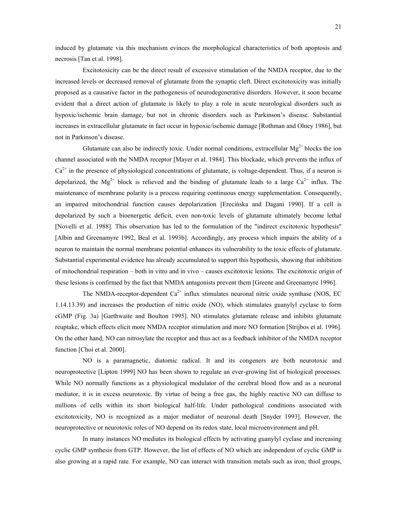induced by glutamate via this mechanism evinces the morphological characteristics of both apoptosis and necrosis [Tan et al. 1998].

Excitotoxicity can be the direct result of excessive stimulation of the NMDA receptor, due to the increased levels or decreased removal of glutamate from the synaptic cleft. Direct excitotoxicity was initially proposed as a causative factor in the pathogenesis of neurodegenerative disorders. However, it soon became evident that a direct action of glutamate is likely to play a role in acute neurological disorders such as hypoxic/ischemic brain damage, but not in chronic disorders such as Parkinson's disease. Substantial increases in extracellular glutamate in fact occur in hypoxic/ischemic damage [Rothman and Olney 1986], but not in Parkinson's disease.

Glutamate can also be indirectly toxic. Under normal conditions, extracellular  $Mg^{2+}$  blocks the ion channel associated with the NMDA receptor [Mayer et al. 1984]. This blockade, which prevents the influx of  $Ca<sup>2+</sup>$  in the presence of physiological concentrations of glutamate, is voltage-dependent. Thus, if a neuron is depolarized, the Mg<sup>2+</sup> block is relieved and the binding of glutamate leads to a large  $Ca^{2+}$  influx. The maintenance of membrane polarity is a process requiring continuous energy supplementation. Consequently, an impaired mitochondrial function causes depolarization [Erecińska and Dagani 1990]. If a cell is depolarized by such a bioenergetic deficit, even non-toxic levels of glutamate ultimately become lethal [Novelli et al. 1988]. This observation has led to the formulation of the "indirect excitotoxic hypothesis" [Albin and Greenamyre 1992, Beal et al. 1993b]. Accordingly, any process which impairs the ability of a neuron to maintain the normal membrane potential enhances its vulnerability to the toxic effects of glutamate. Substantial experimental evidence has already accumulated to support this hypothesis, showing that inhibition of mitochondrial respiration – both in vitro and in vivo – causes excitotoxic lesions. The excitotoxic origin of these lesions is confirmed by the fact that NMDA antagonists prevent them [Greene and Greenamyre 1996].

The NMDA-receptor-dependent  $Ca^{2+}$  influx stimulates neuronal nitric oxide synthase (NOS, EC 1.14.13.39) and increases the production of nitric oxide (NO), which stimulates guanylyl cyclase to form cGMP (Fig. 3a) [Garthwaite and Boulton 1995]. NO stimulates glutamate release and inhibits glutamate reuptake, which effects elicit more NMDA receptor stimulation and more NO formation [Strijbos et al. 1996]. On the other hand, NO can nitrosylate the receptor and thus act as a feedback inhibitor of the NMDA receptor function [Choi et al. 2000].

NO is a paramagnetic, diatomic radical. It and its congeners are both neurotoxic and neuroprotective [Lipton 1999] NO has been shown to regulate an ever-growing list of biological processes. While NO normally functions as a physiological modulator of the cerebral blood flow and as a neuronal mediator, it is in excess neurotoxic. By virtue of being a free gas, the highly reactive NO can diffuse to millions of cells within its short biological half-life. Under pathological conditions associated with excitotoxicity, NO is recognized as a major mediator of neuronal death [Snyder 1993]. However, the neuroprotective or neurotoxic roles of NO depend on its redox state, local microenvironment and pH.

In many instances NO mediates its biological effects by activating guanylyl cyclase and increasing cyclic GMP synthesis from GTP. However, the list of effects of NO which are independent of cyclic GMP is also growing at a rapid rate. For example, NO can interact with transition metals such as iron, thiol groups,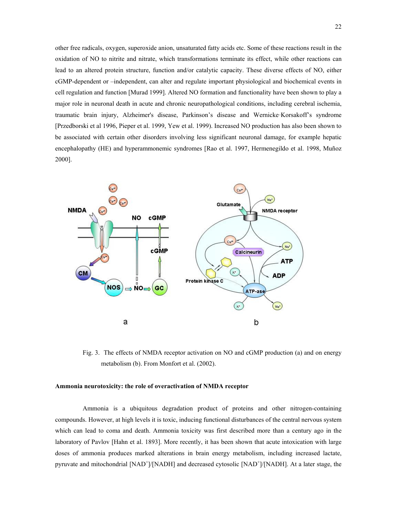<span id="page-21-0"></span>other free radicals, oxygen, superoxide anion, unsaturated fatty acids etc. Some of these reactions result in the oxidation of NO to nitrite and nitrate, which transformations terminate its effect, while other reactions can lead to an altered protein structure, function and/or catalytic capacity. These diverse effects of NO, either cGMP-dependent or -independent, can alter and regulate important physiological and biochemical events in cell regulation and function [Murad 1999]. Altered NO formation and functionality have been shown to play a major role in neuronal death in acute and chronic neuropathological conditions, including cerebral ischemia, traumatic brain injury, Alzheimer's disease, Parkinson's disease and Wernicke-Korsakoff's syndrome [Przedborski et al 1996, Pieper et al. 1999, Yew et al. 1999). Increased NO production has also been shown to be associated with certain other disorders involving less significant neuronal damage, for example hepatic encephalopathy (HE) and hyperammonemic syndromes [Rao et al. 1997, Hermenegildo et al. 1998, Muñoz 2000].



Fig. 3. The effects of NMDA receptor activation on NO and cGMP production (a) and on energy metabolism (b). From Monfort et al. (2002).

## **Ammonia neurotoxicity: the role of overactivation of NMDA receptor**

Ammonia is a ubiquitous degradation product of proteins and other nitrogen-containing compounds. However, at high levels it is toxic, inducing functional disturbances of the central nervous system which can lead to coma and death. Ammonia toxicity was first described more than a century ago in the laboratory of Pavlov [Hahn et al. 1893]. More recently, it has been shown that acute intoxication with large doses of ammonia produces marked alterations in brain energy metabolism, including increased lactate, pyruvate and mitochondrial [NAD<sup>+</sup>]/[NADH] and decreased cytosolic [NAD<sup>+</sup>]/[NADH]. At a later stage, the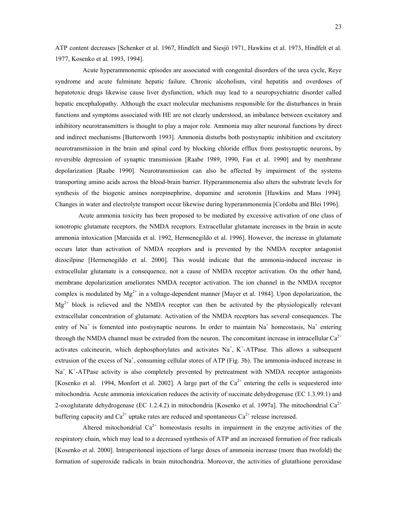ATP content decreases [Schenker et al. 1967, Hindfelt and Siesjö 1971, Hawkins et al. 1973, Hindfelt et al. 1977, Kosenko et al. 1993, 1994].

Acute hyperammonemic episodes are associated with congenital disorders of the urea cycle, Reye syndrome and acute fulminate hepatic failure. Chronic alcoholism, viral hepatitis and overdoses of hepatotoxic drugs likewise cause liver dysfunction, which may lead to a neuropsychiatric disorder called hepatic encephalopathy. Although the exact molecular mechanisms responsible for the disturbances in brain functions and symptoms associated with HE are not clearly understood, an imbalance between excitatory and inhibitory neurotransmitters is thought to play a major role. Ammonia may alter neuronal functions by direct and indirect mechanisms [Butterworth 1993]. Ammonia disturbs both postsynaptic inhibition and excitatory neurotransmission in the brain and spinal cord by blocking chloride efflux from postsynaptic neurons, by reversible depression of synaptic transmission [Raabe 1989, 1990, Fan et al. 1990] and by membrane depolarization [Raabe 1990]. Neurotransmission can also be affected by impairment of the systems transporting amino acids across the blood-brain barrier. Hyperammonemia also alters the substrate levels for synthesis of the biogenic amines norepinephrine, dopamine and serotonin [Hawkins and Mans 1994]. Changes in water and electrolyte transport occur likewise during hyperammonemia [Cordoba and Blei 1996].

Acute ammonia toxicity has been proposed to be mediated by excessive activation of one class of ionotropic glutamate receptors, the NMDA receptors. Extracellular glutamate increases in the brain in acute ammonia intoxication [Marcaida et al. 1992, Hermenegildo et al. 1996]. However, the increase in glutamate occurs later than activation of NMDA receptors and is prevented by the NMDA receptor antagonist dizocilpine [Hermenegildo et al. 2000]. This would indicate that the ammonia-induced increase in extracellular glutamate is a consequence, not a cause of NMDA receptor activation. On the other hand, membrane depolarization ameliorates NMDA receptor activation. The ion channel in the NMDA receptor complex is modulated by  $Mg^{2+}$  in a voltage-dependent manner [Mayer et al. 1984]. Upon depolarization, the  $Mg^{2+}$  block is relieved and the NMDA receptor can then be activated by the physiologically relevant extracellular concentration of glutamate. Activation of the NMDA receptors has several consequences. The entry of Na<sup>+</sup> is fomented into postsynaptic neurons. In order to maintain Na<sup>+</sup> homeostasis, Na<sup>+</sup> entering through the NMDA channel must be extruded from the neuron. The concomitant increase in intracellular  $Ca^{2+}$ activates calcineurin, which dephosphorylates and activates  $Na<sup>+</sup>, K<sup>+</sup>-ATPase$ . This allows a subsequent extrusion of the excess of Na<sup>+</sup>, consuming cellular stores of ATP (Fig. 3b). The ammonia-induced increase in Na<sup>+</sup>, K<sup>+</sup>-ATPase activity is also completely prevented by pretreatment with NMDA receptor antagonists [Kosenko et al. 1994, Monfort et al. 2002]. A large part of the  $Ca^{2+}$  entering the cells is sequestered into mitochondria. Acute ammonia intoxication reduces the activity of succinate dehydrogenase (EC 1.3.99.1) and 2-oxoglutarate dehydrogenase (EC 1.2.4.2) in mitochondria [Kosenko et al. 1997a]. The mitochondrial  $Ca^{2+}$ buffering capacity and  $Ca^{2+}$  uptake rates are reduced and spontaneous  $Ca^{2+}$  release increased.

Altered mitochondrial  $Ca^{2+}$  homeostasis results in impairment in the enzyme activities of the respiratory chain, which may lead to a decreased synthesis of ATP and an increased formation of free radicals [Kosenko et al. 2000]. Intraperitoneal injections of large doses of ammonia increase (more than twofold) the formation of superoxide radicals in brain mitochondria. Moreover, the activities of glutathione peroxidase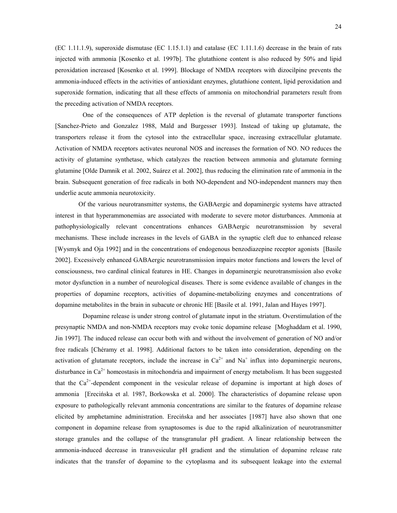24

(EC 1.11.1.9), superoxide dismutase (EC 1.15.1.1) and catalase (EC 1.11.1.6) decrease in the brain of rats injected with ammonia [Kosenko et al. 1997b]. The glutathione content is also reduced by 50% and lipid peroxidation increased [Kosenko et al. 1999]. Blockage of NMDA receptors with dizocilpine prevents the ammonia-induced effects in the activities of antioxidant enzymes, glutathione content, lipid peroxidation and superoxide formation, indicating that all these effects of ammonia on mitochondrial parameters result from the preceding activation of NMDA receptors.

One of the consequences of ATP depletion is the reversal of glutamate transporter functions [Sanchez-Prieto and Gonzalez 1988, Mald and Burgesser 1993]. Instead of taking up glutamate, the transporters release it from the cytosol into the extracellular space, increasing extracellular glutamate. Activation of NMDA receptors activates neuronal NOS and increases the formation of NO. NO reduces the activity of glutamine synthetase, which catalyzes the reaction between ammonia and glutamate forming glutamine [Olde Damnik et al. 2002, Suárez et al. 2002], thus reducing the elimination rate of ammonia in the brain. Subsequent generation of free radicals in both NO-dependent and NO-independent manners may then underlie acute ammonia neurotoxicity.

Of the various neurotransmitter systems, the GABAergic and dopaminergic systems have attracted interest in that hyperammonemias are associated with moderate to severe motor disturbances. Ammonia at pathophysiologically relevant concentrations enhances GABAergic neurotransmission by several mechanisms. These include increases in the levels of GABA in the synaptic cleft due to enhanced release [Wysmyk and Oja 1992] and in the concentrations of endogenous benzodiazepine receptor agonists [Basile 2002]. Excessively enhanced GABAergic neurotransmission impairs motor functions and lowers the level of consciousness, two cardinal clinical features in HE. Changes in dopaminergic neurotransmission also evoke motor dysfunction in a number of neurological diseases. There is some evidence available of changes in the properties of dopamine receptors, activities of dopamine-metabolizing enzymes and concentrations of dopamine metabolites in the brain in subacute or chronic HE [Basile et al. 1991, Jalan and Hayes 1997].

Dopamine release is under strong control of glutamate input in the striatum. Overstimulation of the presynaptic NMDA and non-NMDA receptors may evoke tonic dopamine release [Moghaddam et al. 1990, Jin 1997]. The induced release can occur both with and without the involvement of generation of NO and/or free radicals [Chéramy et al. 1998]. Additional factors to be taken into consideration, depending on the activation of glutamate receptors, include the increase in  $Ca^{2+}$  and Na<sup>+</sup> influx into dopaminergic neurons, disturbance in  $Ca^{2+}$  homeostasis in mitochondria and impairment of energy metabolism. It has been suggested that the  $Ca^{2+}$ -dependent component in the vesicular release of dopamine is important at high doses of ammonia [Erecińska et al. 1987, Borkowska et al. 2000]. The characteristics of dopamine release upon exposure to pathologically relevant ammonia concentrations are similar to the features of dopamine release elicited by amphetamine administration. Erecińska and her associates [1987] have also shown that one component in dopamine release from synaptosomes is due to the rapid alkalinization of neurotransmitter storage granules and the collapse of the transgranular pH gradient. A linear relationship between the ammonia-induced decrease in transvesicular pH gradient and the stimulation of dopamine release rate indicates that the transfer of dopamine to the cytoplasma and its subsequent leakage into the external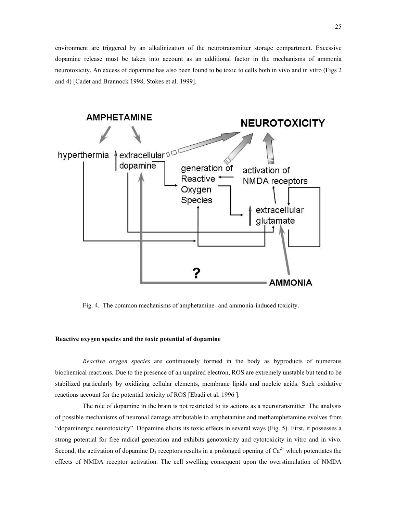<span id="page-24-0"></span>environment are triggered by an alkalinization of the neurotransmitter storage compartment. Excessive dopamine release must be taken into account as an additional factor in the mechanisms of ammonia neurotoxicity. An excess of dopamine has also been found to be toxic to cells both in vivo and in vitro (Figs 2 and 4) [Cadet and Brannock 1998, Stokes et al. 1999].



Fig. 4. The common mechanisms of amphetamine- and ammonia-induced toxicity.

## **Reactive oxygen species and the toxic potential of dopamine**

*Reactive oxygen species* are continuously formed in the body as byproducts of numerous biochemical reactions. Due to the presence of an unpaired electron, ROS are extremely unstable but tend to be stabilized particularly by oxidizing cellular elements, membrane lipids and nucleic acids. Such oxidative reactions account for the potential toxicity of ROS [Ebadi et al. 1996 ].

The role of dopamine in the brain is not restricted to its actions as a neurotransmitter. The analysis of possible mechanisms of neuronal damage attributable to amphetamine and methamphetamine evolves from ìdopaminergic neurotoxicityî. Dopamine elicits its toxic effects in several ways (Fig. 5). First, it possesses a strong potential for free radical generation and exhibits genotoxicity and cytotoxicity in vitro and in vivo. Second, the activation of dopamine  $D_1$  receptors results in a prolonged opening of  $Ca^{2+}$  which potentiates the effects of NMDA receptor activation. The cell swelling consequent upon the overstimulation of NMDA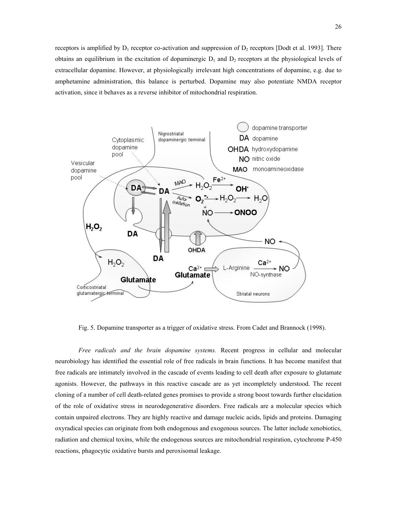receptors is amplified by  $D_1$  receptor co-activation and suppression of  $D_2$  receptors [Dodt et al. 1993]. There obtains an equilibrium in the excitation of dopaminergic  $D_1$  and  $D_2$  receptors at the physiological levels of extracellular dopamine. However, at physiologically irrelevant high concentrations of dopamine, e.g. due to amphetamine administration, this balance is perturbed. Dopamine may also potentiate NMDA receptor activation, since it behaves as a reverse inhibitor of mitochondrial respiration.



Fig. 5. Dopamine transporter as a trigger of oxidative stress. From Cadet and Brannock (1998).

*Free radicals and the brain dopamine systems.* Recent progress in cellular and molecular neurobiology has identified the essential role of free radicals in brain functions. It has become manifest that free radicals are intimately involved in the cascade of events leading to cell death after exposure to glutamate agonists. However, the pathways in this reactive cascade are as yet incompletely understood. The recent cloning of a number of cell death-related genes promises to provide a strong boost towards further elucidation of the role of oxidative stress in neurodegenerative disorders. Free radicals are a molecular species which contain unpaired electrons. They are highly reactive and damage nucleic acids, lipids and proteins. Damaging oxyradical species can originate from both endogenous and exogenous sources. The latter include xenobiotics, radiation and chemical toxins, while the endogenous sources are mitochondrial respiration, cytochrome P-450 reactions, phagocytic oxidative bursts and peroxisomal leakage.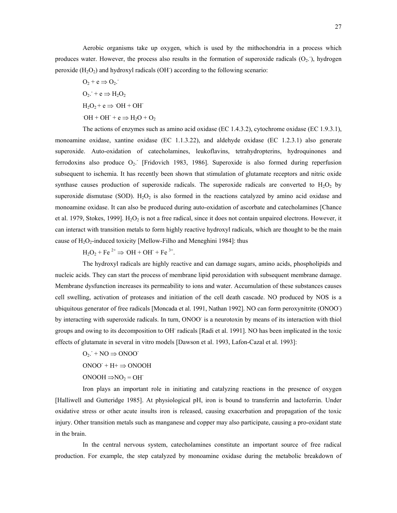Aerobic organisms take up oxygen, which is used by the mithochondria in a process which produces water. However, the process also results in the formation of superoxide radicals  $(O_2)$ , hydrogen peroxide  $(H_2O_2)$  and hydroxyl radicals  $(OH)$  according to the following scenario:

$$
O_2 + e \Rightarrow O_2.
$$
  
\n
$$
O_2. + e \Rightarrow H_2O_2
$$
  
\n
$$
H_2O_2 + e \Rightarrow OH + OH
$$
  
\n
$$
OH + OH + e \Rightarrow H_2O + O_2
$$

The actions of enzymes such as amino acid oxidase (EC 1.4.3.2), cytochrome oxidase (EC 1.9.3.1), monoamine oxidase, xantine oxidase (EC 1.1.3.22), and aldehyde oxidase (EC 1.2.3.1) also generate superoxide. Auto-oxidation of catecholamines, leukoflavins, tetrahydropterins, hydroquinones and ferrodoxins also produce  $O_2$ . [Fridovich 1983, 1986]. Superoxide is also formed during reperfusion subsequent to ischemia. It has recently been shown that stimulation of glutamate receptors and nitric oxide synthase causes production of superoxide radicals. The superoxide radicals are converted to  $H_2O_2$  by superoxide dismutase (SOD).  $H_2O_2$  is also formed in the reactions catalyzed by amino acid oxidase and monoamine oxidase. It can also be produced during auto-oxidation of ascorbate and catecholamines [Chance et al. 1979, Stokes, 1999].  $H_2O_2$  is not a free radical, since it does not contain unpaired electrons. However, it can interact with transition metals to form highly reactive hydroxyl radicals, which are thought to be the main cause of  $H_2O_2$ -induced toxicity [Mellow-Filho and Meneghini 1984]: thus

 $H_2O_2 + Fe^{2+} \Rightarrow OH + OH + Fe^{3+}$ .

The hydroxyl radicals are highly reactive and can damage sugars, amino acids, phospholipids and nucleic acids. They can start the process of membrane lipid peroxidation with subsequent membrane damage. Membrane dysfunction increases its permeability to ions and water. Accumulation of these substances causes cell swelling, activation of proteases and initiation of the cell death cascade. NO produced by NOS is a ubiquitous generator of free radicals [Moncada et al. 1991, Nathan 1992]. NO can form peroxynitrite (ONOO- ) by interacting with superoxide radicals. In turn, ONOO is a neurotoxin by means of its interaction with thiol groups and owing to its decomposition to OH radicals [Radi et al. 1991]. NO has been implicated in the toxic effects of glutamate in several in vitro models [Dawson et al. 1993, Lafon-Cazal et al. 1993]:

 $O_2$ : + NO  $\Rightarrow$  ONOO  $ONOO^- + H^+ \Rightarrow ONOOH$  $ONOOH \implies NO_2 = OH^-$ 

Iron plays an important role in initiating and catalyzing reactions in the presence of oxygen [Halliwell and Gutteridge 1985]. At physiological pH, iron is bound to transferrin and lactoferrin. Under oxidative stress or other acute insults iron is released, causing exacerbation and propagation of the toxic injury. Other transition metals such as manganese and copper may also participate, causing a pro-oxidant state in the brain.

In the central nervous system, catecholamines constitute an important source of free radical production. For example, the step catalyzed by monoamine oxidase during the metabolic breakdown of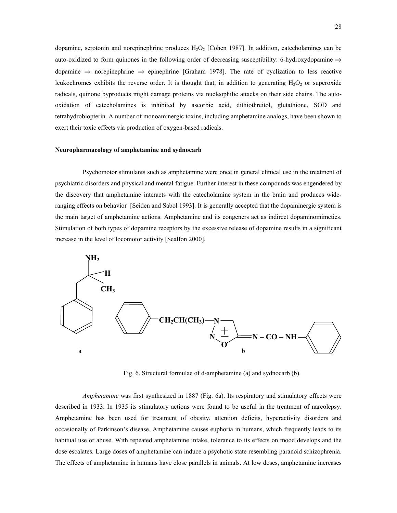<span id="page-27-0"></span>dopamine, serotonin and norepinephrine produces  $H_2O_2$  [Cohen 1987]. In addition, catecholamines can be auto-oxidized to form quinones in the following order of decreasing susceptibility: 6-hydroxydopamine ⇒ dopamine ⇒ norepinephrine ⇒ epinephrine [Graham 1978]. The rate of cyclization to less reactive leukochromes exhibits the reverse order. It is thought that, in addition to generating  $H_2O_2$  or superoxide radicals, quinone byproducts might damage proteins via nucleophilic attacks on their side chains. The autooxidation of catecholamines is inhibited by ascorbic acid, dithiothreitol, glutathione, SOD and tetrahydrobiopterin. A number of monoaminergic toxins, including amphetamine analogs, have been shown to exert their toxic effects via production of oxygen-based radicals.

#### **Neuropharmacology of amphetamine and sydnocarb**

Psychomotor stimulants such as amphetamine were once in general clinical use in the treatment of psychiatric disorders and physical and mental fatigue. Further interest in these compounds was engendered by the discovery that amphetamine interacts with the catecholamine system in the brain and produces wideranging effects on behavior [Seiden and Sabol 1993]. It is generally accepted that the dopaminergic system is the main target of amphetamine actions. Amphetamine and its congeners act as indirect dopaminomimetics. Stimulation of both types of dopamine receptors by the excessive release of dopamine results in a significant increase in the level of locomotor activity [Sealfon 2000].



Fig. 6. Structural formulae of d-amphetamine (a) and sydnocarb (b).

*Amphetamine* was first synthesized in 1887 (Fig. 6a). Its respiratory and stimulatory effects were described in 1933. In 1935 its stimulatory actions were found to be useful in the treatment of narcolepsy. Amphetamine has been used for treatment of obesity, attention deficits, hyperactivity disorders and occasionally of Parkinson's disease. Amphetamine causes euphoria in humans, which frequently leads to its habitual use or abuse. With repeated amphetamine intake, tolerance to its effects on mood develops and the dose escalates. Large doses of amphetamine can induce a psychotic state resembling paranoid schizophrenia. The effects of amphetamine in humans have close parallels in animals. At low doses, amphetamine increases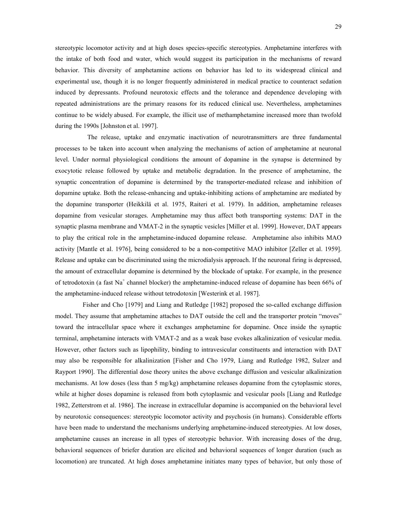stereotypic locomotor activity and at high doses species-specific stereotypies. Amphetamine interferes with the intake of both food and water, which would suggest its participation in the mechanisms of reward behavior. This diversity of amphetamine actions on behavior has led to its widespread clinical and experimental use, though it is no longer frequently administered in medical practice to counteract sedation induced by depressants. Profound neurotoxic effects and the tolerance and dependence developing with repeated administrations are the primary reasons for its reduced clinical use. Nevertheless, amphetamines continue to be widely abused. For example, the illicit use of methamphetamine increased more than twofold during the 1990s [Johnston et al. 1997].

The release, uptake and enzymatic inactivation of neurotransmitters are three fundamental processes to be taken into account when analyzing the mechanisms of action of amphetamine at neuronal level. Under normal physiological conditions the amount of dopamine in the synapse is determined by exocytotic release followed by uptake and metabolic degradation. In the presence of amphetamine, the synaptic concentration of dopamine is determined by the transporter-mediated release and inhibition of dopamine uptake. Both the release-enhancing and uptake-inhibiting actions of amphetamine are mediated by the dopamine transporter (Heikkil‰ et al. 1975, Raiteri et al. 1979). In addition, amphetamine releases dopamine from vesicular storages. Amphetamine may thus affect both transporting systems: DAT in the synaptic plasma membrane and VMAT-2 in the synaptic vesicles [Miller et al. 1999]. However, DAT appears to play the critical role in the amphetamine-induced dopamine release. Amphetamine also inhibits MAO activity [Mantle et al. 1976], being considered to be a non-competitive MAO inhibitor [Zeller et al. 1959]. Release and uptake can be discriminated using the microdialysis approach. If the neuronal firing is depressed, the amount of extracellular dopamine is determined by the blockade of uptake. For example, in the presence of tetrodotoxin (a fast Na<sup>+</sup> channel blocker) the amphetamine-induced release of dopamine has been 66% of the amphetamine-induced release without tetrodotoxin [Westerink et al. 1987].

Fisher and Cho [1979] and Liang and Rutledge [1982] proposed the so-called exchange diffusion model. They assume that amphetamine attaches to DAT outside the cell and the transporter protein "moves" toward the intracellular space where it exchanges amphetamine for dopamine. Once inside the synaptic terminal, amphetamine interacts with VMAT-2 and as a weak base evokes alkalinization of vesicular media. However, other factors such as lipophility, binding to intravesicular constituents and interaction with DAT may also be responsible for alkalinization [Fisher and Cho 1979, Liang and Rutledge 1982, Sulzer and Rayport 1990]. The differential dose theory unites the above exchange diffusion and vesicular alkalinization mechanisms. At low doses (less than 5 mg/kg) amphetamine releases dopamine from the cytoplasmic stores, while at higher doses dopamine is released from both cytoplasmic and vesicular pools [Liang and Rutledge 1982, Zetterstrom et al. 1986]. The increase in extracellular dopamine is accompanied on the behavioral level by neurotoxic consequences: stereotypic locomotor activity and psychosis (in humans). Considerable efforts have been made to understand the mechanisms underlying amphetamine-induced stereotypies. At low doses, amphetamine causes an increase in all types of stereotypic behavior. With increasing doses of the drug, behavioral sequences of briefer duration are elicited and behavioral sequences of longer duration (such as locomotion) are truncated. At high doses amphetamine initiates many types of behavior, but only those of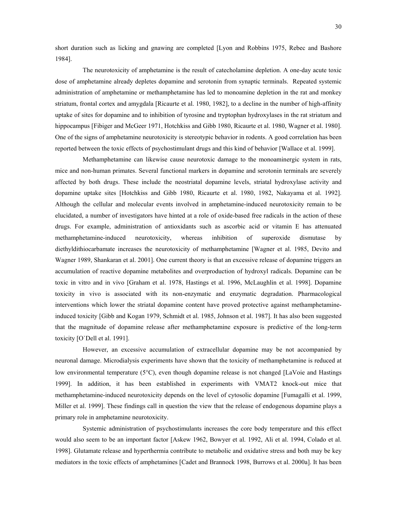short duration such as licking and gnawing are completed [Lyon and Robbins 1975, Rebec and Bashore 1984].

The neurotoxicity of amphetamine is the result of catecholamine depletion. A one-day acute toxic dose of amphetamine already depletes dopamine and serotonin from synaptic terminals. Repeated systemic administration of amphetamine or methamphetamine has led to monoamine depletion in the rat and monkey striatum, frontal cortex and amygdala [Ricaurte et al. 1980, 1982], to a decline in the number of high-affinity uptake of sites for dopamine and to inhibition of tyrosine and tryptophan hydroxylases in the rat striatum and hippocampus [Fibiger and McGeer 1971, Hotchkiss and Gibb 1980, Ricaurte et al. 1980, Wagner et al. 1980]. One of the signs of amphetamine neurotoxicity is stereotypic behavior in rodents. A good correlation has been reported between the toxic effects of psychostimulant drugs and this kind of behavior [Wallace et al. 1999].

Methamphetamine can likewise cause neurotoxic damage to the monoaminergic system in rats, mice and non-human primates. Several functional markers in dopamine and serotonin terminals are severely affected by both drugs. These include the neostriatal dopamine levels, striatal hydroxylase activity and dopamine uptake sites [Hotchkiss and Gibb 1980, Ricaurte et al. 1980, 1982, Nakayama et al. 1992]. Although the cellular and molecular events involved in amphetamine-induced neurotoxicity remain to be elucidated, a number of investigators have hinted at a role of oxide-based free radicals in the action of these drugs. For example, administration of antioxidants such as ascorbic acid or vitamin E has attenuated methamphetamine-induced neurotoxicity, whereas inhibition of superoxide dismutase by diethyldithiocarbamate increases the neurotoxicity of methamphetamine [Wagner et al. 1985, Devito and Wagner 1989, Shankaran et al. 2001]. One current theory is that an excessive release of dopamine triggers an accumulation of reactive dopamine metabolites and overproduction of hydroxyl radicals. Dopamine can be toxic in vitro and in vivo [Graham et al. 1978, Hastings et al. 1996, McLaughlin et al. 1998]. Dopamine toxicity in vivo is associated with its non-enzymatic and enzymatic degradation. Pharmacological interventions which lower the striatal dopamine content have proved protective against methamphetamineinduced toxicity [Gibb and Kogan 1979, Schmidt et al. 1985, Johnson et al. 1987]. It has also been suggested that the magnitude of dopamine release after methamphetamine exposure is predictive of the long-term toxicity [O`Dell et al. 1991].

However, an excessive accumulation of extracellular dopamine may be not accompanied by neuronal damage. Microdialysis experiments have shown that the toxicity of methamphetamine is reduced at low environmental temperature (5°C), even though dopamine release is not changed [LaVoie and Hastings 1999]. In addition, it has been established in experiments with VMAT2 knock-out mice that methamphetamine-induced neurotoxicity depends on the level of cytosolic dopamine [Fumagalli et al. 1999, Miller et al. 1999]. These findings call in question the view that the release of endogenous dopamine plays a primary role in amphetamine neurotoxicity.

Systemic administration of psychostimulants increases the core body temperature and this effect would also seem to be an important factor [Askew 1962, Bowyer et al. 1992, Ali et al. 1994, Colado et al. 1998]. Glutamate release and hyperthermia contribute to metabolic and oxidative stress and both may be key mediators in the toxic effects of amphetamines [Cadet and Brannock 1998, Burrows et al. 2000a]. It has been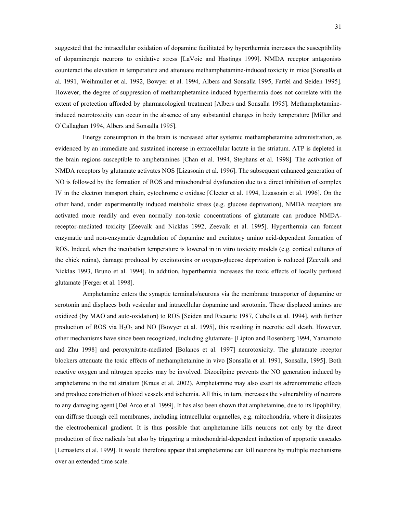suggested that the intracellular oxidation of dopamine facilitated by hyperthermia increases the susceptibility of dopaminergic neurons to oxidative stress [LaVoie and Hastings 1999]. NMDA receptor antagonists counteract the elevation in temperature and attenuate methamphetamine-induced toxicity in mice [Sonsalla et al. 1991, Weihmuller et al. 1992, Bowyer et al. 1994, Albers and Sonsalla 1995, Farfel and Seiden 1995]. However, the degree of suppression of methamphetamine-induced hyperthermia does not correlate with the extent of protection afforded by pharmacological treatment [Albers and Sonsalla 1995]. Methamphetamineinduced neurotoxicity can occur in the absence of any substantial changes in body temperature [Miller and O`Callaghan 1994, Albers and Sonsalla 1995].

Energy consumption in the brain is increased after systemic methamphetamine administration, as evidenced by an immediate and sustained increase in extracellular lactate in the striatum. ATP is depleted in the brain regions susceptible to amphetamines [Chan et al. 1994, Stephans et al. 1998]. The activation of NMDA receptors by glutamate activates NOS [Lizasoain et al. 1996]. The subsequent enhanced generation of NO is followed by the formation of ROS and mitochondrial dysfunction due to a direct inhibition of complex IV in the electron transport chain, cytochrome c oxidase [Cleeter et al. 1994, Lizasoain et al. 1996]. On the other hand, under experimentally induced metabolic stress (e.g. glucose deprivation), NMDA receptors are activated more readily and even normally non-toxic concentrations of glutamate can produce NMDAreceptor-mediated toxicity [Zeevalk and Nicklas 1992, Zeevalk et al. 1995]. Hyperthermia can foment enzymatic and non-enzymatic degradation of dopamine and excitatory amino acid-dependent formation of ROS. Indeed, when the incubation temperature is lowered in in vitro toxicity models (e.g. cortical cultures of the chick retina), damage produced by excitotoxins or oxygen-glucose deprivation is reduced [Zeevalk and Nicklas 1993, Bruno et al. 1994]. In addition, hyperthermia increases the toxic effects of locally perfused glutamate [Ferger et al. 1998].

Amphetamine enters the synaptic terminals/neurons via the membrane transporter of dopamine or serotonin and displaces both vesicular and intracellular dopamine and serotonin. These displaced amines are oxidized (by MAO and auto-oxidation) to ROS [Seiden and Ricaurte 1987, Cubells et al. 1994], with further production of ROS via  $H_2O_2$  and NO [Bowyer et al. 1995], this resulting in necrotic cell death. However, other mechanisms have since been recognized, including glutamate- [Lipton and Rosenberg 1994, Yamamoto and Zhu 1998] and peroxynitrite-mediated [Bolanos et al. 1997] neurotoxicity. The glutamate receptor blockers attenuate the toxic effects of methamphetamine in vivo [Sonsalla et al. 1991, Sonsalla, 1995]. Both reactive oxygen and nitrogen species may be involved. Dizocilpine prevents the NO generation induced by amphetamine in the rat striatum (Kraus et al. 2002). Amphetamine may also exert its adrenomimetic effects and produce constriction of blood vessels and ischemia. All this, in turn, increases the vulnerability of neurons to any damaging agent [Del Arco et al. 1999]. It has also been shown that amphetamine, due to its lipophility, can diffuse through cell membranes, including intracellular organelles, e.g. mitochondria, where it dissipates the electrochemical gradient. It is thus possible that amphetamine kills neurons not only by the direct production of free radicals but also by triggering a mitochondrial-dependent induction of apoptotic cascades [Lemasters et al. 1999]. It would therefore appear that amphetamine can kill neurons by multiple mechanisms over an extended time scale.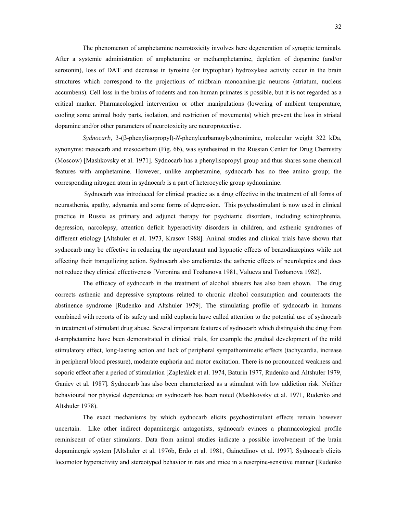The phenomenon of amphetamine neurotoxicity involves here degeneration of synaptic terminals. After a systemic administration of amphetamine or methamphetamine, depletion of dopamine (and/or serotonin), loss of DAT and decrease in tyrosine (or tryptophan) hydroxylase activity occur in the brain structures which correspond to the projections of midbrain monoaminergic neurons (striatum, nucleus accumbens). Cell loss in the brains of rodents and non-human primates is possible, but it is not regarded as a critical marker. Pharmacological intervention or other manipulations (lowering of ambient temperature, cooling some animal body parts, isolation, and restriction of movements) which prevent the loss in striatal dopamine and/or other parameters of neurotoxicity are neuroprotective.

*Sydnocarb*, 3-(β-phenylisopropyl)-*N*-phenylcarbamoylsydnonimine, molecular weight 322 kDa, synonyms: mesocarb and mesocarbum (Fig. 6b), was synthesized in the Russian Center for Drug Chemistry (Moscow) [Mashkovsky et al. 1971]. Sydnocarb has a phenylisopropyl group and thus shares some chemical features with amphetamine. However, unlike amphetamine, sydnocarb has no free amino group; the corresponding nitrogen atom in sydnocarb is a part of heterocyclic group sydnonimine.

 Sydnocarb was introduced for clinical practice as a drug effective in the treatment of all forms of neurasthenia, apathy, adynamia and some forms of depression. This psychostimulant is now used in clinical practice in Russia as primary and adjunct therapy for psychiatric disorders, including schizophrenia, depression, narcolepsy, attention deficit hyperactivity disorders in children, and asthenic syndromes of different etiology [Altshuler et al. 1973, Krasov 1988]. Animal studies and clinical trials have shown that sydnocarb may be effective in reducing the myorelaxant and hypnotic effects of benzodiazepines while not affecting their tranquilizing action. Sydnocarb also ameliorates the asthenic effects of neuroleptics and does not reduce they clinical effectiveness [Voronina and Tozhanova 1981, Valueva and Tozhanova 1982].

The efficacy of sydnocarb in the treatment of alcohol abusers has also been shown. The drug corrects asthenic and depressive symptoms related to chronic alcohol consumption and counteracts the abstinence syndrome [Rudenko and Altshuler 1979]. The stimulating profile of sydnocarb in humans combined with reports of its safety and mild euphoria have called attention to the potential use of sydnocarb in treatment of stimulant drug abuse. Several important features of sydnocarb which distinguish the drug from d-amphetamine have been demonstrated in clinical trials, for example the gradual development of the mild stimulatory effect, long-lasting action and lack of peripheral sympathomimetic effects (tachycardia, increase in peripheral blood pressure), moderate euphoria and motor excitation. There is no pronounced weakness and soporic effect after a period of stimulation [Zapletalek et al. 1974, Baturin 1977, Rudenko and Altshuler 1979, Ganiev et al. 1987]. Sydnocarb has also been characterized as a stimulant with low addiction risk. Neither behavioural nor physical dependence on sydnocarb has been noted (Mashkovsky et al. 1971, Rudenko and Altshuler 1978).

The exact mechanisms by which sydnocarb elicits psychostimulant effects remain however uncertain. Like other indirect dopaminergic antagonists, sydnocarb evinces a pharmacological profile reminiscent of other stimulants. Data from animal studies indicate a possible involvement of the brain dopaminergic system [Altshuler et al. 1976b, Erdo et al. 1981, Gainetdinov et al. 1997]. Sydnocarb elicits locomotor hyperactivity and stereotyped behavior in rats and mice in a reserpine-sensitive manner [Rudenko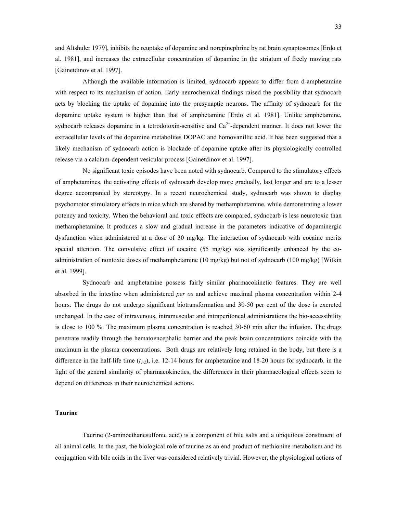<span id="page-32-0"></span>and Altshuler 1979], inhibits the reuptake of dopamine and norepinephrine by rat brain synaptosomes [Erdo et al. 1981], and increases the extracellular concentration of dopamine in the striatum of freely moving rats [Gainetdinov et al. 1997].

Although the available information is limited, sydnocarb appears to differ from d-amphetamine with respect to its mechanism of action. Early neurochemical findings raised the possibility that sydnocarb acts by blocking the uptake of dopamine into the presynaptic neurons. The affinity of sydnocarb for the dopamine uptake system is higher than that of amphetamine [Erdo et al. 1981]. Unlike amphetamine, sydnocarb releases dopamine in a tetrodotoxin-sensitive and  $Ca<sup>2+</sup>$ -dependent manner. It does not lower the extracellular levels of the dopamine metabolites DOPAC and homovanillic acid. It has been suggested that a likely mechanism of sydnocarb action is blockade of dopamine uptake after its physiologically controlled release via a calcium-dependent vesicular process [Gainetdinov et al. 1997].

No significant toxic episodes have been noted with sydnocarb. Compared to the stimulatory effects of amphetamines, the activating effects of sydnocarb develop more gradually, last longer and are to a lesser degree accompanied by stereotypy. In a recent neurochemical study, sydnocarb was shown to display psychomotor stimulatory effects in mice which are shared by methamphetamine, while demonstrating a lower potency and toxicity. When the behavioral and toxic effects are compared, sydnocarb is less neurotoxic than methamphetamine. It produces a slow and gradual increase in the parameters indicative of dopaminergic dysfunction when administered at a dose of 30 mg/kg. The interaction of sydnocarb with cocaine merits special attention. The convulsive effect of cocaine (55 mg/kg) was significantly enhanced by the coadministration of nontoxic doses of methamphetamine (10 mg/kg) but not of sydnocarb (100 mg/kg) [Witkin et al. 1999].

Sydnocarb and amphetamine possess fairly similar pharmacokinetic features. They are well absorbed in the intestine when administered *per os* and achieve maximal plasma concentration within 2-4 hours. The drugs do not undergo significant biotransformation and 30-50 per cent of the dose is excreted unchanged. In the case of intravenous, intramuscular and intraperitoneal administrations the bio-accessibility is close to 100 %. The maximum plasma concentration is reached 30-60 min after the infusion. The drugs penetrate readily through the hematoencephalic barrier and the peak brain concentrations coincide with the maximum in the plasma concentrations. Both drugs are relatively long retained in the body, but there is a difference in the half-life time  $(t_{1/2})$ , i.e. 12-14 hours for amphetamine and 18-20 hours for sydnocarb. in the light of the general similarity of pharmacokinetics, the differences in their pharmacological effects seem to depend on differences in their neurochemical actions.

# **Taurine**

Taurine (2-aminoethanesulfonic acid) is a component of bile salts and a ubiquitous constituent of all animal cells. In the past, the biological role of taurine as an end product of methionine metabolism and its conjugation with bile acids in the liver was considered relatively trivial. However, the physiological actions of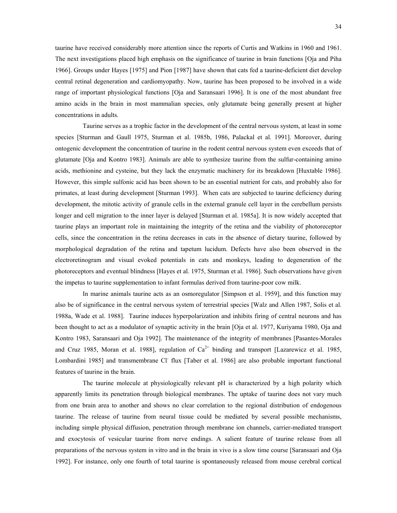taurine have received considerably more attention since the reports of Curtis and Watkins in 1960 and 1961. The next investigations placed high emphasis on the significance of taurine in brain functions [Oja and Piha 1966]. Groups under Hayes [1975] and Pion [1987] have shown that cats fed a taurine-deficient diet develop central retinal degeneration and cardiomyopathy. Now, taurine has been proposed to be involved in a wide range of important physiological functions [Oja and Saransaari 1996]. It is one of the most abundant free amino acids in the brain in most mammalian species, only glutamate being generally present at higher concentrations in adults.

Taurine serves as a trophic factor in the development of the central nervous system, at least in some species [Sturman and Gaull 1975, Sturman et al. 1985b, 1986, Palackal et al. 1991]. Moreover, during ontogenic development the concentration of taurine in the rodent central nervous system even exceeds that of glutamate [Oja and Kontro 1983]. Animals are able to synthesize taurine from the sulfur-containing amino acids, methionine and cysteine, but they lack the enzymatic machinery for its breakdown [Huxtable 1986]. However, this simple sulfonic acid has been shown to be an essential nutrient for cats, and probably also for primates, at least during development [Sturman 1993]. When cats are subjected to taurine deficiency during development, the mitotic activity of granule cells in the external granule cell layer in the cerebellum persists longer and cell migration to the inner layer is delayed [Sturman et al. 1985a]. It is now widely accepted that taurine plays an important role in maintaining the integrity of the retina and the viability of photoreceptor cells, since the concentration in the retina decreases in cats in the absence of dietary taurine, followed by morphological degradation of the retina and tapetum lucidum. Defects have also been observed in the electroretinogram and visual evoked potentials in cats and monkeys, leading to degeneration of the photoreceptors and eventual blindness [Hayes et al. 1975, Sturman et al. 1986]. Such observations have given the impetus to taurine supplementation to infant formulas derived from taurine-poor cow milk.

In marine animals taurine acts as an osmoregulator [Simpson et al. 1959], and this function may also be of significance in the central nervous system of terrestrial species [Walz and Allen 1987, Solis et al. 1988a, Wade et al. 1988]. Taurine induces hyperpolarization and inhibits firing of central neurons and has been thought to act as a modulator of synaptic activity in the brain [Oja et al. 1977, Kuriyama 1980, Oja and Kontro 1983, Saransaari and Oja 1992]. The maintenance of the integrity of membranes [Pasantes-Morales and Cruz 1985, Moran et al. 1988], regulation of  $Ca^{2+}$  binding and transport [Lazarewicz et al. 1985, Lombardini 1985] and transmembrane Cl flux [Taber et al. 1986] are also probable important functional features of taurine in the brain.

The taurine molecule at physiologically relevant pH is characterized by a high polarity which apparently limits its penetration through biological membranes. The uptake of taurine does not vary much from one brain area to another and shows no clear correlation to the regional distribution of endogenous taurine. The release of taurine from neural tissue could be mediated by several possible mechanisms, including simple physical diffusion, penetration through membrane ion channels, carrier-mediated transport and exocytosis of vesicular taurine from nerve endings. A salient feature of taurine release from all preparations of the nervous system in vitro and in the brain in vivo is a slow time course [Saransaari and Oja 1992]. For instance, only one fourth of total taurine is spontaneously released from mouse cerebral cortical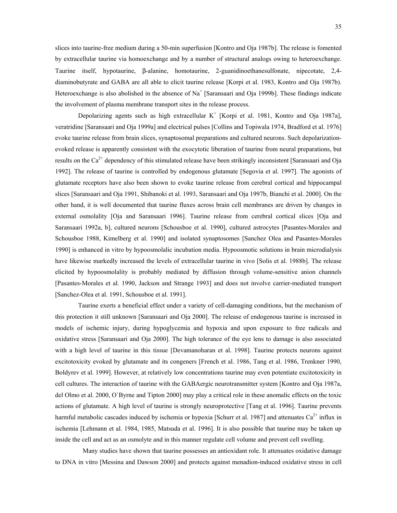slices into taurine-free medium during a 50-min superfusion [Kontro and Oja 1987b]. The release is fomented by extracellular taurine via homoexchange and by a number of structural analogs owing to heteroexchange. Taurine itself, hypotaurine, β-alanine, homotaurine, 2-guanidinoethanesulfonate, nipecotate, 2,4 diaminobutyrate and GABA are all able to elicit taurine release [Korpi et al. 1983, Kontro and Oja 1987b). Heteroexchange is also abolished in the absence of  $Na<sup>+</sup>$  [Saransaari and Oja 1999b]. These findings indicate the involvement of plasma membrane transport sites in the release process.

Depolarizing agents such as high extracellular  $K^+$  [Korpi et al. 1981, Kontro and Oja 1987a], veratridine [Saransaari and Oja 1999a] and electrical pulses [Collins and Topiwala 1974, Bradford et al. 1976] evoke taurine release from brain slices, synaptosomal preparations and cultured neurons. Such depolarizationevoked release is apparently consistent with the exocytotic liberation of taurine from neural preparations, but results on the  $Ca^{2+}$  dependency of this stimulated release have been strikingly inconsistent [Saransaari and Oja 1992]. The release of taurine is controlled by endogenous glutamate [Segovia et al. 1997]. The agonists of glutamate receptors have also been shown to evoke taurine release from cerebral cortical and hippocampal slices [Saransaari and Oja 1991, Shibanoki et al. 1993, Saransaari and Oja 1997b, Bianchi et al. 2000]. On the other hand, it is well documented that taurine fluxes across brain cell membranes are driven by changes in external osmolality [Oja and Saransaari 1996]. Taurine release from cerebral cortical slices [Oja and Saransaari 1992a, b], cultured neurons [Schousboe et al. 1990], cultured astrocytes [Pasantes-Morales and Schousboe 1988, Kimelberg et al. 1990] and isolated synaptosomes [Sanchez Olea and Pasantes-Morales 1990] is enhanced in vitro by hypoosmolalic incubation media. Hypoosmotic solutions in brain microdialysis have likewise markedly increased the levels of extracellular taurine in vivo [Solis et al. 1988b]. The release elicited by hypoosmolality is probably mediated by diffusion through volume-sensitive anion channels [Pasantes-Morales et al. 1990, Jackson and Strange 1993] and does not involve carrier-mediated transport [Sanchez-Olea et al. 1991, Schousboe et al. 1991].

Taurine exerts a beneficial effect under a variety of cell-damaging conditions, but the mechanism of this protection it still unknown [Saransaari and Oja 2000]. The release of endogenous taurine is increased in models of ischemic injury, during hypoglycemia and hypoxia and upon exposure to free radicals and oxidative stress [Saransaari and Oja 2000]. The high tolerance of the eye lens to damage is also associated with a high level of taurine in this tissue [Devamanoharan et al. 1998]. Taurine protects neurons against excitotoxicity evoked by glutamate and its congeners [French et al. 1986, Tang et al. 1986, Trenkner 1990, Boldyrev et al. 1999]. However, at relatively low concentrations taurine may even potentiate excitotoxicity in cell cultures. The interaction of taurine with the GABAergic neurotransmitter system [Kontro and Oja 1987a, del Olmo et al. 2000, O`Byrne and Tipton 2000] may play a critical role in these anomalic effects on the toxic actions of glutamate. A high level of taurine is strongly neuroprotective [Tang et al. 1996]. Taurine prevents harmful metabolic cascades induced by ischemia or hypoxia [Schurr et al. 1987] and attenuates  $Ca^{2+}$  influx in ischemia [Lehmann et al. 1984, 1985, Matsuda et al. 1996]. It is also possible that taurine may be taken up inside the cell and act as an osmolyte and in this manner regulate cell volume and prevent cell swelling.

Many studies have shown that taurine possesses an antioxidant role. It attenuates oxidative damage to DNA in vitro [Messina and Dawson 2000] and protects against menadion-induced oxidative stress in cell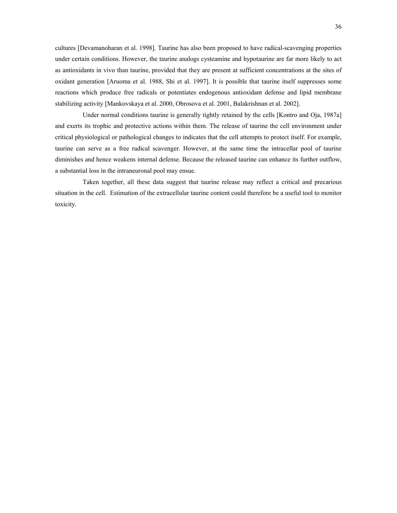cultures [Devamanoharan et al. 1998]. Taurine has also been proposed to have radical-scavenging properties under certain conditions. However, the taurine analogs cysteamine and hypotaurine are far more likely to act as antioxidants in vivo than taurine, provided that they are present at sufficient concentrations at the sites of oxidant generation [Aruoma et al. 1988, Shi et al. 1997]. It is possible that taurine itself suppresses some reactions which produce free radicals or potentiates endogenous antioxidant defense and lipid membrane stabilizing activity [Mankovskaya et al. 2000, Obrosova et al. 2001, Balakrishnan et al. 2002].

Under normal conditions taurine is generally tightly retained by the cells [Kontro and Oja, 1987a] and exerts its trophic and protective actions within them. The release of taurine the cell environment under critical physiological or pathological changes to indicates that the cell attempts to protect itself. For example, taurine can serve as a free radical scavenger. However, at the same time the intracellar pool of taurine diminishes and hence weakens internal defense. Because the released taurine can enhance its further outflow, a substantial loss in the intraneuronal pool may ensue.

Taken together, all these data suggest that taurine release may reflect a critical and precarious situation in the cell. Estimation of the extracellular taurine content could therefore be a useful tool to monitor toxicity.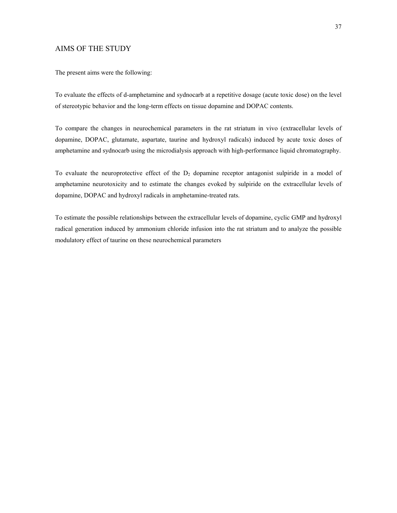## AIMS OF THE STUDY

The present aims were the following:

To evaluate the effects of d-amphetamine and sydnocarb at a repetitive dosage (acute toxic dose) on the level of stereotypic behavior and the long-term effects on tissue dopamine and DOPAC contents.

To compare the changes in neurochemical parameters in the rat striatum in vivo (extracellular levels of dopamine, DOPAC, glutamate, aspartate, taurine and hydroxyl radicals) induced by acute toxic doses of amphetamine and sydnocarb using the microdialysis approach with high-performance liquid chromatography.

To evaluate the neuroprotective effect of the  $D<sub>2</sub>$  dopamine receptor antagonist sulpiride in a model of amphetamine neurotoxicity and to estimate the changes evoked by sulpiride on the extracellular levels of dopamine, DOPAC and hydroxyl radicals in amphetamine-treated rats.

To estimate the possible relationships between the extracellular levels of dopamine, cyclic GMP and hydroxyl radical generation induced by ammonium chloride infusion into the rat striatum and to analyze the possible modulatory effect of taurine on these neurochemical parameters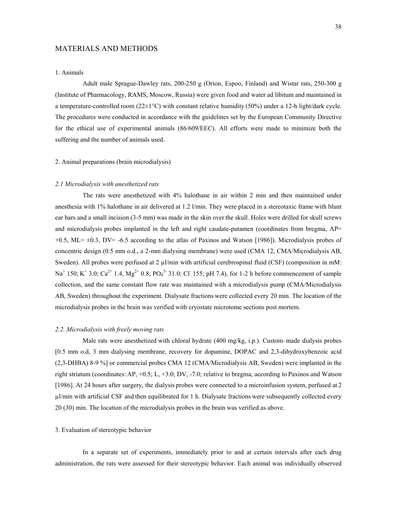## MATERIALS AND METHODS

## 1. Animals

Adult male Sprague-Dawley rats, 200-250 g (Orion, Espoo, Finland) and Wistar rats, 250-300 g (Institute of Pharmacology, RAMS, Moscow, Russia) were given food and water ad libitum and maintained in a temperature-controlled room (22±1°C) with constant relative humidity (50%) under a 12-h light/dark cycle. The procedures were conducted in accordance with the guidelines set by the European Community Directive for the ethical use of experimental animals (86/609/EEC). All efforts were made to minimize both the suffering and the number of animals used.

#### 2. Animal preparations (brain microdialysis)

#### *2.1 Microdialysis with anesthetized rats*

The rats were anesthetized with 4% halothane in air within 2 min and then maintained under anesthesia with 1% halothane in air delivered at 1.2 l/min. They were placed in a stereotaxic frame with blunt ear bars and a small incision (3-5 mm) was made in the skin over the skull. Holes were drilled for skull screws and microdialysis probes implanted in the left and right caudate-putamen (coordinates from bregma, AP=  $+0.5$ , ML=  $\pm 0.3$ , DV= -6.5 according to the atlas of Paxinos and Watson [1986]). Microdialysis probes of concentric design (0.5 mm o.d., a 2-mm dialysing membrane) were used (CMA 12, CMA/Microdialysis AB, Sweden). All probes were perfused at 2 µl/min with artificial cerebrospinal fluid (CSF) (composition in mM: Na<sup>+</sup> 150; K<sup>+</sup> 3.0; Ca<sup>2+</sup> 1.4, Mg<sup>2+</sup> 0.8; PO<sub>4</sub><sup>3-</sup> 31.0; Cl<sup>-</sup> 155; pH 7.4), for 1-2 h before commencement of sample collection, and the same constant flow rate was maintained with a microdialysis pump (CMA/Microdialysis AB, Sweden) throughout the experiment. Dialysate fractions were collected every 20 min. The location of the microdialysis probes in the brain was verified with cryostate microtome sections post mortem.

### *2.2. Microdialysis with freely moving rats*

Male rats were anesthetized with chloral hydrate (400 mg/kg, i.p.). Custom–made dialysis probes [0.5 mm o.d, 3 mm dialysing membrane, recovery for dopamine, DOPAC and 2,3-dihydroxybenzoic acid (2,3-DHBA) 8-9 %] or commercial probes CMA 12 (CMA/Microdialysis AB, Sweden) were implanted in the right striatum (coordinates: AP, +0.5; L, +3.0; DV, -7.0; relative to bregma, according to Paxinos and Watson [1986]. At 24 hours after surgery, the dialysis probes were connected to a microinfusion system, perfused at 2 µl/min with artificial CSF and then equilibrated for 1 h. Dialysate fractions were subsequently collected every 20 (30) min. The location of the microdialysis probes in the brain was verified as above.

## 3. Evaluation of stereotypic behavior

In a separate set of experiments, immediately prior to and at certain intervals after each drug administration, the rats were assessed for their stereotypic behavior. Each animal was individually observed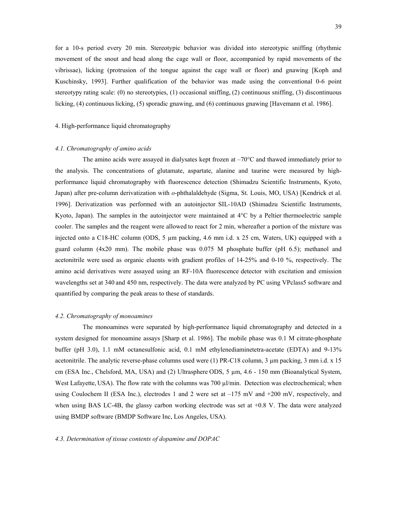for a 10-s period every 20 min. Stereotypic behavior was divided into stereotypic sniffing (rhythmic movement of the snout and head along the cage wall or floor, accompanied by rapid movements of the vibrissae), licking (protrusion of the tongue against the cage wall or floor) and gnawing [Koph and Kuschinsky, 1993]. Further qualification of the behavior was made using the conventional 0-6 point stereotypy rating scale: (0) no stereotypies, (1) occasional sniffing, (2) continuous sniffing, (3) discontinuous licking, (4) continuous licking, (5) sporadic gnawing, and (6) continuous gnawing [Havemann et al. 1986].

### 4. High-performance liquid chromatography

#### *4.1. Chromatography of amino acids*

The amino acids were assayed in dialysates kept frozen at  $-70^{\circ}$ C and thawed immediately prior to the analysis. The concentrations of glutamate, aspartate, alanine and taurine were measured by highperformance liquid chromatography with fluorescence detection (Shimadzu Scientific Instruments, Kyoto, Japan) after pre-column derivatization with *o*-phthalaldehyde (Sigma, St. Louis, MO, USA) [Kendrick et al. 1996]. Derivatization was performed with an autoinjector SIL-10AD (Shimadzu Scientific Instruments, Kyoto, Japan). The samples in the autoinjector were maintained at 4°C by a Peltier thermoelectric sample cooler. The samples and the reagent were allowed to react for 2 min, whereafter a portion of the mixture was injected onto a C18-HC column (ODS, 5  $\mu$ m packing, 4.6 mm i.d. x 25 cm, Waters, UK) equipped with a guard column (4x20 mm). The mobile phase was  $0.075$  M phosphate buffer (pH 6.5); methanol and acetonitrile were used as organic eluents with gradient profiles of 14-25% and 0-10 %, respectively. The amino acid derivatives were assayed using an RF-10A fluorescence detector with excitation and emission wavelengths set at 340 and 450 nm, respectively. The data were analyzed by PC using VPclass5 software and quantified by comparing the peak areas to these of standards.

## *4.2. Chromatography of monoamines*

The monoamines were separated by high-performance liquid chromatography and detected in a system designed for monoamine assays [Sharp et al. 1986]. The mobile phase was 0.1 M citrate-phosphate buffer (pH 3.0), 1.1 mM octanesulfonic acid, 0.1 mM ethylenediaminetetra-acetate (EDTA) and 9-13% acetonitrile. The analytic reverse-phase columns used were (1) PR-C18 column, 3 µm packing, 3 mm i.d. x 15 cm (ESA Inc., Chelsford, MA, USA) and (2) Ultrasphere ODS, 5 µm, 4.6 - 150 mm (Bioanalytical System, West Lafayette, USA). The flow rate with the columns was 700 µl/min. Detection was electrochemical; when using Coulochem II (ESA Inc.), electrodes 1 and 2 were set at  $-175$  mV and  $+200$  mV, respectively, and when using BAS LC-4B, the glassy carbon working electrode was set at  $+0.8$  V. The data were analyzed using BMDP software (BMDP Software Inc, Los Angeles, USA).

#### *4.3. Determination of tissue contents of dopamine and DOPAC*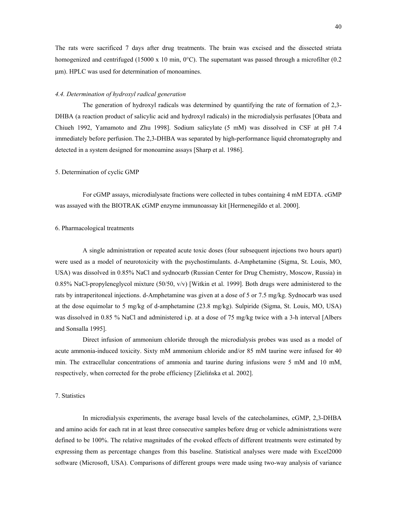The rats were sacrificed 7 days after drug treatments. The brain was excised and the dissected striata homogenized and centrifuged (15000 x 10 min,  $0^{\circ}$ C). The supernatant was passed through a microfilter (0.2) µm). HPLC was used for determination of monoamines.

#### *4.4. Determination of hydroxyl radical generation*

The generation of hydroxyl radicals was determined by quantifying the rate of formation of 2,3- DHBA (a reaction product of salicylic acid and hydroxyl radicals) in the microdialysis perfusates [Obata and Chiueh 1992, Yamamoto and Zhu 1998]. Sodium salicylate (5 mM) was dissolved in CSF at pH 7.4 immediately before perfusion. The 2,3-DHBA was separated by high-performance liquid chromatography and detected in a system designed for monoamine assays [Sharp et al. 1986].

#### 5. Determination of cyclic GMP

For cGMP assays, microdialysate fractions were collected in tubes containing 4 mM EDTA. cGMP was assayed with the BIOTRAK cGMP enzyme immunoassay kit [Hermenegildo et al. 2000].

## 6. Pharmacological treatments

A single administration or repeated acute toxic doses (four subsequent injections two hours apart) were used as a model of neurotoxicity with the psychostimulants. d-Amphetamine (Sigma, St. Louis, MO, USA) was dissolved in 0.85% NaCl and sydnocarb (Russian Center for Drug Chemistry, Moscow, Russia) in 0.85% NaCl-propyleneglycol mixture (50/50, v/v) [Witkin et al. 1999]. Both drugs were administered to the rats by intraperitoneal injections. d-Amphetamine was given at a dose of 5 or 7.5 mg/kg. Sydnocarb was used at the dose equimolar to 5 mg/kg of d-amphetamine (23.8 mg/kg). Sulpiride (Sigma, St. Louis, MO, USA) was dissolved in 0.85 % NaCl and administered i.p. at a dose of 75 mg/kg twice with a 3-h interval [Albers] and Sonsalla 1995].

Direct infusion of ammonium chloride through the microdialysis probes was used as a model of acute ammonia-induced toxicity. Sixty mM ammonium chloride and/or 85 mM taurine were infused for 40 min. The extracellular concentrations of ammonia and taurine during infusions were 5 mM and 10 mM, respectively, when corrected for the probe efficiency [Zielińska et al. 2002].

## 7. Statistics

In microdialysis experiments, the average basal levels of the catecholamines, cGMP, 2,3-DHBA and amino acids for each rat in at least three consecutive samples before drug or vehicle administrations were defined to be 100%. The relative magnitudes of the evoked effects of different treatments were estimated by expressing them as percentage changes from this baseline. Statistical analyses were made with Excel2000 software (Microsoft, USA). Comparisons of different groups were made using two-way analysis of variance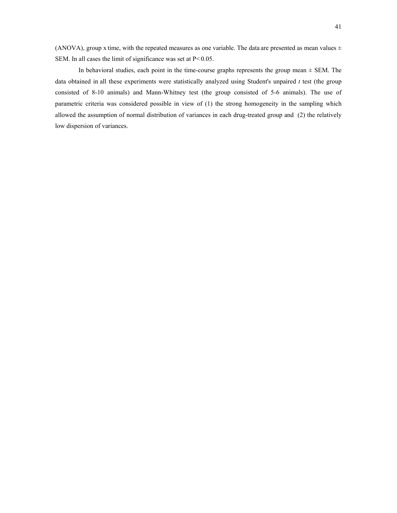(ANOVA), group x time, with the repeated measures as one variable. The data are presented as mean values  $\pm$ SEM. In all cases the limit of significance was set at  $P < 0.05$ .

In behavioral studies, each point in the time-course graphs represents the group mean  $\pm$  SEM. The data obtained in all these experiments were statistically analyzed using Student's unpaired *t* test (the group consisted of 8-10 animals) and Mann-Whitney test (the group consisted of 5-6 animals). The use of parametric criteria was considered possible in view of (1) the strong homogeneity in the sampling which allowed the assumption of normal distribution of variances in each drug-treated group and (2) the relatively low dispersion of variances.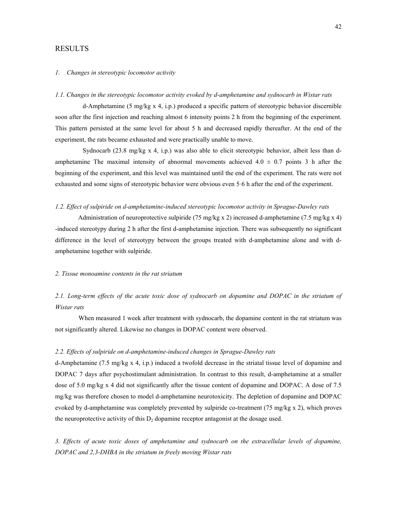## RESULTS

## *1. Changes in stereotypic locomotor activity*

## *1.1. Changes in the stereotypic locomotor activity evoked by d-amphetamine and sydnocarb in Wistar rats*

d-Amphetamine (5 mg/kg x 4, i.p.) produced a specific pattern of stereotypic behavior discernible soon after the first injection and reaching almost 6 intensity points 2 h from the beginning of the experiment. This pattern persisted at the same level for about 5 h and decreased rapidly thereafter. At the end of the experiment, the rats became exhausted and were practically unable to move.

Sydnocarb (23.8 mg/kg x 4, i.p.) was also able to elicit stereotypic behavior, albeit less than damphetamine The maximal intensity of abnormal movements achieved  $4.0 \pm 0.7$  points 3 h after the beginning of the experiment, and this level was maintained until the end of the experiment. The rats were not exhausted and some signs of stereotypic behavior were obvious even 5–6 h after the end of the experiment.

### *1.2. Effect of sulpiride on d-amphetamine-induced stereotypic locomotor activity in Sprague-Dawley rats*

Administration of neuroprotective sulpiride (75 mg/kg x 2) increased d-amphetamine (7.5 mg/kg x 4) -induced stereotypy during 2 h after the first d-amphetamine injection. There was subsequently no significant difference in the level of stereotypy between the groups treated with d-amphetamine alone and with damphetamine together with sulpiride.

## *2. Tissue monoamine contents in the rat striatum*

# *2.1. Long-term effects of the acute toxic dose of sydnocarb on dopamine and DOPAC in the striatum of Wistar rats*

When measured 1 week after treatment with sydnocarb, the dopamine content in the rat striatum was not significantly altered. Likewise no changes in DOPAC content were observed.

## *2.2. Effects of sulpiride on d-amphetamine-induced changes in Sprague-Dawley rats*

d-Amphetamine (7.5 mg/kg x 4, i.p.) induced a twofold decrease in the striatal tissue level of dopamine and DOPAC 7 days after psychostimulant administration. In contrast to this result, d-amphetamine at a smaller dose of 5.0 mg/kg x 4 did not significantly after the tissue content of dopamine and DOPAC. A dose of 7.5 mg/kg was therefore chosen to model d-amphetamine neurotoxicity. The depletion of dopamine and DOPAC evoked by d-amphetamine was completely prevented by sulpiride co-treatment (75 mg/kg x 2), which proves the neuroprotective activity of this  $D<sub>2</sub>$  dopamine receptor antagonist at the dosage used.

*3. Effects of acute toxic doses of amphetamine and sydnocarb on the extracellular levels of dopamine, DOPAC and 2,3-DHBA in the striatum in freely moving Wistar rats*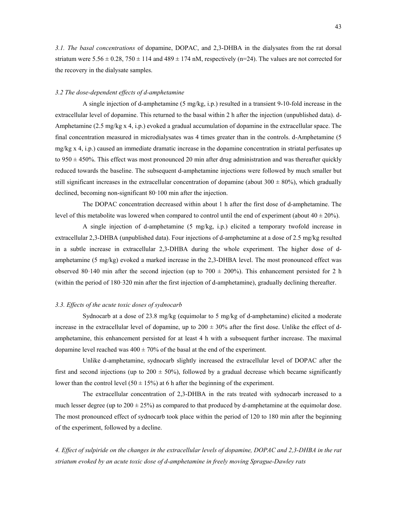*3.1. The basal concentrations* of dopamine, DOPAC, and 2,3-DHBA in the dialysates from the rat dorsal striatum were  $5.56 \pm 0.28$ ,  $750 \pm 114$  and  $489 \pm 174$  nM, respectively (n=24). The values are not corrected for the recovery in the dialysate samples.

## *3.2 The dose-dependent effects of d-amphetamine*

A single injection of d-amphetamine (5 mg/kg, i.p.) resulted in a transient 9-10-fold increase in the extracellular level of dopamine. This returned to the basal within 2 h after the injection (unpublished data). d-Amphetamine (2.5 mg/kg x 4, i.p.) evoked a gradual accumulation of dopamine in the extracellular space. The final concentration measured in microdialysates was 4 times greater than in the controls. d-Amphetamine (5 mg/kg x 4, i.p.) caused an immediate dramatic increase in the dopamine concentration in striatal perfusates up to  $950 \pm 450\%$ . This effect was most pronounced 20 min after drug administration and was thereafter quickly reduced towards the baseline. The subsequent d-amphetamine injections were followed by much smaller but still significant increases in the extracellular concentration of dopamine (about  $300 \pm 80\%$ ), which gradually declined, becoming non-significant 80–100 min after the injection.

The DOPAC concentration decreased within about 1 h after the first dose of d-amphetamine. The level of this metabolite was lowered when compared to control until the end of experiment (about  $40 \pm 20\%$ ).

A single injection of d-amphetamine (5 mg/kg, i.p.) elicited a temporary twofold increase in extracellular 2,3-DHBA (unpublished data). Four injections of d-amphetamine at a dose of 2.5 mg/kg resulted in a subtle increase in extracellular 2,3-DHBA during the whole experiment. The higher dose of damphetamine (5 mg/kg) evoked a marked increase in the 2,3-DHBA level. The most pronounced effect was observed 80-140 min after the second injection (up to  $700 \pm 200\%$ ). This enhancement persisted for 2 h (within the period of 180–320 min after the first injection of d-amphetamine), gradually declining thereafter.

### *3.3. Effects of the acute toxic doses of sydnocarb*

Sydnocarb at a dose of 23.8 mg/kg (equimolar to 5 mg/kg of d-amphetamine) elicited a moderate increase in the extracellular level of dopamine, up to  $200 \pm 30\%$  after the first dose. Unlike the effect of damphetamine, this enhancement persisted for at least 4 h with a subsequent further increase. The maximal dopamine level reached was  $400 \pm 70\%$  of the basal at the end of the experiment.

Unlike d-amphetamine, sydnocarb slightly increased the extracellular level of DOPAC after the first and second injections (up to  $200 \pm 50\%$ ), followed by a gradual decrease which became significantly lower than the control level (50  $\pm$  15%) at 6 h after the beginning of the experiment.

The extracellular concentration of 2,3-DHBA in the rats treated with sydnocarb increased to a much lesser degree (up to  $200 \pm 25\%$ ) as compared to that produced by d-amphetamine at the equimolar dose. The most pronounced effect of sydnocarb took place within the period of 120 to 180 min after the beginning of the experiment, followed by a decline.

*4. Effect of sulpiride on the changes in the extracellular levels of dopamine, DOPAC and 2,3-DHBA in the rat striatum evoked by an acute toxic dose of d-amphetamine in freely moving Sprague-Dawley rats*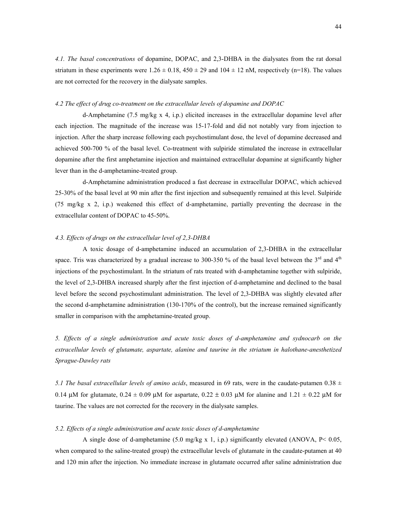*4.1. The basal concentrations* of dopamine, DOPAC, and 2,3-DHBA in the dialysates from the rat dorsal striatum in these experiments were  $1.26 \pm 0.18$ ,  $450 \pm 29$  and  $104 \pm 12$  nM, respectively (n=18). The values are not corrected for the recovery in the dialysate samples.

## *4.2 The effect of drug co-treatment on the extracellular levels of dopamine and DOPAC*

d-Amphetamine (7.5 mg/kg x 4, i.p.) elicited increases in the extracellular dopamine level after each injection. The magnitude of the increase was 15-17-fold and did not notably vary from injection to injection. After the sharp increase following each psychostimulant dose, the level of dopamine decreased and achieved 500-700 % of the basal level. Co-treatment with sulpiride stimulated the increase in extracellular dopamine after the first amphetamine injection and maintained extracellular dopamine at significantly higher lever than in the d-amphetamine-treated group.

d-Amphetamine administration produced a fast decrease in extracellular DOPAC, which achieved 25-30% of the basal level at 90 min after the first injection and subsequently remained at this level. Sulpiride (75 mg/kg x 2, i.p.) weakened this effect of d-amphetamine, partially preventing the decrease in the extracellular content of DOPAC to 45-50%.

#### *4.3. Effects of drugs on the extracellular level of 2,3-DHBA*

A toxic dosage of d-amphetamine induced an accumulation of 2,3-DHBA in the extracellular space. Tris was characterized by a gradual increase to 300-350 % of the basal level between the  $3<sup>rd</sup>$  and  $4<sup>th</sup>$ injections of the psychostimulant. In the striatum of rats treated with d-amphetamine together with sulpiride, the level of 2,3-DHBA increased sharply after the first injection of d-amphetamine and declined to the basal level before the second psychostimulant administration. The level of 2,3-DHBA was slightly elevated after the second d-amphetamine administration (130-170% of the control), but the increase remained significantly smaller in comparison with the amphetamine-treated group.

*5. Effects of a single administration and acute toxic doses of d-amphetamine and sydnocarb on the extracellular levels of glutamate, aspartate, alanine and taurine in the striatum in halothane-anesthetized Sprague-Dawley rats* 

*5.1 The basal extracellular levels of amino acids*, measured in 69 rats, were in the caudate-putamen  $0.38 \pm 0.003$ 0.14  $\mu$ M for glutamate, 0.24  $\pm$  0.09  $\mu$ M for aspartate, 0.22  $\pm$  0.03  $\mu$ M for alanine and 1.21  $\pm$  0.22  $\mu$ M for taurine. The values are not corrected for the recovery in the dialysate samples.

## *5.2. Effects of a single administration and acute toxic doses of d-amphetamine*

A single dose of d-amphetamine (5.0 mg/kg x 1, i.p.) significantly elevated (ANOVA,  $P < 0.05$ , when compared to the saline-treated group) the extracellular levels of glutamate in the caudate-putamen at 40 and 120 min after the injection. No immediate increase in glutamate occurred after saline administration due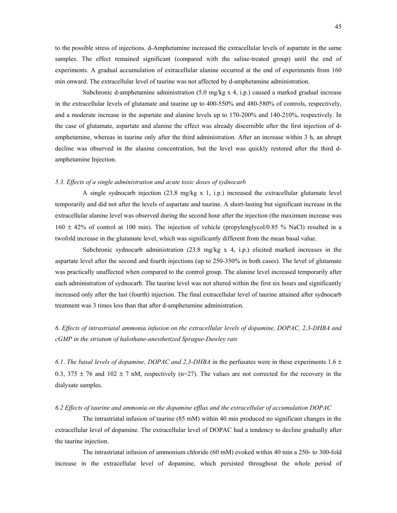to the possible stress of injections. d-Amphetamine increased the extracellular levels of aspartate in the same samples. The effect remained significant (compared with the saline-treated group) until the end of experiments. A gradual accumulation of extracellular alanine occurred at the end of experiments from 160 min onward. The extracellular level of taurine was not affected by d-amphetamine administration.

Subchronic d-amphetamine administration (5.0 mg/kg x 4, i.p.) caused a marked gradual increase in the extracellular levels of glutamate and taurine up to 400-550% and 480-580% of controls, respectively, and a moderate increase in the aspartate and alanine levels up to 170-200% and 140-210%, respectively. In the case of glutamate, aspartate and alanine the effect was already discernible after the first injection of damphetamine, whereas in taurine only after the third administration. After an increase within 3 h, an abrupt decline was observed in the alanine concentration, but the level was quickly restored after the third damphetamine Injection.

## *5.3. Effects of a single administration and acute toxic doses of sydnocarb*

A single sydnocarb injection  $(23.8 \text{ mg/kg x 1}, i.p.)$  increased the extracellular glutamate level temporarily and did not after the levels of aspartate and taurine. A short-lasting but significant increase in the extracellular alanine level was observed during the second hour after the injection (the maximum increase was  $160 \pm 42\%$  of control at 100 min). The injection of vehicle (propylenglycol/0.85 % NaCl) resulted in a twofold increase in the glutamate level, which was significantly different from the mean basal value.

Subchronic sydnocarb administration  $(23.8 \text{ mg/kg} \times 4, \text{i.p.})$  elicited marked increases in the aspartate level after the second and fourth injections (up to 250-350% in both cases). The level of glutamate was practically unaffected when compared to the control group. The alanine level increased temporarily after each administration of sydnocarb. The taurine level was not altered within the first six hours and significantly increased only after the last (fourth) injection. The final extracellular level of taurine attained after sydnocarb treatment was 3 times less than that after d-amphetamine administration.

# *6. Effects of intrastriatal ammonia infusion on the extracellular levels of dopamine, DOPAC, 2,3-DHBA and cGMP in the striatum of halothane-anesthetized Sprague-Dawley rats*

6.1. The basal levels of dopamine, DOPAC and 2,3-DHBA in the perfusates were in these experiments  $1.6 \pm$ 0.3, 375  $\pm$  76 and 102  $\pm$  7 nM, respectively (n=27). The values are not corrected for the recovery in the dialysate samples.

## *6.2 Effects of taurine and ammonia on the dopamine efflux and the extracellular of accumulation DOPAC*

The intrastriatal infusion of taurine (85 mM) within 40 min produced no significant changes in the extracellular level of dopamine. The extracellular level of DOPAC had a tendency to decline gradually after the taurine injection.

The intrastriatal infusion of ammonium chloride (60 mM) evoked within 40 min a 250- to 300-fold increase in the extracellular level of dopamine, which persisted throughout the whole period of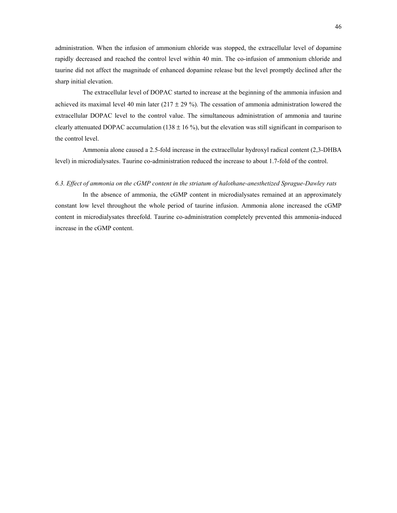administration. When the infusion of ammonium chloride was stopped, the extracellular level of dopamine rapidly decreased and reached the control level within 40 min. The co-infusion of ammonium chloride and taurine did not affect the magnitude of enhanced dopamine release but the level promptly declined after the sharp initial elevation.

The extracellular level of DOPAC started to increase at the beginning of the ammonia infusion and achieved its maximal level 40 min later ( $217 \pm 29$ %). The cessation of ammonia administration lowered the extracellular DOPAC level to the control value. The simultaneous administration of ammonia and taurine clearly attenuated DOPAC accumulation (138  $\pm$  16 %), but the elevation was still significant in comparison to the control level.

Ammonia alone caused a 2.5-fold increase in the extracellular hydroxyl radical content (2,3-DHBA level) in microdialysates. Taurine co-administration reduced the increase to about 1.7-fold of the control.

## *6.3. Effect of ammonia on the cGMP content in the striatum of halothane-anesthetized Sprague-Dawley rats*

In the absence of ammonia, the cGMP content in microdialysates remained at an approximately constant low level throughout the whole period of taurine infusion. Ammonia alone increased the cGMP content in microdialysates threefold. Taurine co-administration completely prevented this ammonia-induced increase in the cGMP content.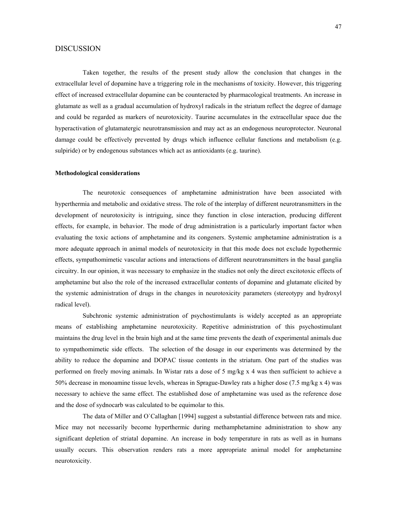# DISCUSSION

Taken together, the results of the present study allow the conclusion that changes in the extracellular level of dopamine have a triggering role in the mechanisms of toxicity. However, this triggering effect of increased extracellular dopamine can be counteracted by pharmacological treatments. An increase in glutamate as well as a gradual accumulation of hydroxyl radicals in the striatum reflect the degree of damage and could be regarded as markers of neurotoxicity. Taurine accumulates in the extracellular space due the hyperactivation of glutamatergic neurotransmission and may act as an endogenous neuroprotector. Neuronal damage could be effectively prevented by drugs which influence cellular functions and metabolism (e.g. sulpiride) or by endogenous substances which act as antioxidants (e.g. taurine).

#### **Methodological considerations**

The neurotoxic consequences of amphetamine administration have been associated with hyperthermia and metabolic and oxidative stress. The role of the interplay of different neurotransmitters in the development of neurotoxicity is intriguing, since they function in close interaction, producing different effects, for example, in behavior. The mode of drug administration is a particularly important factor when evaluating the toxic actions of amphetamine and its congeners. Systemic amphetamine administration is a more adequate approach in animal models of neurotoxicity in that this mode does not exclude hypothermic effects, sympathomimetic vascular actions and interactions of different neurotransmitters in the basal ganglia circuitry. In our opinion, it was necessary to emphasize in the studies not only the direct excitotoxic effects of amphetamine but also the role of the increased extracellular contents of dopamine and glutamate elicited by the systemic administration of drugs in the changes in neurotoxicity parameters (stereotypy and hydroxyl radical level).

Subchronic systemic administration of psychostimulants is widely accepted as an appropriate means of establishing amphetamine neurotoxicity. Repetitive administration of this psychostimulant maintains the drug level in the brain high and at the same time prevents the death of experimental animals due to sympathomimetic side effects. The selection of the dosage in our experiments was determined by the ability to reduce the dopamine and DOPAC tissue contents in the striatum. One part of the studies was performed on freely moving animals. In Wistar rats a dose of 5 mg/kg x 4 was then sufficient to achieve a 50% decrease in monoamine tissue levels, whereas in Sprague-Dawley rats a higher dose (7.5 mg/kg x 4) was necessary to achieve the same effect. The established dose of amphetamine was used as the reference dose and the dose of sydnocarb was calculated to be equimolar to this.

The data of Miller and O`Callaghan [1994] suggest a substantial difference between rats and mice. Mice may not necessarily become hyperthermic during methamphetamine administration to show any significant depletion of striatal dopamine. An increase in body temperature in rats as well as in humans usually occurs. This observation renders rats a more appropriate animal model for amphetamine neurotoxicity.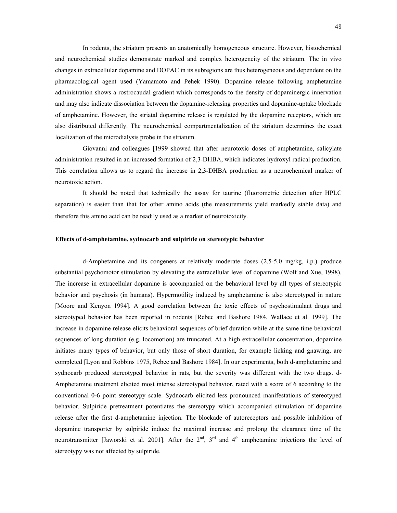In rodents, the striatum presents an anatomically homogeneous structure. However, histochemical and neurochemical studies demonstrate marked and complex heterogeneity of the striatum. The in vivo changes in extracellular dopamine and DOPAC in its subregions are thus heterogeneous and dependent on the pharmacological agent used (Yamamoto and Pehek 1990). Dopamine release following amphetamine administration shows a rostrocaudal gradient which corresponds to the density of dopaminergic innervation and may also indicate dissociation between the dopamine-releasing properties and dopamine-uptake blockade of amphetamine. However, the striatal dopamine release is regulated by the dopamine receptors, which are also distributed differently. The neurochemical compartmentalization of the striatum determines the exact localization of the microdialysis probe in the striatum.

Giovanni and colleagues [1999 showed that after neurotoxic doses of amphetamine, salicylate administration resulted in an increased formation of 2,3-DHBA, which indicates hydroxyl radical production. This correlation allows us to regard the increase in 2,3-DHBA production as a neurochemical marker of neurotoxic action.

It should be noted that technically the assay for taurine (fluorometric detection after HPLC separation) is easier than that for other amino acids (the measurements yield markedly stable data) and therefore this amino acid can be readily used as a marker of neurotoxicity*.* 

### **Effects of d-amphetamine, sydnocarb and sulpiride on stereotypic behavior**

d-Amphetamine and its congeners at relatively moderate doses (2.5-5.0 mg/kg, i.p.) produce substantial psychomotor stimulation by elevating the extracellular level of dopamine (Wolf and Xue, 1998). The increase in extracellular dopamine is accompanied on the behavioral level by all types of stereotypic behavior and psychosis (in humans). Hypermotility induced by amphetamine is also stereotyped in nature [Moore and Kenyon 1994]. A good correlation between the toxic effects of psychostimulant drugs and stereotyped behavior has been reported in rodents [Rebec and Bashore 1984, Wallace et al. 1999]. The increase in dopamine release elicits behavioral sequences of brief duration while at the same time behavioral sequences of long duration (e.g. locomotion) are truncated. At a high extracellular concentration, dopamine initiates many types of behavior, but only those of short duration, for example licking and gnawing, are completed [Lyon and Robbins 1975, Rebec and Bashore 1984]. In our experiments, both d-amphetamine and sydnocarb produced stereotyped behavior in rats, but the severity was different with the two drugs. d-Amphetamine treatment elicited most intense stereotyped behavior, rated with a score of 6 according to the conventional 0-6 point stereotypy scale. Sydnocarb elicited less pronounced manifestations of stereotyped behavior. Sulpiride pretreatment potentiates the stereotypy which accompanied stimulation of dopamine release after the first d-amphetamine injection. The blockade of autoreceptors and possible inhibition of dopamine transporter by sulpiride induce the maximal increase and prolong the clearance time of the neurotransmitter [Jaworski et al. 2001]. After the  $2<sup>nd</sup>$ ,  $3<sup>rd</sup>$  and  $4<sup>th</sup>$  amphetamine injections the level of stereotypy was not affected by sulpiride.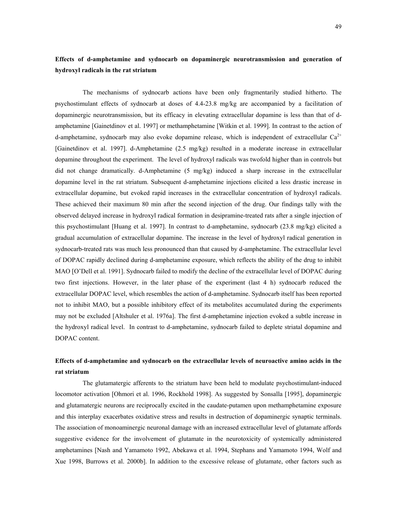# **Effects of d-amphetamine and sydnocarb on dopaminergic neurotransmission and generation of hydroxyl radicals in the rat striatum**

The mechanisms of sydnocarb actions have been only fragmentarily studied hitherto. The psychostimulant effects of sydnocarb at doses of 4.4-23.8 mg/kg are accompanied by a facilitation of dopaminergic neurotransmission, but its efficacy in elevating extracellular dopamine is less than that of damphetamine [Gainetdinov et al. 1997] or methamphetamine [Witkin et al. 1999]. In contrast to the action of d-amphetamine, sydnocarb may also evoke dopamine release, which is independent of extracellular  $Ca^{2+}$ [Gainetdinov et al. 1997]. d-Amphetamine (2.5 mg/kg) resulted in a moderate increase in extracellular dopamine throughout the experiment. The level of hydroxyl radicals was twofold higher than in controls but did not change dramatically. d-Amphetamine (5 mg/kg) induced a sharp increase in the extracellular dopamine level in the rat striatum. Subsequent d-amphetamine injections elicited a less drastic increase in extracellular dopamine, but evoked rapid increases in the extracellular concentration of hydroxyl radicals. These achieved their maximum 80 min after the second injection of the drug. Our findings tally with the observed delayed increase in hydroxyl radical formation in desipramine-treated rats after a single injection of this psychostimulant [Huang et al. 1997]. In contrast to d-amphetamine, sydnocarb (23.8 mg/kg) elicited a gradual accumulation of extracellular dopamine. The increase in the level of hydroxyl radical generation in sydnocarb-treated rats was much less pronounced than that caused by d-amphetamine. The extracellular level of DOPAC rapidly declined during d-amphetamine exposure, which reflects the ability of the drug to inhibit MAO [O'Dell et al. 1991]. Sydnocarb failed to modify the decline of the extracellular level of DOPAC during two first injections. However, in the later phase of the experiment (last 4 h) sydnocarb reduced the extracellular DOPAC level, which resembles the action of d-amphetamine. Sydnocarb itself has been reported not to inhibit MAO, but a possible inhibitory effect of its metabolites accumulated during the experiments may not be excluded [Altshuler et al. 1976a]. The first d-amphetamine injection evoked a subtle increase in the hydroxyl radical level. In contrast to d-amphetamine, sydnocarb failed to deplete striatal dopamine and DOPAC content.

# **Effects of d-amphetamine and sydnocarb on the extracellular levels of neuroactive amino acids in the rat striatum**

The glutamatergic afferents to the striatum have been held to modulate psychostimulant-induced locomotor activation [Ohmori et al. 1996, Rockhold 1998]. As suggested by Sonsalla [1995], dopaminergic and glutamatergic neurons are reciprocally excited in the caudate-putamen upon methamphetamine exposure and this interplay exacerbates oxidative stress and results in destruction of dopaminergic synaptic terminals. The association of monoaminergic neuronal damage with an increased extracellular level of glutamate affords suggestive evidence for the involvement of glutamate in the neurotoxicity of systemically administered amphetamines [Nash and Yamamoto 1992, Abekawa et al. 1994, Stephans and Yamamoto 1994, Wolf and Xue 1998, Burrows et al. 2000b]. In addition to the excessive release of glutamate, other factors such as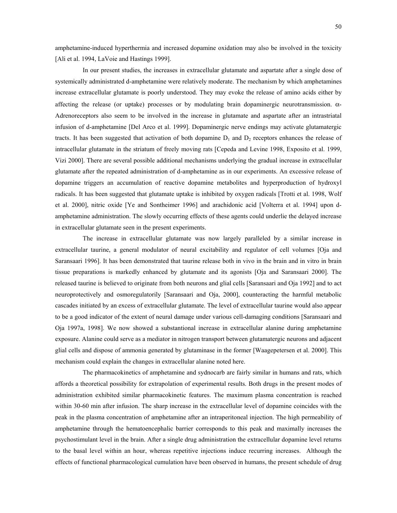amphetamine-induced hyperthermia and increased dopamine oxidation may also be involved in the toxicity [Ali et al. 1994, LaVoie and Hastings 1999].

In our present studies, the increases in extracellular glutamate and aspartate after a single dose of systemically administrated d-amphetamine were relatively moderate. The mechanism by which amphetamines increase extracellular glutamate is poorly understood. They may evoke the release of amino acids either by affecting the release (or uptake) processes or by modulating brain dopaminergic neurotransmission. α-Adrenoreceptors also seem to be involved in the increase in glutamate and aspartate after an intrastriatal infusion of d-amphetamine [Del Arco et al. 1999]. Dopaminergic nerve endings may activate glutamatergic tracts. It has been suggested that activation of both dopamine  $D_1$  and  $D_2$  receptors enhances the release of intracellular glutamate in the striatum of freely moving rats [Cepeda and Levine 1998, Exposito et al. 1999, Vizi 2000]. There are several possible additional mechanisms underlying the gradual increase in extracellular glutamate after the repeated administration of d-amphetamine as in our experiments. An excessive release of dopamine triggers an accumulation of reactive dopamine metabolites and hyperproduction of hydroxyl radicals. It has been suggested that glutamate uptake is inhibited by oxygen radicals [Trotti et al. 1998, Wolf et al. 2000], nitric oxide [Ye and Sontheimer 1996] and arachidonic acid [Volterra et al. 1994] upon damphetamine administration. The slowly occurring effects of these agents could underlie the delayed increase in extracellular glutamate seen in the present experiments.

The increase in extracellular glutamate was now largely paralleled by a similar increase in extracellular taurine, a general modulator of neural excitability and regulator of cell volumes [Oja and Saransaari 1996]. It has been demonstrated that taurine release both in vivo in the brain and in vitro in brain tissue preparations is markedly enhanced by glutamate and its agonists [Oja and Saransaari 2000]. The released taurine is believed to originate from both neurons and glial cells [Saransaari and Oja 1992] and to act neuroprotectively and osmoregulatorily [Saransaari and Oja, 2000], counteracting the harmful metabolic cascades initiated by an excess of extracellular glutamate. The level of extracellular taurine would also appear to be a good indicator of the extent of neural damage under various cell-damaging conditions [Saransaari and Oja 1997a, 1998]. We now showed a substantional increase in extracellular alanine during amphetamine exposure. Alanine could serve as a mediator in nitrogen transport between glutamatergic neurons and adjacent glial cells and dispose of ammonia generated by glutaminase in the former [Waagepetersen et al. 2000]. This mechanism could explain the changes in extracellular alanine noted here.

The pharmacokinetics of amphetamine and sydnocarb are fairly similar in humans and rats, which affords a theoretical possibility for extrapolation of experimental results. Both drugs in the present modes of administration exhibited similar pharmacokinetic features. The maximum plasma concentration is reached within 30-60 min after infusion. The sharp increase in the extracellular level of dopamine coincides with the peak in the plasma concentration of amphetamine after an intraperitoneal injection. The high permeability of amphetamine through the hematoencephalic barrier corresponds to this peak and maximally increases the psychostimulant level in the brain. After a single drug administration the extracellular dopamine level returns to the basal level within an hour, whereas repetitive injections induce recurring increases. Although the effects of functional pharmacological cumulation have been observed in humans, the present schedule of drug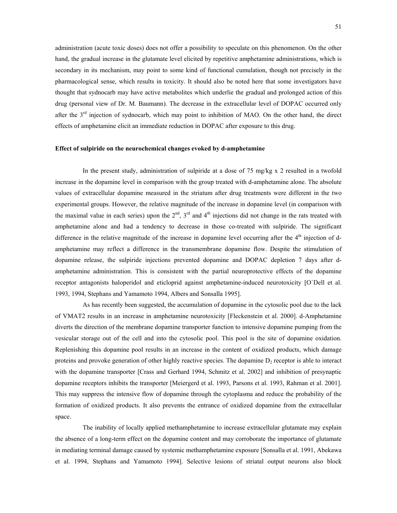administration (acute toxic doses) does not offer a possibility to speculate on this phenomenon. On the other hand, the gradual increase in the glutamate level elicited by repetitive amphetamine administrations, which is secondary in its mechanism, may point to some kind of functional cumulation, though not precisely in the pharmacological sense, which results in toxicity. It should also be noted here that some investigators have thought that sydnocarb may have active metabolites which underlie the gradual and prolonged action of this drug (personal view of Dr. M. Baumann). The decrease in the extracellular level of DOPAC occurred only after the 3<sup>rd</sup> injection of sydnocarb, which may point to inhibition of MAO. On the other hand, the direct effects of amphetamine elicit an immediate reduction in DOPAC after exposure to this drug.

## **Effect of sulpiride on the neurochemical changes evoked by d-amphetamine**

In the present study, administration of sulpiride at a dose of 75 mg/kg x 2 resulted in a twofold increase in the dopamine level in comparison with the group treated with d-amphetamine alone. The absolute values of extracellular dopamine measured in the striatum after drug treatments were different in the two experimental groups. However, the relative magnitude of the increase in dopamine level (in comparison with the maximal value in each series) upon the  $2<sup>nd</sup>$ ,  $3<sup>rd</sup>$  and  $4<sup>th</sup>$  injections did not change in the rats treated with amphetamine alone and had a tendency to decrease in those co-treated with sulpiride. The significant difference in the relative magnitude of the increase in dopamine level occurring after the  $4<sup>th</sup>$  injection of damphetamine may reflect a difference in the transmembrane dopamine flow. Despite the stimulation of dopamine release, the sulpiride injections prevented dopamine and DOPAC depletion 7 days after damphetamine administration. This is consistent with the partial neuroprotective effects of the dopamine receptor antagonists haloperidol and eticloprid against amphetamine-induced neurotoxicity [O`Dell et al. 1993, 1994, Stephans and Yamamoto 1994, Albers and Sonsalla 1995].

As has recently been suggested, the accumulation of dopamine in the cytosolic pool due to the lack of VMAT2 results in an increase in amphetamine neurotoxicity [Fleckenstein et al. 2000]. d-Amphetamine diverts the direction of the membrane dopamine transporter function to intensive dopamine pumping from the vesicular storage out of the cell and into the cytosolic pool. This pool is the site of dopamine oxidation. Replenishing this dopamine pool results in an increase in the content of oxidized products, which damage proteins and provoke generation of other highly reactive species. The dopamine  $D<sub>2</sub>$  receptor is able to interact with the dopamine transporter [Crass and Gerhard 1994, Schmitz et al. 2002] and inhibition of presynaptic dopamine receptors inhibits the transporter [Meiergerd et al. 1993, Parsons et al. 1993, Rahman et al. 2001]. This may suppress the intensive flow of dopamine through the cytoplasma and reduce the probability of the formation of oxidized products. It also prevents the entrance of oxidized dopamine from the extracellular space.

The inability of locally applied methamphetamine to increase extracellular glutamate may explain the absence of a long-term effect on the dopamine content and may corroborate the importance of glutamate in mediating terminal damage caused by systemic methamphetamine exposure [Sonsalla et al. 1991, Abekawa et al. 1994, Stephans and Yamamoto 1994]. Selective lesions of striatal output neurons also block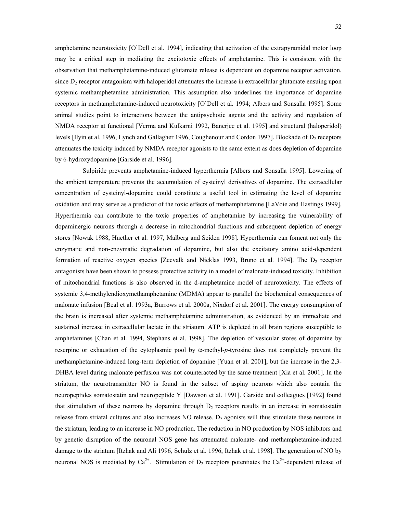amphetamine neurotoxicity [O`Dell et al. 1994], indicating that activation of the extrapyramidal motor loop may be a critical step in mediating the excitotoxic effects of amphetamine. This is consistent with the observation that methamphetamine-induced glutamate release is dependent on dopamine receptor activation, since  $D_2$  receptor antagonism with haloperidol attenuates the increase in extracellular glutamate ensuing upon systemic methamphetamine administration. This assumption also underlines the importance of dopamine receptors in methamphetamine-induced neurotoxicity [O`Dell et al. 1994; Albers and Sonsalla 1995]. Some animal studies point to interactions between the antipsychotic agents and the activity and regulation of NMDA receptor at functional [Verma and Kulkarni 1992, Banerjee et al. 1995] and structural (haloperidol) levels [Ilyin et al. 1996, Lynch and Gallagher 1996, Coughenour and Cordon 1997]. Blockade of  $D_2$  receptors attenuates the toxicity induced by NMDA receptor agonists to the same extent as does depletion of dopamine by 6-hydroxydopamine [Garside et al. 1996].

Sulpiride prevents amphetamine-induced hyperthermia [Albers and Sonsalla 1995]. Lowering of the ambient temperature prevents the accumulation of cysteinyl derivatives of dopamine. The extracellular concentration of cysteinyl-dopamine could constitute a useful tool in estimating the level of dopamine oxidation and may serve as a predictor of the toxic effects of methamphetamine [LaVoie and Hastings 1999]. Hyperthermia can contribute to the toxic properties of amphetamine by increasing the vulnerability of dopaminergic neurons through a decrease in mitochondrial functions and subsequent depletion of energy stores [Nowak 1988, Huether et al. 1997, Malberg and Seiden 1998]. Hyperthermia can foment not only the enzymatic and non-enzymatic degradation of dopamine, but also the excitatory amino acid-dependent formation of reactive oxygen species [Zeevalk and Nicklas 1993, Bruno et al. 1994]. The  $D_2$  receptor antagonists have been shown to possess protective activity in a model of malonate-induced toxicity. Inhibition of mitochondrial functions is also observed in the d-amphetamine model of neurotoxicity. The effects of systemic 3,4-methylendioxymethamphetamine (MDMA) appear to parallel the biochemical consequences of malonate infusion [Beal et al. 1993a, Burrows et al. 2000a, Nixdorf et al. 2001]. The energy consumption of the brain is increased after systemic methamphetamine administration, as evidenced by an immediate and sustained increase in extracellular lactate in the striatum. ATP is depleted in all brain regions susceptible to amphetamines [Chan et al. 1994, Stephans et al. 1998]. The depletion of vesicular stores of dopamine by reserpine or exhaustion of the cytoplasmic pool by α-methyl-*p*-tyrosine does not completely prevent the methamphetamine-induced long-term depletion of dopamine [Yuan et al. 2001], but the increase in the 2,3- DHBA level during malonate perfusion was not counteracted by the same treatment [Xia et al. 2001]. In the striatum, the neurotransmitter NO is found in the subset of aspiny neurons which also contain the neuropeptides somatostatin and neuropeptide Y [Dawson et al. 1991]. Garside and colleagues [1992] found that stimulation of these neurons by dopamine through  $D<sub>2</sub>$  receptors results in an increase in somatostatin release from striatal cultures and also increases NO release.  $D_2$  agonists will thus stimulate these neurons in the striatum, leading to an increase in NO production. The reduction in NO production by NOS inhibitors and by genetic disruption of the neuronal NOS gene has attenuated malonate- and methamphetamine-induced damage to the striatum [Itzhak and Ali 1996, Schulz et al. 1996, Itzhak et al. 1998]. The generation of NO by neuronal NOS is mediated by  $Ca^{2+}$ . Stimulation of  $D_2$  receptors potentiates the  $Ca^{2+}$ -dependent release of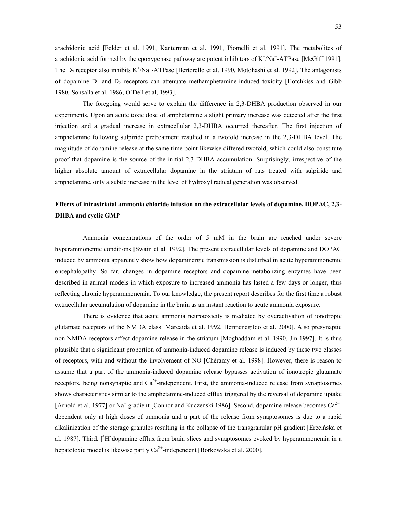arachidonic acid [Felder et al. 1991, Kanterman et al. 1991, Piomelli et al. 1991]. The metabolites of arachidonic acid formed by the epoxygenase pathway are potent inhibitors of  $K^+/Na^+$ -ATPase [McGiff 1991]. The  $D_2$  receptor also inhibits  $K^+/Na^+$ -ATPase [Bertorello et al. 1990, Motohashi et al. 1992]. The antagonists of dopamine  $D_1$  and  $D_2$  receptors can attenuate methamphetamine-induced toxicity [Hotchkiss and Gibb 1980, Sonsalla et al. 1986, O`Dell et al, 1993].

The foregoing would serve to explain the difference in 2,3-DHBA production observed in our experiments. Upon an acute toxic dose of amphetamine a slight primary increase was detected after the first injection and a gradual increase in extracellular 2,3-DHBA occurred thereafter. The first injection of amphetamine following sulpiride pretreatment resulted in a twofold increase in the 2,3-DHBA level. The magnitude of dopamine release at the same time point likewise differed twofold, which could also constitute proof that dopamine is the source of the initial 2,3-DHBA accumulation. Surprisingly, irrespective of the higher absolute amount of extracellular dopamine in the striatum of rats treated with sulpiride and amphetamine, only a subtle increase in the level of hydroxyl radical generation was observed.

# **Effects of intrastriatal ammonia chloride infusion on the extracellular levels of dopamine, DOPAC, 2,3- DHBA and cyclic GMP**

Ammonia concentrations of the order of 5 mM in the brain are reached under severe hyperammonemic conditions [Swain et al. 1992]. The present extracellular levels of dopamine and DOPAC induced by ammonia apparently show how dopaminergic transmission is disturbed in acute hyperammonemic encephalopathy. So far, changes in dopamine receptors and dopamine-metabolizing enzymes have been described in animal models in which exposure to increased ammonia has lasted a few days or longer, thus reflecting chronic hyperammonemia. To our knowledge, the present report describes for the first time a robust extracellular accumulation of dopamine in the brain as an instant reaction to acute ammonia exposure.

There is evidence that acute ammonia neurotoxicity is mediated by overactivation of ionotropic glutamate receptors of the NMDA class [Marcaida et al. 1992, Hermenegildo et al. 2000]. Also presynaptic non-NMDA receptors affect dopamine release in the striatum [Moghaddam et al. 1990, Jin 1997]. It is thus plausible that a significant proportion of ammonia-induced dopamine release is induced by these two classes of receptors, with and without the involvement of NO [ChÈramy et al. 1998]. However, there is reason to assume that a part of the ammonia-induced dopamine release bypasses activation of ionotropic glutamate receptors, being nonsynaptic and  $Ca<sup>2+</sup>$ -independent. First, the ammonia-induced release from synaptosomes shows characteristics similar to the amphetamine-induced efflux triggered by the reversal of dopamine uptake [Arnold et al, 1977] or Na<sup>+</sup> gradient [Connor and Kuczenski 1986]. Second, dopamine release becomes  $Ca^{2+}$ dependent only at high doses of ammonia and a part of the release from synaptosomes is due to a rapid alkalinization of the storage granules resulting in the collapse of the transgranular pH gradient [Erecińska et al. 1987]. Third,  $[3H]$ dopamine efflux from brain slices and synaptosomes evoked by hyperammonemia in a hepatotoxic model is likewise partly  $Ca^{2+}$ -independent [Borkowska et al. 2000].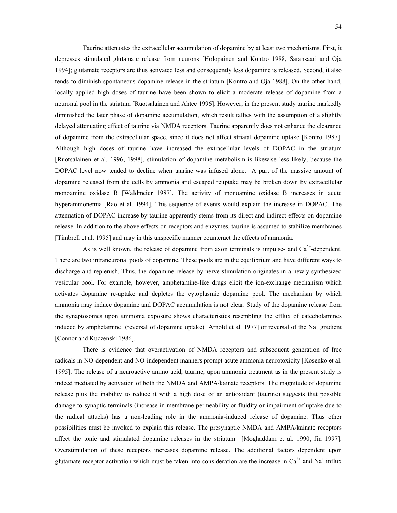Taurine attenuates the extracellular accumulation of dopamine by at least two mechanisms. First, it depresses stimulated glutamate release from neurons [Holopainen and Kontro 1988, Saransaari and Oja 1994]; glutamate receptors are thus activated less and consequently less dopamine is released. Second, it also tends to diminish spontaneous dopamine release in the striatum [Kontro and Oja 1988]. On the other hand, locally applied high doses of taurine have been shown to elicit a moderate release of dopamine from a neuronal pool in the striatum [Ruotsalainen and Ahtee 1996]. However, in the present study taurine markedly diminished the later phase of dopamine accumulation, which result tallies with the assumption of a slightly delayed attenuating effect of taurine via NMDA receptors. Taurine apparently does not enhance the clearance of dopamine from the extracellular space, since it does not affect striatal dopamine uptake [Kontro 1987]. Although high doses of taurine have increased the extracellular levels of DOPAC in the striatum [Ruotsalainen et al. 1996, 1998], stimulation of dopamine metabolism is likewise less likely, because the DOPAC level now tended to decline when taurine was infused alone. A part of the massive amount of dopamine released from the cells by ammonia and escaped reuptake may be broken down by extracellular monoamine oxidase B [Waldmeier 1987]. The activity of monoamine oxidase B increases in acute hyperammonemia [Rao et al. 1994]. This sequence of events would explain the increase in DOPAC. The attenuation of DOPAC increase by taurine apparently stems from its direct and indirect effects on dopamine release. In addition to the above effects on receptors and enzymes, taurine is assumed to stabilize membranes [Timbrell et al. 1995] and may in this unspecific manner counteract the effects of ammonia.

As is well known, the release of dopamine from axon terminals is impulse- and  $Ca<sup>2+</sup>$ -dependent. There are two intraneuronal pools of dopamine. These pools are in the equilibrium and have different ways to discharge and replenish. Thus, the dopamine release by nerve stimulation originates in a newly synthesized vesicular pool. For example, however, amphetamine-like drugs elicit the ion-exchange mechanism which activates dopamine re-uptake and depletes the cytoplasmic dopamine pool. The mechanism by which ammonia may induce dopamine and DOPAC accumulation is not clear. Study of the dopamine release from the synaptosomes upon ammonia exposure shows characteristics resembling the efflux of catecholamines induced by amphetamine (reversal of dopamine uptake) [Arnold et al. 1977] or reversal of the Na<sup>+</sup> gradient [Connor and Kuczenski 1986].

There is evidence that overactivation of NMDA receptors and subsequent generation of free radicals in NO-dependent and NO-independent manners prompt acute ammonia neurotoxicity [Kosenko et al. 1995]. The release of a neuroactive amino acid, taurine, upon ammonia treatment as in the present study is indeed mediated by activation of both the NMDA and AMPA/kainate receptors. The magnitude of dopamine release plus the inability to reduce it with a high dose of an antioxidant (taurine) suggests that possible damage to synaptic terminals (increase in membrane permeability or fluidity or impairment of uptake due to the radical attacks) has a non-leading role in the ammonia-induced release of dopamine. Thus other possibilities must be invoked to explain this release. The presynaptic NMDA and AMPA/kainate receptors affect the tonic and stimulated dopamine releases in the striatum [Moghaddam et al. 1990, Jin 1997]. Overstimulation of these receptors increases dopamine release. The additional factors dependent upon glutamate receptor activation which must be taken into consideration are the increase in  $Ca^{2+}$  and Na<sup>+</sup> influx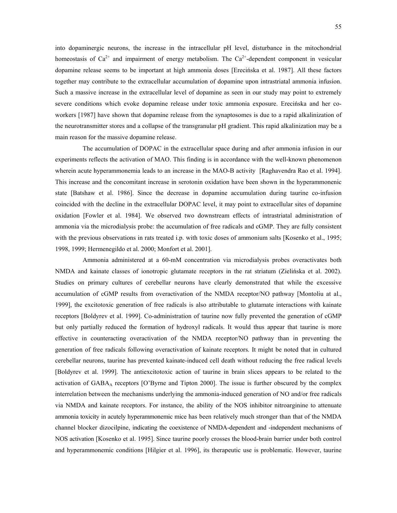into dopaminergic neurons, the increase in the intracellular pH level, disturbance in the mitochondrial homeostasis of  $Ca^{2+}$  and impairment of energy metabolism. The  $Ca^{2+}$ -dependent component in vesicular dopamine release seems to be important at high ammonia doses [Erecińska et al. 1987]. All these factors together may contribute to the extracellular accumulation of dopamine upon intrastriatal ammonia infusion. Such a massive increase in the extracellular level of dopamine as seen in our study may point to extremely severe conditions which evoke dopamine release under toxic ammonia exposure. Erecińska and her coworkers [1987] have shown that dopamine release from the synaptosomes is due to a rapid alkalinization of the neurotransmitter stores and a collapse of the transgranular pH gradient. This rapid alkalinization may be a main reason for the massive dopamine release.

The accumulation of DOPAC in the extracellular space during and after ammonia infusion in our experiments reflects the activation of MAO. This finding is in accordance with the well-known phenomenon wherein acute hyperammonemia leads to an increase in the MAO-B activity [Raghavendra Rao et al. 1994]. This increase and the concomitant increase in serotonin oxidation have been shown in the hyperammonenic state [Batshaw et al. 1986]. Since the decrease in dopamine accumulation during taurine co-infusion coincided with the decline in the extracellular DOPAC level, it may point to extracellular sites of dopamine oxidation [Fowler et al. 1984]. We observed two downstream effects of intrastriatal administration of ammonia via the microdialysis probe: the accumulation of free radicals and cGMP. They are fully consistent with the previous observations in rats treated i.p. with toxic doses of ammonium salts [Kosenko et al., 1995; 1998, 1999; Hermenegildo et al. 2000; Monfort et al. 2001].

Ammonia administered at a 60-mM concentration via microdialysis probes overactivates both NMDA and kainate classes of ionotropic glutamate receptors in the rat striatum (Zielińska et al. 2002). Studies on primary cultures of cerebellar neurons have clearly demonstrated that while the excessive accumulation of cGMP results from overactivation of the NMDA receptor/NO pathway [Montoliu at al., 1999], the excitotoxic generation of free radicals is also attributable to glutamate interactions with kainate receptors [Boldyrev et al. 1999]. Co-administration of taurine now fully prevented the generation of cGMP but only partially reduced the formation of hydroxyl radicals. It would thus appear that taurine is more effective in counteracting overactivation of the NMDA receptor/NO pathway than in preventing the generation of free radicals following overactivation of kainate receptors. It might be noted that in cultured cerebellar neurons, taurine has prevented kainate-induced cell death without reducing the free radical levels [Boldyrev et al. 1999]. The antiexcitotoxic action of taurine in brain slices appears to be related to the activation of  $GABA_A$  receptors  $[O'B$ yrne and Tipton 2000]. The issue is further obscured by the complex interrelation between the mechanisms underlying the ammonia-induced generation of NO and/or free radicals via NMDA and kainate receptors. For instance, the ability of the NOS inhibitor nitroarginine to attenuate ammonia toxicity in acutely hyperammonemic mice has been relatively much stronger than that of the NMDA channel blocker dizocilpine, indicating the coexistence of NMDA-dependent and -independent mechanisms of NOS activation [Kosenko et al. 1995]. Since taurine poorly crosses the blood-brain barrier under both control and hyperammonemic conditions [Hilgier et al. 1996], its therapeutic use is problematic. However, taurine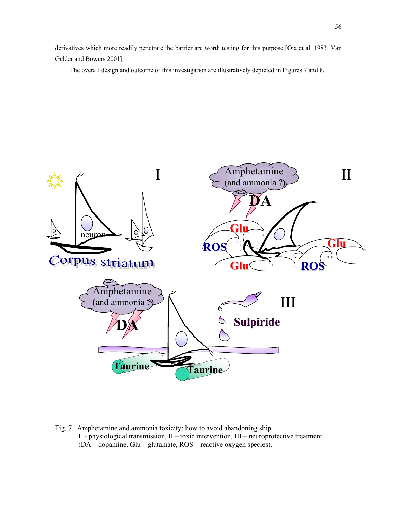derivatives which more readily penetrate the barrier are worth testing for this purpose [Oja et al. 1983, Van Gelder and Bowers 2001].

The overall design and outcome of this investigation are illustratively depicted in Figures 7 and 8.



Fig. 7. Amphetamine and ammonia toxicity: how to avoid abandoning ship. I - physiological transmission, II – toxic intervention, III – neuroprotective treatment. (DA – dopamine, Glu – glutamate, ROS – reactive oxygen species).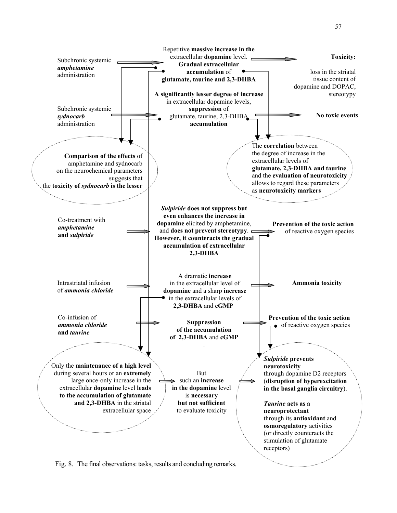

Fig. 8. The final observations: tasks, results and concluding remarks.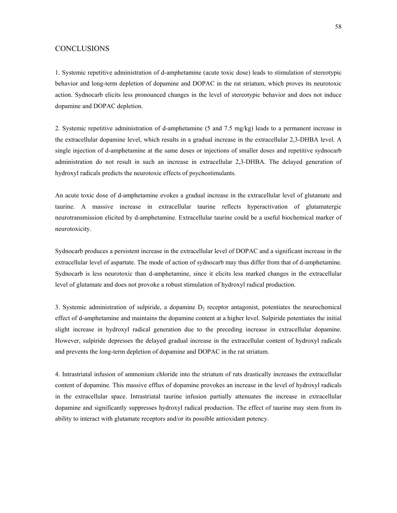## **CONCLUSIONS**

1. Systemic repetitive administration of d-amphetamine (acute toxic dose) leads to stimulation of stereotypic behavior and long-term depletion of dopamine and DOPAC in the rat striatum, which proves its neurotoxic action. Sydnocarb elicits less pronounced changes in the level of stereotypic behavior and does not induce dopamine and DOPAC depletion.

2. Systemic repetitive administration of d-amphetamine (5 and 7.5 mg/kg) leads to a permanent increase in the extracellular dopamine level, which results in a gradual increase in the extracellular 2,3-DHBA level. A single injection of d-amphetamine at the same doses or injections of smaller doses and repetitive sydnocarb administration do not result in such an increase in extracellular 2,3-DHBA. The delayed generation of hydroxyl radicals predicts the neurotoxic effects of psychostimulants.

An acute toxic dose of d-amphetamine evokes a gradual increase in the extracellular level of glutamate and taurine. A massive increase in extracellular taurine reflects hyperactivation of glutamatergic neurotransmission elicited by d-amphetamine. Extracellular taurine could be a useful biochemical marker of neurotoxicity.

Sydnocarb produces a persistent increase in the extracellular level of DOPAC and a significant increase in the extracellular level of aspartate. The mode of action of sydnocarb may thus differ from that of d-amphetamine. Sydnocarb is less neurotoxic than d-amphetamine, since it elicits less marked changes in the extracellular level of glutamate and does not provoke a robust stimulation of hydroxyl radical production.

3. Systemic administration of sulpiride, a dopamine  $D_2$  receptor antagonist, potentiates the neurochemical effect of d-amphetamine and maintains the dopamine content at a higher level. Sulpiride potentiates the initial slight increase in hydroxyl radical generation due to the preceding increase in extracellular dopamine. However, sulpiride depresses the delayed gradual increase in the extracellular content of hydroxyl radicals and prevents the long-term depletion of dopamine and DOPAC in the rat striatum.

4. Intrastriatal infusion of ammonium chloride into the striatum of rats drastically increases the extracellular content of dopamine. This massive efflux of dopamine provokes an increase in the level of hydroxyl radicals in the extracellular space. Intrastriatal taurine infusion partially attenuates the increase in extracellular dopamine and significantly suppresses hydroxyl radical production. The effect of taurine may stem from its ability to interact with glutamate receptors and/or its possible antioxidant potency.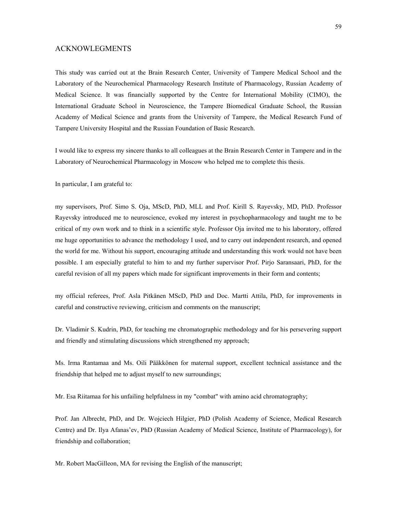## ACKNOWLEGMENTS

This study was carried out at the Brain Research Center, University of Tampere Medical School and the Laboratory of the Neurochemical Pharmacology Research Institute of Pharmacology, Russian Academy of Medical Science. It was financially supported by the Centre for International Mobility (CIMO), the International Graduate School in Neuroscience, the Tampere Biomedical Graduate School, the Russian Academy of Medical Science and grants from the University of Tampere, the Medical Research Fund of Tampere University Hospital and the Russian Foundation of Basic Research.

I would like to express my sincere thanks to all colleagues at the Brain Research Center in Tampere and in the Laboratory of Neurochemical Pharmacology in Moscow who helped me to complete this thesis.

In particular, I am grateful to:

my supervisors, Prof. Simo S. Oja, MScD, PhD, MLL and Prof. Kirill S. Rayevsky, MD, PhD. Professor Rayevsky introduced me to neuroscience, evoked my interest in psychopharmacology and taught me to be critical of my own work and to think in a scientific style. Professor Oja invited me to his laboratory, offered me huge opportunities to advance the methodology I used, and to carry out independent research, and opened the world for me. Without his support, encouraging attitude and understanding this work would not have been possible. I am especially grateful to him to and my further supervisor Prof. Pirjo Saransaari, PhD, for the careful revision of all my papers which made for significant improvements in their form and contents;

my official referees, Prof. Asla Pitkänen MScD, PhD and Doc. Martti Attila, PhD, for improvements in careful and constructive reviewing, criticism and comments on the manuscript;

Dr. Vladimir S. Kudrin, PhD, for teaching me chromatographic methodology and for his persevering support and friendly and stimulating discussions which strengthened my approach;

Ms. Irma Rantamaa and Ms. Oili Pääkkönen for maternal support, excellent technical assistance and the friendship that helped me to adjust myself to new surroundings;

Mr. Esa Riitamaa for his unfailing helpfulness in my "combat" with amino acid chromatography;

Prof. Jan Albrecht, PhD, and Dr. Wojciech Hilgier, PhD (Polish Academy of Science, Medical Research Centre) and Dr. Ilya Afanasíev, PhD (Russian Academy of Medical Science, Institute of Pharmacology), for friendship and collaboration;

Mr. Robert MacGilleon, MA for revising the English of the manuscript;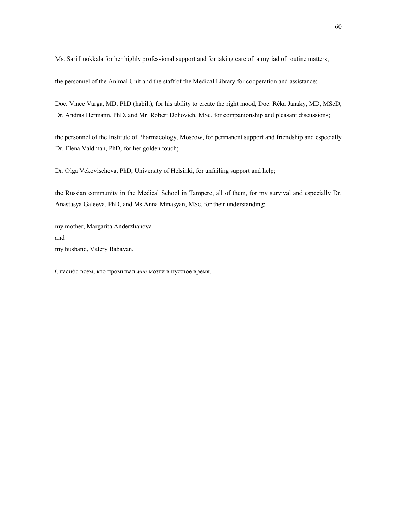Ms. Sari Luokkala for her highly professional support and for taking care of a myriad of routine matters;

the personnel of the Animal Unit and the staff of the Medical Library for cooperation and assistance;

Doc. Vince Varga, MD, PhD (habil.), for his ability to create the right mood, Doc. Réka Janaky, MD, MScD, Dr. Andras Hermann, PhD, and Mr. Róbert Dohovich, MSc, for companionship and pleasant discussions;

the personnel of the Institute of Pharmacology, Moscow, for permanent support and friendship and especially Dr. Elena Valdman, PhD, for her golden touch;

Dr. Olga Vekovischeva, PhD, University of Helsinki, for unfailing support and help;

the Russian community in the Medical School in Tampere, all of them, for my survival and especially Dr. Anastasya Galeeva, PhD, and Ms Anna Minasyan, MSc, for their understanding;

my mother, Margarita Anderzhanova and my husband, Valery Babayan.

Cпасибо всем, кто промывал *мне* мозги в нужное время.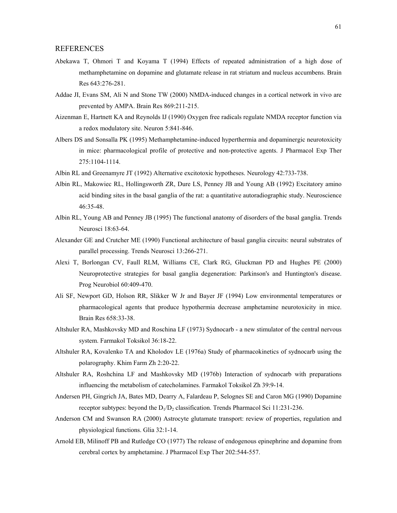### REFERENCES

- Abekawa T, Ohmori T and Koyama T (1994) Effects of repeated administration of a high dose of methamphetamine on dopamine and glutamate release in rat striatum and nucleus accumbens. Brain Res 643:276-281.
- Addae JI, Evans SM, Ali N and Stone TW (2000) NMDA-induced changes in a cortical network in vivo are prevented by AMPA. Brain Res 869:211-215.
- Aizenman E, Hartnett KA and Reynolds IJ (1990) Oxygen free radicals regulate NMDA receptor function via a redox modulatory site. Neuron 5:841-846.
- Albers DS and Sonsalla PK (1995) Methamphetamine-induced hyperthermia and dopaminergic neurotoxicity in mice: pharmacological profile of protective and non-protective agents. J Pharmacol Exp Ther 275:1104-1114.
- Albin RL and Greenamyre JT (1992) Alternative excitotoxic hypotheses. Neurology 42:733-738.
- Albin RL, Makowiec RL, Hollingsworth ZR, Dure LS, Penney JB and Young AB (1992) Excitatory amino acid binding sites in the basal ganglia of the rat: a quantitative autoradiographic study. Neuroscience 46:35-48.
- Albin RL, Young AB and Penney JB (1995) The functional anatomy of disorders of the basal ganglia. Trends Neurosci 18:63-64.
- Alexander GE and Crutcher ME (1990) Functional architecture of basal ganglia circuits: neural substrates of parallel processing. Trends Neurosci 13:266-271.
- Alexi T, Borlongan CV, Faull RLM, Williams CE, Clark RG, Gluckman PD and Hughes PE (2000) Neuroprotective strategies for basal ganglia degeneration: Parkinson's and Huntington's disease. Prog Neurobiol 60:409-470.
- Ali SF, Newport GD, Holson RR, Slikker W Jr and Bayer JF (1994) Low environmental temperatures or pharmacological agents that produce hypothermia decrease amphetamine neurotoxicity in mice. Brain Res 658:33-38.
- Altshuler RA, Mashkovsky MD and Roschina LF (1973) Sydnocarb a new stimulator of the central nervous system. Farmakol Toksikol 36:18-22.
- Altshuler RA, Kovalenko TA and Kholodov LE (1976a) Study of pharmacokinetics of sydnocarb using the polarography. Khim Farm Zh 2:20-22.
- Altshuler RA, Roshchina LF and Mashkovsky MD (1976b) Interaction of sydnocarb with preparations influencing the metabolism of catecholamines. Farmakol Toksikol Zh 39:9-14.
- Andersen PH, Gingrich JA, Bates MD, Dearry A, Falardeau P, Selognes SE and Caron MG (1990) Dopamine receptor subtypes: beyond the  $D_1/D_2$  classification. Trends Pharmacol Sci 11:231-236.
- Anderson CM and Swanson RA (2000) Astrocyte glutamate transport: review of properties, regulation and physiological functions. Glia 32:1-14.
- Arnold EB, Milinoff PB and Rutledge CO (1977) The release of endogenous epinephrine and dopamine from cerebral cortex by amphetamine. J Pharmacol Exp Ther 202:544-557.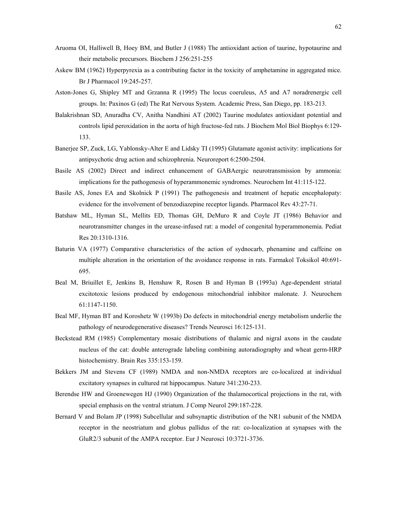- Aruoma OI, Halliwell B, Hoey BM, and Butler J (1988) The antioxidant action of taurine, hypotaurine and their metabolic precursors. Biochem J 256:251-255
- Askew BM (1962) Hyperpyrexia as a contributing factor in the toxicity of amphetamine in aggregated mice. Br J Pharmacol 19:245-257.
- Aston-Jones G, Shipley MT and Grzanna R (1995) The locus coeruleus, A5 and A7 noradrenergic cell groups. In: Paxinos G (ed) The Rat Nervous System. Academic Press, San Diego, pp. 183-213.
- Balakrishnan SD, Anuradha CV, Anitha Nandhini AT (2002) Taurine modulates antioxidant potential and controls lipid peroxidation in the aorta of high fructose-fed rats. J Biochem Mol Biol Biophys 6:129- 133.
- Banerjee SP, Zuck, LG, Yablonsky-Alter E and Lidsky TI (1995) Glutamate agonist activity: implications for antipsychotic drug action and schizophrenia. Neuroreport 6:2500-2504.
- Basile AS (2002) Direct and indirect enhancement of GABAergic neurotransmission by ammonia: implications for the pathogenesis of hyperammonemic syndromes. Neurochem Int 41:115-122.
- Basile AS, Jones EA and Skolnick P (1991) The pathogenesis and treatment of hepatic encephalopaty: evidence for the involvement of benzodiazepine receptor ligands. Pharmacol Rev 43:27-71.
- Batshaw ML, Hyman SL, Mellits ED, Thomas GH, DeMuro R and Coyle JT (1986) Behavior and neurotransmitter changes in the urease-infused rat: a model of congenital hyperammonemia. Pediat Res 20:1310-1316.
- Baturin VA (1977) Comparative characteristics of the action of sydnocarb, phenamine and caffeine on multiple alteration in the orientation of the avoidance response in rats. Farmakol Toksikol 40:691- 695.
- Beal M, Briuillet E, Jenkins B, Henshaw R, Rosen B and Hyman B (1993a) Age-dependent striatal excitotoxic lesions produced by endogenous mitochondrial inhibitor malonate. J. Neurochem 61:1147-1150.
- Beal MF, Hyman BT and Koroshetz W (1993b) Do defects in mitochondrial energy metabolism underlie the pathology of neurodegenerative diseases? Trends Neurosci 16:125-131.
- Beckstead RM (1985) Complementary mosaic distributions of thalamic and nigral axons in the caudate nucleus of the cat: double anterograde labeling combining autoradiography and wheat germ-HRP histochemistry. Brain Res 335:153-159.
- Bekkers JM and Stevens CF (1989) NMDA and non-NMDA receptors are co-localized at individual excitatory synapses in cultured rat hippocampus. Nature 341:230-233.
- Berendse HW and Groenewegen HJ (1990) Organization of the thalamocortical projections in the rat, with special emphasis on the ventral striatum. J Comp Neurol 299:187-228.
- Bernard V and Bolam JP (1998) Subcellular and subsynaptic distribution of the NR1 subunit of the NMDA receptor in the neostriatum and globus pallidus of the rat: co-localization at synapses with the GluR2/3 subunit of the AMPA receptor. Eur J Neurosci 10:3721-3736.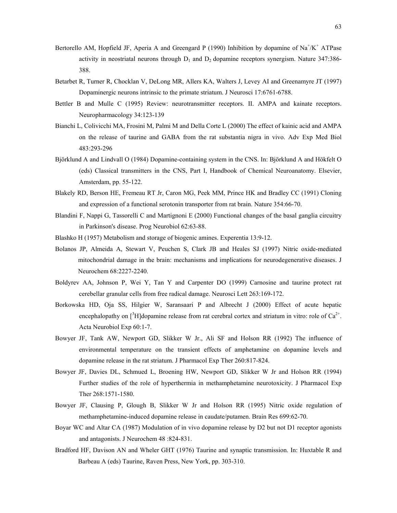- Bertorello AM, Hopfield JF, Aperia A and Greengard P (1990) Inhibition by dopamine of  $Na^{\dagger}/K^{\dagger}$  ATPase activity in neostriatal neurons through  $D_1$  and  $D_2$  dopamine receptors synergism. Nature 347:386-388.
- Betarbet R, Turner R, Chocklan V, DeLong MR, Allers KA, Walters J, Levey AI and Greenamyre JT (1997) Dopaminergic neurons intrinsic to the primate striatum. J Neurosci 17:6761-6788.
- Bettler B and Mulle C (1995) Review: neurotransmitter receptors. II. AMPA and kainate receptors. Neuropharmacology 34:123-139
- Bianchi L, Colivicchi MA, Frosini M, Palmi M and Della Corte L (2000) The effect of kainic acid and AMPA on the release of taurine and GABA from the rat substantia nigra in vivo. Adv Exp Med Biol 483:293-296
- Björklund A and Lindvall O (1984) Dopamine-containing system in the CNS. In: Björklund A and Hökfelt O (eds) Classical transmitters in the CNS, Part I, Handbook of Chemical Neuroanatomy. Elsevier, Amsterdam, pp. 55-122.
- Blakely RD, Berson HE, Fremeau RT Jr, Caron MG, Peek MM, Prince HK and Bradley CC (1991) Cloning and expression of a functional serotonin transporter from rat brain. Nature 354:66-70.
- Blandini F, Nappi G, Tassorelli C and Martignoni E (2000) Functional changes of the basal ganglia circuitry in Parkinson's disease. Prog Neurobiol 62:63-88.
- Blashko H (1957) Metabolism and storage of biogenic amines. Experentia 13:9-12.
- Bolanos JP, Almeida A, Stewart V, Peuchen S, Clark JB and Heales SJ (1997) Nitric oxide-mediated mitochondrial damage in the brain: mechanisms and implications for neurodegenerative diseases. J Neurochem 68:2227-2240.
- Boldyrev AA, Johnson P, Wei Y, Tan Y and Carpenter DO (1999) Carnosine and taurine protect rat cerebellar granular cells from free radical damage. Neurosci Lett 263:169-172.
- Borkowska HD, Oja SS, Hilgier W, Saransaari P and Albrecht J (2000) Effect of acute hepatic encephalopathy on  $[^{3}H]$ dopamine release from rat cerebral cortex and striatum in vitro: role of Ca<sup>2+</sup>. Acta Neurobiol Exp 60:1-7.
- Bowyer JF, Tank AW, Newport GD, Slikker W Jr., Ali SF and Holson RR (1992) The influence of environmental temperature on the transient effects of amphetamine on dopamine levels and dopamine release in the rat striatum. J Pharmacol Exp Ther 260:817-824.
- Bowyer JF, Davies DL, Schmued L, Broening HW, Newport GD, Slikker W Jr and Holson RR (1994) Further studies of the role of hyperthermia in methamphetamine neurotoxicity. J Pharmacol Exp Ther 268:1571-1580.
- Bowyer JF, Clausing P, Glough B, Slikker W Jr and Holson RR (1995) Nitric oxide regulation of methamphetamine-induced dopamine release in caudate/putamen. Brain Res 699:62-70.
- Boyar WC and Altar CA (1987) Modulation of in vivo dopamine release by D2 but not D1 receptor agonists and antagonists. J Neurochem 48 :824-831.
- Bradford HF, Davison AN and Wheler GHT (1976) Taurine and synaptic transmission. In: Huxtable R and Barbeau A (eds) Taurine, Raven Press, New York, pp. 303-310.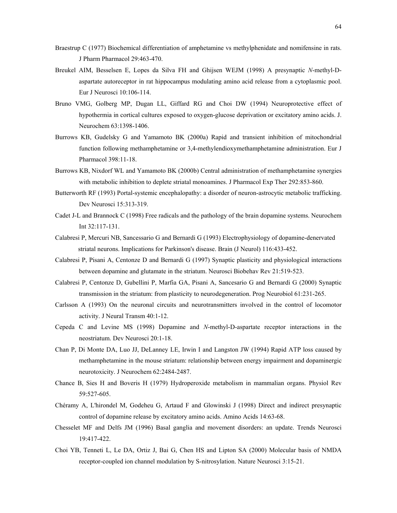- Braestrup C (1977) Biochemical differentiation of amphetamine vs methylphenidate and nomifensine in rats. J Pharm Pharmacol 29:463-470.
- Breukel AIM, Besselsen E, Lopes da Silva FH and Ghijsen WEJM (1998) A presynaptic *N*-methyl-Daspartate autoreceptor in rat hippocampus modulating amino acid release from a cytoplasmic pool. Eur J Neurosci 10:106-114.
- Bruno VMG, Golberg MP, Dugan LL, Giffard RG and Choi DW (1994) Neuroprotective effect of hypothermia in cortical cultures exposed to oxygen-glucose deprivation or excitatory amino acids. J. Neurochem 63:1398-1406.
- Burrows KB, Gudelsky G and Yamamoto BK (2000a) Rapid and transient inhibition of mitochondrial function following methamphetamine or 3,4-methylendioxymethamphetamine administration. Eur J Pharmacol 398:11-18.
- Burrows KB, Nixdorf WL and Yamamoto BK (2000b) Central administration of methamphetamine synergies with metabolic inhibition to deplete striatal monoamines. J Pharmacol Exp Ther 292:853-860.
- Butterworth RF (1993) Portal-systemic encephalopathy: a disorder of neuron-astrocytic metabolic trafficking. Dev Neurosci 15:313-319.
- Cadet J-L and Brannock C (1998) Free radicals and the pathology of the brain dopamine systems. Neurochem Int 32:117-131.
- Calabresi P, Mercuri NB, Sancessario G and Bernardi G (1993) Electrophysiology of dopamine-denervated striatal neurons. Implications for Parkinson's disease. Brain (J Neurol) 116:433-452.
- Calabresi P, Pisani A, Centonze D and Bernardi G (1997) Synaptic plasticity and physiological interactions between dopamine and glutamate in the striatum. Neurosci Biobehav Rev 21:519-523.
- Calabresi P, Centonze D, Gubellini P, Marfia GA, Pisani A, Sancesario G and Bernardi G (2000) Synaptic transmission in the striatum: from plasticity to neurodegeneration. Prog Neurobiol 61:231-265.
- Carlsson A (1993) On the neuronal circuits and neurotransmitters involved in the control of locomotor activity. J Neural Transm 40:1-12.
- Cepeda C and Levine MS (1998) Dopamine and *N*-methyl-D-aspartate receptor interactions in the neostriatum. Dev Neurosci 20:1-18.
- Chan P, Di Monte DA, Luo JJ, DeLanney LE, Irwin I and Langston JW (1994) Rapid ATP loss caused by methamphetamine in the mouse striatum: relationship between energy impairment and dopaminergic neurotoxicity. J Neurochem 62:2484-2487.
- Chance B, Sies H and Boveris H (1979) Hydroperoxide metabolism in mammalian organs. Physiol Rev 59:527-605.
- Chéramy A, L'hirondel M, Godeheu G, Artaud F and Glowinski J (1998) Direct and indirect presynaptic control of dopamine release by excitatory amino acids. Amino Acids 14:63-68.
- Chesselet MF and Delfs JM (1996) Basal ganglia and movement disorders: an update. Trends Neurosci 19:417-422.
- Choi YB, Tenneti L, Le DA, Ortiz J, Bai G, Chen HS and Lipton SA (2000) Molecular basis of NMDA receptor-coupled ion channel modulation by S-nitrosylation. Nature Neurosci 3:15-21.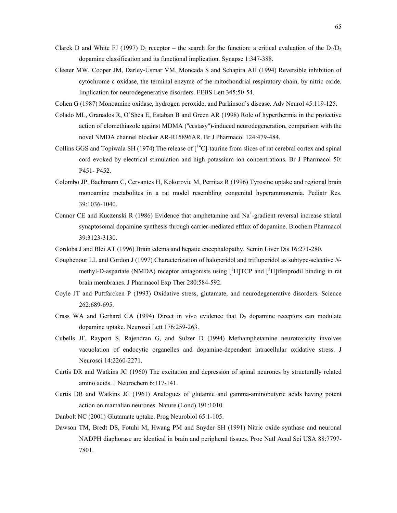- Clarck D and White FJ (1997)  $D_1$  receptor the search for the function: a critical evaluation of the  $D_1/D_2$ dopamine classification and its functional implication. Synapse 1:347-388.
- Cleeter MW, Cooper JM, Darley-Usmar VM, Moncada S and Schapira AH (1994) Reversible inhibition of cytochrome c oxidase, the terminal enzyme of the mitochondrial respiratory chain, by nitric oxide. Implication for neurodegenerative disorders. FEBS Lett 345:50-54.
- Cohen G (1987) Monoamine oxidase, hydrogen peroxide, and Parkinson's disease. Adv Neurol 45:119-125.
- Colado ML, Granados R, O`Shea E, Estaban B and Green AR (1998) Role of hyperthermia in the protective action of clomethiazole against MDMA (''ecstasy'')-induced neurodegeneration, comparison with the novel NMDA channel blocker AR-R15896AR. Br J Pharmacol 124:479-484.
- Collins GGS and Topiwala SH (1974) The release of  $\int_1^{14}C$ -taurine from slices of rat cerebral cortex and spinal cord evoked by electrical stimulation and high potassium ion concentrations. Br J Pharmacol 50: P451- P452.
- Colombo JP, Bachmann C, Cervantes H, Kokorovic M, Perritaz R (1996) Tyrosine uptake and regional brain monoamine metabolites in a rat model resembling congenital hyperammonemia. Pediatr Res. 39:1036-1040.
- Connor CE and Kuczenski R (1986) Evidence that amphetamine and Na<sup>+</sup>-gradient reversal increase striatal synaptosomal dopamine synthesis through carrier-mediated efflux of dopamine. Biochem Pharmacol 39:3123-3130.
- Cordoba J and Blei AT (1996) Brain edema and hepatic encephalopathy. Semin Liver Dis 16:271-280.
- Coughenour LL and Cordon J (1997) Characterization of haloperidol and trifluperidol as subtype-selective *N*methyl-D-aspartate (NMDA) receptor antagonists using  $[^{3}H] TCP$  and  $[^{3}H]$ ifenprodil binding in rat brain membranes. J Pharmacol Exp Ther 280:584-592.
- Coyle JT and Puttfarcken P (1993) Oxidative stress, glutamate, and neurodegenerative disorders. Science 262:689-695.
- Crass WA and Gerhard GA (1994) Direct in vivo evidence that  $D_2$  dopamine receptors can modulate dopamine uptake. Neurosci Lett 176:259-263.
- Cubells JF, Rayport S, Rajendran G, and Sulzer D (1994) Methamphetamine neurotoxicity involves vacuolation of endocytic organelles and dopamine-dependent intracellular oxidative stress. J Neurosci 14:2260-2271.
- Curtis DR and Watkins JC (1960) The excitation and depression of spinal neurones by structurally related amino acids. J Neurochem 6:117-141.
- Curtis DR and Watkins JC (1961) Analogues of glutamic and gamma-aminobutyric acids having potent action on mamalian neurones. Nature (Lond) 191:1010.
- Danbolt NC (2001) Glutamate uptake. Prog Neurobiol 65:1-105.
- Dawson TM, Bredt DS, Fotuhi M, Hwang PM and Snyder SH (1991) Nitric oxide synthase and neuronal NADPH diaphorase are identical in brain and peripheral tissues. Proc Natl Acad Sci USA 88:7797- 7801.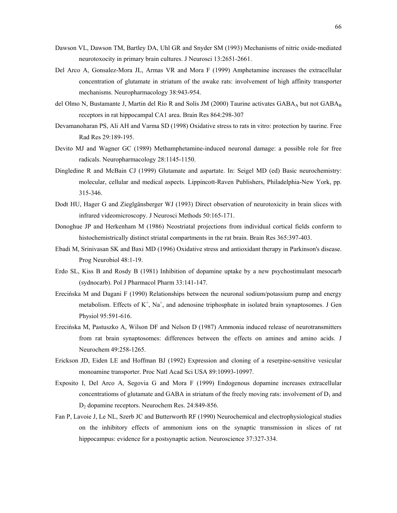- Dawson VL, Dawson TM, Bartley DA, Uhl GR and Snyder SM (1993) Mechanisms of nitric oxide-mediated neurotoxocity in primary brain cultures. J Neurosci 13:2651-2661.
- Del Arco A, Gonsalez-Mora JL, Armas VR and Mora F (1999) Amphetamine increases the extracellular concentration of glutamate in striatum of the awake rats: involvement of high affinity transporter mechanisms. Neuropharmacology 38:943-954.
- del Olmo N, Bustamante J, Martin del Río R and Solís JM (2000) Taurine activates  $GABA_A$  but not  $GABA_B$ receptors in rat hippocampal CA1 area. Brain Res 864:298-307
- Devamanoharan PS, Ali AH and Varma SD (1998) Oxidative stress to rats in vitro: protection by taurine. Free Rad Res 29:189-195.
- Devito MJ and Wagner GC (1989) Methamphetamine-induced neuronal damage: a possible role for free radicals. Neuropharmacology 28:1145-1150.
- Dingledine R and McBain CJ (1999) Glutamate and aspartate. In: Seigel MD (ed) Basic neurochemistry: molecular, cellular and medical aspects. Lippincott-Raven Publishers, Philadelphia-New York, pp. 315-346.
- Dodt HU, Hager G and Zieglgänsberger WJ (1993) Direct observation of neurotoxicity in brain slices with infrared videomicroscopy. J Neurosci Methods 50:165-171.
- Donoghue JP and Herkenham M (1986) Neostriatal projections from individual cortical fields conform to histochemistrically distinct striatal compartments in the rat brain. Brain Res 365:397-403.
- Ebadi M, Srinivasan SK and Baxi MD (1996) Oxidative stress and antioxidant therapy in Parkinson's disease. Prog Neurobiol 48:1-19.
- Erdo SL, Kiss B and Rosdy B (1981) Inhibition of dopamine uptake by a new psychostimulant mesocarb (sydnocarb). Pol J Pharmacol Pharm 33:141-147.
- Erecińska M and Dagani F (1990) Relationships between the neuronal sodium/potassium pump and energy metabolism. Effects of  $K^+$ , Na<sup>+</sup>, and adenosine triphosphate in isolated brain synaptosomes. J Gen Physiol 95:591-616.
- Erecińska M, Pastuszko A, Wilson DF and Nelson D (1987) Ammonia induced release of neurotransmitters from rat brain synaptosomes: differences between the effects on amines and amino acids. J Neurochem 49:258-1265.
- Erickson JD, Eiden LE and Hoffman BJ (1992) Expression and cloning of a reserpine-sensitive vesicular monoamine transporter. Proc Natl Acad Sci USA 89:10993-10997.
- Exposito I, Del Arco A, Segovia G and Mora F (1999) Endogenous dopamine increases extracellular concentratioms of glutamate and GABA in striatum of the freely moving rats: involvement of  $D_1$  and D2 dopamine receptors. Neurochem Res. 24:849-856.
- Fan P, Lavoie J, Le NL, Szerb JC and Butterworth RF (1990) Neurochemical and electrophysiological studies on the inhibitory effects of ammonium ions on the synaptic transmission in slices of rat hippocampus: evidence for a postsynaptic action. Neuroscience 37:327-334.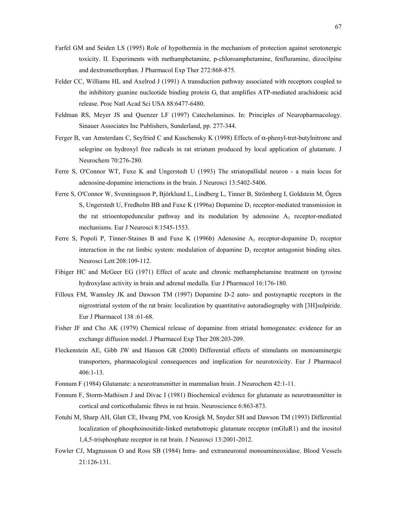- Farfel GM and Seiden LS (1995) Role of hypothermia in the mechanism of protection against serotonergic toxicity. II. Experiments with methamphetamine, p-chloroamphetamine, fenfluramine, dizocilpine and dextromethorphan. J Pharmacol Exp Ther 272:868-875.
- Felder CC, Williams HL and Axelrod J (1991) A transduction pathway associated with receptors coupled to the inhibitory guanine nucleotide binding protein  $G_i$  that amplifies ATP-mediated arachidonic acid release. Proc Natl Acad Sci USA 88:6477-6480.
- Feldman RS, Meyer JS and Quenzer LF (1997) Catecholamines. In: Principles of Neuropharmacology. Sinauer Associates Inc Publishers, Sunderland, pp. 277-344.
- Ferger B, van Amsterdam C, Seyfried C and Kuschensky K (1998) Effects of α-phenyl-tret-butylnitrone and selegrine on hydroxyl free radicals in rat striatum produced by local application of glutamate. J Neurochem 70:276-280.
- Ferre S, O'Connor WT, Fuxe K and Ungerstedt U (1993) The striatopallidal neuron a main locus for adenosine-dopamine interactions in the brain. J Neurosci 13:5402-5406.
- Ferre S, O'Connor W, Svenningsson P, Björklund L, Lindberg L, Tinner B, Strömberg I, Goldstein M, Ögren S, Ungerstedt U, Fredholm BB and Fuxe K (1996a) Dopamine  $D_1$  receptor-mediated transmission in the rat strioentopeduncular pathway and its modulation by adenosine  $A_1$  receptor-mediated mechanisms. Eur J Neurosci 8:1545-1553.
- Ferre S, Popoli P, Tinner-Staines B and Fuxe K (1996b) Adenosine  $A_1$  receptor-dopamine  $D_1$  receptor interaction in the rat limbic system: modulation of dopamine  $D_1$  receptor antagonist binding sites. Neurosci Lett 208:109-112.
- Fibiger HC and McGeer EG (1971) Effect of acute and chronic methamphetamine treatment on tyrosine hydroxylase activity in brain and adrenal medulla. Eur J Pharmacol 16:176-180.
- Filloux FM, Wamsley JK and Dawson TM (1997) Dopamine D-2 auto- and postsynaptic receptors in the nigrostriatal system of the rat brain: localization by quantitative autoradiography with [3H]sulpiride. Eur J Pharmacol 138 :61-68.
- Fisher JF and Cho AK (1979) Chemical release of dopamine from striatal homogenates: evidence for an exchange diffusion model. J Pharmacol Exp Ther 208:203-209.
- Fleckenstein AE, Gibb JW and Hanson GR (2000) Differential effects of stimulants on monoaminergic transporters, pharmacological consequences and implication for neurotoxicity. Eur J Pharmacol 406:1-13.
- Fonnum F (1984) Glutamate: a neurotransmitter in mammalian brain. J Neurochem 42:1-11.
- Fonnum F, Storm-Mathisen J and Divac I (1981) Biochemical evidence for glutamate as neurotransmitter in cortical and corticothalamic fibres in rat brain. Neuroscience 6:863-873.
- Fotuhi M, Sharp AH, Glatt CE, Hwang PM, von Krosigk M, Snyder SH and Dawson TM (1993) Differential localization of phosphoinositide-linked metabotropic glutamate receptor (mGluR1) and the inositol 1,4,5-trisphosphate receptor in rat brain. J Neurosci 13:2001-2012.
- Fowler CJ, Magnusson O and Ross SB (1984) Intra- and extraneuronal monoamineoxidase. Blood Vessels 21:126-131.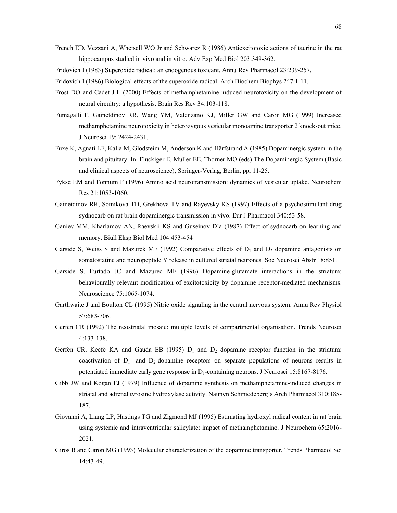- French ED, Vezzani A, Whetsell WO Jr and Schwarcz R (1986) Antiexcitotoxic actions of taurine in the rat hippocampus studied in vivo and in vitro. Adv Exp Med Biol 203:349-362.
- Fridovich I (1983) Superoxide radical: an endogenous toxicant. Annu Rev Pharmacol 23:239-257.
- Fridovich I (1986) Biological effects of the superoxide radical. Arch Biochem Biophys 247:1-11.
- Frost DO and Cadet J-L (2000) Effects of methamphetamine-induced neurotoxicity on the development of neural circuitry: a hypothesis. Brain Res Rev 34:103-118.
- Fumagalli F, Gainetdinov RR, Wang YM, Valenzano KJ, Miller GW and Caron MG (1999) Increased methamphetamine neurotoxicity in heterozygous vesicular monoamine transporter 2 knock-out mice. J Neurosci 19: 2424-2431.
- Fuxe K, Agnati LF, Kalia M, Glodsteim M, Anderson K and Härfstrand A (1985) Dopaminergic system in the brain and pituitary. In: Fluckiger E, Muller EE, Thorner MO (eds) The Dopaminergic System (Basic and clinical aspects of neuroscience), Springer-Verlag, Berlin, pp. 11-25.
- Fykse EM and Fonnum F (1996) Amino acid neurotransmission: dynamics of vesicular uptake. Neurochem Res 21:1053-1060.
- Gainetdinov RR, Sotnikova TD, Grekhova TV and Rayevsky KS (1997) Effects of a psychostimulant drug sydnocarb on rat brain dopaminergic transmission in vivo. Eur J Pharmacol 340:53-58.
- Ganiev MM, Kharlamov AN, Raevskii KS and Guseinov DIa (1987) Effect of sydnocarb on learning and memory. Biull Eksp Biol Med 104:453-454
- Garside S, Weiss S and Mazurek MF (1992) Comparative effects of  $D_1$  and  $D_2$  dopamine antagonists on somatostatine and neuropeptide Y release in cultured striatal neurones. Soc Neurosci Abstr 18:851.
- Garside S, Furtado JC and Mazurec MF (1996) Dopamine-glutamate interactions in the striatum: behaviourally relevant modification of excitotoxicity by dopamine receptor-mediated mechanisms. Neuroscience 75:1065-1074.
- Garthwaite J and Boulton CL (1995) Nitric oxide signaling in the central nervous system. Annu Rev Physiol 57:683-706.
- Gerfen CR (1992) The neostriatal mosaic: multiple levels of compartmental organisation. Trends Neurosci 4:133-138.
- Gerfen CR, Keefe KA and Gauda EB (1995)  $D_1$  and  $D_2$  dopamine receptor function in the striatum: coactivation of  $D_1$ - and  $D_2$ -dopamine receptors on separate populations of neurons results in potentiated immediate early gene response in  $D_1$ -containing neurons. J Neurosci 15:8167-8176.
- Gibb JW and Kogan FJ (1979) Influence of dopamine synthesis on methamphetamine-induced changes in striatal and adrenal tyrosine hydroxylase activity. Naunyn Schmiedeberg's Arch Pharmacol 310:185-187.
- Giovanni A, Liang LP, Hastings TG and Zigmond MJ (1995) Estimating hydroxyl radical content in rat brain using systemic and intraventricular salicylate: impact of methamphetamine. J Neurochem 65:2016- 2021.
- Giros B and Caron MG (1993) Molecular characterization of the dopamine transporter. Trends Pharmacol Sci 14:43-49.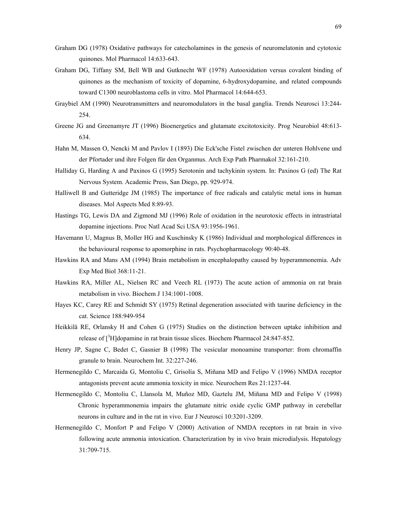- Graham DG (1978) Oxidative pathways for catecholamines in the genesis of neuromelatonin and cytotoxic quinones. Mol Pharmacol 14:633-643.
- Graham DG, Tiffany SM, Bell WB and Gutknecht WF (1978) Autooxidation versus covalent binding of quinones as the mechanism of toxicity of dopamine, 6-hydroxydopamine, and related compounds toward C1300 neuroblastoma cells in vitro. Mol Pharmacol 14:644-653.
- Graybiel AM (1990) Neurotransmitters and neuromodulators in the basal ganglia. Trends Neurosci 13:244- 254.
- Greene JG and Greenamyre JT (1996) Bioenergetics and glutamate excitotoxicity. Prog Neurobiol 48:613- 634.
- Hahn M, Massen O, Nencki M and Pavlov I (1893) Die Eck'sche Fistel zwischen der unteren Hohlvene und der Pfortader und ihre Folgen für den Organmus. Arch Exp Path Pharmakol 32:161-210.
- Halliday G, Harding A and Paxinos G (1995) Serotonin and tachykinin system. In: Paxinos G (ed) The Rat Nervous System. Academic Press, San Diego, pp. 929-974.
- Halliwell B and Gutteridge JM (1985) The importance of free radicals and catalytic metal ions in human diseases. Mol Aspects Med 8:89-93.
- Hastings TG, Lewis DA and Zigmond MJ (1996) Role of oxidation in the neurotoxic effects in intrastriatal dopamine injections. Proc Natl Acad Sci USA 93:1956-1961.
- Havemann U, Magnus B, Moller HG and Kuschinsky K (1986) Individual and morphological differences in the behavioural response to apomorphine in rats. Psychopharmacology 90:40-48.
- Hawkins RA and Mans AM (1994) Brain metabolism in encephalopathy caused by hyperammonemia. Adv Exp Med Biol 368:11-21.
- Hawkins RA, Miller AL, Nielsen RC and Veech RL (1973) The acute action of ammonia on rat brain metabolism in vivo. Biochem J 134:1001-1008.
- Hayes KC, Carey RE and Schmidt SY (1975) Retinal degeneration associated with taurine deficiency in the cat. Science 188:949-954
- Heikkilä RE, Orlansky H and Cohen G (1975) Studies on the distinction between uptake inhibition and release of [<sup>3</sup>H]dopamine in rat brain tissue slices. Biochem Pharmacol 24:847-852.
- Henry JP, Sagne C, Bedet C, Gasnier B (1998) The vesicular monoamine transporter: from chromaffin granule to brain. Neurochem Int. 32:227-246.
- Hermenegildo C, Marcaida G, Montoliu C, Grisolía S, Miñana MD and Felipo V (1996) NMDA receptor antagonists prevent acute ammonia toxicity in mice. Neurochem Res 21:1237-44.
- Hermenegildo C, Montoliu C, Llansola M, Muñoz MD, Gaztelu JM, Miñana MD and Felipo V (1998) Chronic hyperammonemia impairs the glutamate nitric oxide cyclic GMP pathway in cerebellar neurons in culture and in the rat in vivo. Eur J Neurosci 10:3201-3209.
- Hermenegildo C, Monfort P and Felipo V (2000) Activation of NMDA receptors in rat brain in vivo following acute ammonia intoxication. Characterization by in vivo brain microdialysis. Hepatology 31:709-715.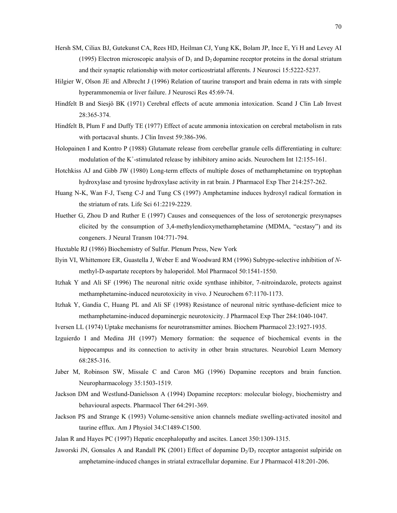- Hersh SM, Ciliax BJ, Gutekunst CA, Rees HD, Heilman CJ, Yung KK, Bolam JP, Ince E, Yi H and Levey AI (1995) Electron microscopic analysis of  $D_1$  and  $D_2$  dopamine receptor proteins in the dorsal striatum and their synaptic relationship with motor corticostriatal afferents. J Neurosci 15:5222-5237.
- Hilgier W, Olson JE and Albrecht J (1996) Relation of taurine transport and brain edema in rats with simple hyperammonemia or liver failure. J Neurosci Res 45:69-74.
- Hindfelt B and Siesjö BK (1971) Cerebral effects of acute ammonia intoxication. Scand J Clin Lab Invest 28:365-374.
- Hindfelt B, Plum F and Duffy TE (1977) Effect of acute ammonia intoxication on cerebral metabolism in rats with portacaval shunts. J Clin Invest 59:386-396.
- Holopainen I and Kontro P (1988) Glutamate release from cerebellar granule cells differentiating in culture: modulation of the  $K^+$ -stimulated release by inhibitory amino acids. Neurochem Int 12:155-161.
- Hotchkiss AJ and Gibb JW (1980) Long-term effects of multiple doses of methamphetamine on tryptophan hydroxylase and tyrosine hydroxylase activity in rat brain. J Pharmacol Exp Ther 214:257-262.
- Huang N-K, Wan F-J, Tseng C-J and Tung CS (1997) Amphetamine induces hydroxyl radical formation in the striatum of rats. Life Sci 61:2219-2229.
- Huether G, Zhou D and Ruther E (1997) Causes and consequences of the loss of serotonergic presynapses elicited by the consumption of  $3,4$ -methylendioxymethamphetamine (MDMA, "ecstasy") and its congeners. J Neural Transm 104:771-794.
- Huxtable RJ (1986) Biochemistry of Sulfur. Plenum Press, New York
- Ilyin VI, Whittemore ER, Guastella J, Weber E and Woodward RM (1996) Subtype-selective inhibition of *N*methyl-D-aspartate receptors by haloperidol. Mol Pharmacol 50:1541-1550.
- Itzhak Y and Ali SF (1996) The neuronal nitric oxide synthase inhibitor, 7-nitroindazole, protects against methamphetamine-induced neurotoxicity in vivo. J Neurochem 67:1170-1173.
- Itzhak Y, Gandia C, Huang PL and Ali SF (1998) Resistance of neuronal nitric synthase-deficient mice to methamphetamine-induced dopaminergic neurotoxicity. J Pharmacol Exp Ther 284:1040-1047.
- Iversen LL (1974) Uptake mechanisms for neurotransmitter amines. Biochem Pharmacol 23:1927-1935.
- Izguierdo I and Medina JH (1997) Memory formation: the sequence of biochemical events in the hippocampus and its connection to activity in other brain structures. Neurobiol Learn Memory 68:285-316.
- Jaber M, Robinson SW, Missale C and Caron MG (1996) Dopamine receptors and brain function. Neuropharmacology 35:1503-1519.
- Jackson DM and Westlund-Danielsson A (1994) Dopamine receptors: molecular biology, biochemistry and behavioural aspects. Pharmacol Ther 64:291-369.
- Jackson PS and Strange K (1993) Volume-sensitive anion channels mediate swelling-activated inositol and taurine efflux. Am J Physiol 34:C1489-C1500.
- Jalan R and Hayes PC (1997) Hepatic encephalopathy and ascites. Lancet 350:1309-1315.
- Jaworski JN, Gonsales A and Randall PK (2001) Effect of dopamine  $D_2/D_3$  receptor antagonist sulpiride on amphetamine-induced changes in striatal extracellular dopamine. Eur J Pharmacol 418:201-206.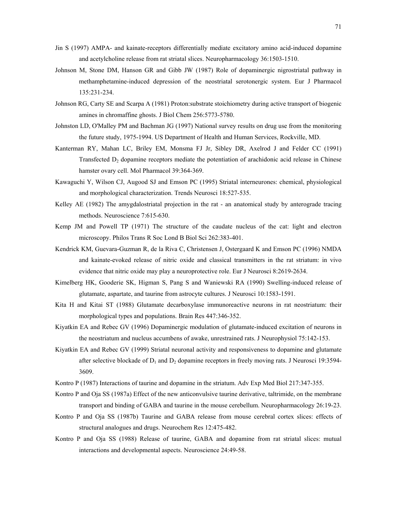- Jin S (1997) AMPA- and kainate-receptors differentially mediate excitatory amino acid-induced dopamine and acetylcholine release from rat striatal slices. Neuropharmacology 36:1503-1510.
- Johnson M, Stone DM, Hanson GR and Gibb JW (1987) Role of dopaminergic nigrostriatal pathway in methamphetamine-induced depression of the neostriatal serotonergic system. Eur J Pharmacol 135:231-234.
- Johnson RG, Carty SE and Scarpa A (1981) Proton:substrate stoichiometry during active transport of biogenic amines in chromaffine ghosts. J Biol Chem 256:5773-5780.
- Johnston LD, O'Malley PM and Bachman JG (1997) National survey results on drug use from the monitoring the future study, 1975-1994. US Department of Health and Human Services, Rockville, MD.
- Kanterman RY, Mahan LC, Briley EM, Monsma FJ Jr, Sibley DR, Axelrod J and Felder CC (1991) Transfected  $D_2$  dopamine receptors mediate the potentiation of arachidonic acid release in Chinese hamster ovary cell. Mol Pharmacol 39:364-369.
- Kawaguchi Y, Wilson CJ, Augood SJ and Emson PC (1995) Striatal interneurones: chemical, physiological and morphological characterization. Trends Neurosci 18:527-535.
- Kelley AE (1982) The amygdalostriatal projection in the rat an anatomical study by anterograde tracing methods. Neuroscience 7:615-630.
- Kemp JM and Powell TP (1971) The structure of the caudate nucleus of the cat: light and electron microscopy. Philos Trans R Soc Lond B Biol Sci 262:383-401.
- Kendrick KM, Guevara-Guzman R, de la Riva C, Christensen J, Ostergaard K and Emson PC (1996) NMDA and kainate-evoked release of nitric oxide and classical transmitters in the rat striatum: in vivo evidence that nitric oxide may play a neuroprotective role. Eur J Neurosci 8:2619-2634.
- Kimelberg HK, Gooderie SK, Higman S, Pang S and Waniewski RA (1990) Swelling-induced release of glutamate, aspartate, and taurine from astrocyte cultures. J Neurosci 10:1583-1591.
- Kita H and Kitai ST (1988) Glutamate decarboxylase immunoreactive neurons in rat neostriatum: their morphological types and populations. Brain Res 447:346-352.
- Kiyatkin EA and Rebec GV (1996) Dopaminergic modulation of glutamate-induced excitation of neurons in the neostriatum and nucleus accumbens of awake, unrestrained rats. J Neurophysiol 75:142-153.
- Kiyatkin EA and Rebec GV (1999) Striatal neuronal activity and responsiveness to dopamine and glutamate after selective blockade of  $D_1$  and  $D_2$  dopamine receptors in freely moving rats. J Neurosci 19:3594-3609.
- Kontro P (1987) Interactions of taurine and dopamine in the striatum. Adv Exp Med Biol 217:347-355.
- Kontro P and Oja SS (1987a) Effect of the new anticonvulsive taurine derivative, taltrimide, on the membrane transport and binding of GABA and taurine in the mouse cerebellum. Neuropharmacology 26:19-23.
- Kontro P and Oja SS (1987b) Taurine and GABA release from mouse cerebral cortex slices: effects of structural analogues and drugs. Neurochem Res 12:475-482.
- Kontro P and Oja SS (1988) Release of taurine, GABA and dopamine from rat striatal slices: mutual interactions and developmental aspects. Neuroscience 24:49-58.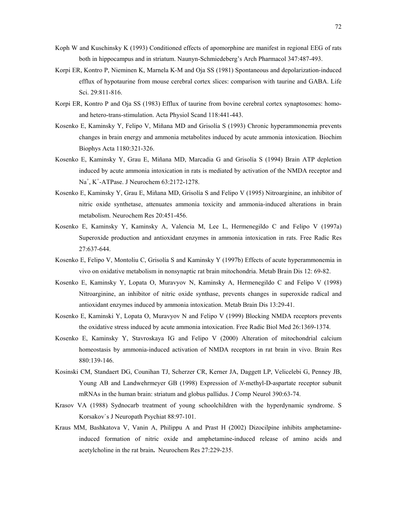- Koph W and Kuschinsky K (1993) Conditioned effects of apomorphine are manifest in regional EEG of rats both in hippocampus and in striatum. Naunyn-Schmiedeberg's Arch Pharmacol 347:487-493.
- Korpi ER, Kontro P, Nieminen K, Marnela K-M and Oja SS (1981) Spontaneous and depolarization-induced efflux of hypotaurine from mouse cerebral cortex slices: comparison with taurine and GABA. Life Sci. 29:811-816.
- Korpi ER, Kontro P and Oja SS (1983) Efflux of taurine from bovine cerebral cortex synaptosomes: homoand hetero-trans-stimulation. Acta Physiol Scand 118:441-443.
- Kosenko E, Kaminsky Y, Felipo V, Miñana MD and Grisolía S (1993) Chronic hyperammonemia prevents changes in brain energy and ammonia metabolites induced by acute ammonia intoxication. Biochim Biophys Acta 1180:321-326.
- Kosenko E, Kaminsky Y, Grau E, Miñana MD, Marcadia G and Grisolía S (1994) Brain ATP depletion induced by acute ammonia intoxication in rats is mediated by activation of the NMDA receptor and Na+ , K<sup>+</sup> -ATPase. J Neurochem 63:2172-1278.
- Kosenko E, Kaminsky Y, Grau E, Miñana MD, Grisolía S and Felipo V (1995) Nitroarginine, an inhibitor of nitric oxide synthetase, attenuates ammonia toxicity and ammonia-induced alterations in brain metabolism. Neurochem Res 20:451-456.
- Kosenko E, Kaminsky Y, Kaminsky A, Valencia M, Lee L, Hermenegildo C and Felipo V (1997a) Superoxide production and antioxidant enzymes in ammonia intoxication in rats. Free Radic Res 27:637-644.
- Kosenko E, Felipo V, Montoliu C, Grisolía S and Kaminsky Y (1997b) Effects of acute hyperammonemia in vivo on oxidative metabolism in nonsynaptic rat brain mitochondria. Metab Brain Dis 12: 69-82.
- Kosenko E, Kaminsky Y, Lopata O, Muravyov N, Kaminsky A, Hermenegildo C and Felipo V (1998) Nitroarginine, an inhibitor of nitric oxide synthase, prevents changes in superoxide radical and antioxidant enzymes induced by ammonia intoxication. Metab Brain Dis 13:29-41.
- Kosenko E, Kaminski Y, Lopata O, Muravyov N and Felipo V (1999) Blocking NMDA receptors prevents the oxidative stress induced by acute ammonia intoxication. Free Radic Biol Med 26:1369-1374.
- Kosenko E, Kaminsky Y, Stavroskaya IG and Felipo V (2000) Alteration of mitochondrial calcium homeostasis by ammonia-induced activation of NMDA receptors in rat brain in vivo. Brain Res 880:139-146.
- Kosinski CM, Standaert DG, Counihan TJ, Scherzer CR, Kerner JA, Daggett LP, Velicelebi G, Penney JB, Young AB and Landwehrmeyer GB (1998) Expression of *N*-methyl-D-aspartate receptor subunit mRNAs in the human brain: striatum and globus pallidus. J Comp Neurol 390:63-74.
- Krasov VA (1988) Sydnocarb treatment of young schoolchildren with the hyperdynamic syndrome. S Korsakov`s J Neuropath Psychiat 88:97-101.
- Kraus MM, Bashkatova V, Vanin A, Philippu A and Prast H (2002) Dizocilpine inhibits amphetamineinduced formation of nitric oxide and amphetamine-induced release of amino acids and acetylcholine in the rat brain**.** Neurochem Res 27:229-235.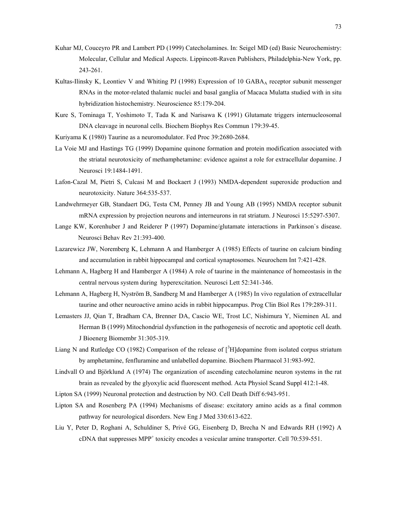- Kuhar MJ, Couceyro PR and Lambert PD (1999) Catecholamines. In: Seigel MD (ed) Basic Neurochemistry: Molecular, Cellular and Medical Aspects. Lippincott-Raven Publishers, Philadelphia-New York, pp. 243-261.
- Kultas-Ilinsky K, Leontiev V and Whiting PJ (1998) Expression of 10 GABA<sub>A</sub> receptor subunit messenger RNAs in the motor-related thalamic nuclei and basal ganglia of Macaca Mulatta studied with in situ hybridization histochemistry. Neuroscience 85:179-204.
- Kure S, Tominaga T, Yoshimoto T, Tada K and Narisawa K (1991) Glutamate triggers internucleosomal DNA cleavage in neuronal cells. Biochem Biophys Res Commun 179:39-45.
- Kuriyama K (1980) Taurine as a neuromodulator. Fed Proc 39:2680-2684.
- La Voie MJ and Hastings TG (1999) Dopamine quinone formation and protein modification associated with the striatal neurotoxicity of methamphetamine: evidence against a role for extracellular dopamine. J Neurosci 19:1484-1491.
- Lafon-Cazal M, Pietri S, Culcasi M and Bockaert J (1993) NMDA-dependent superoxide production and neurotoxicity. Nature 364:535-537.
- Landwehrmeyer GB, Standaert DG, Testa CM, Penney JB and Young AB (1995) NMDA receptor subunit mRNA expression by projection neurons and interneurons in rat striatum. J Neurosci 15:5297-5307.
- Lange KW, Korenhuber J and Reiderer P (1997) Dopamine/glutamate interactions in Parkinson`s disease. Neurosci Behav Rev 21:393-400.
- Lazarewicz JW, Noremberg K, Lehmann A and Hamberger A (1985) Effects of taurine on calcium binding and accumulation in rabbit hippocampal and cortical synaptosomes. Neurochem Int 7:421-428.
- Lehmann A, Hagberg H and Hamberger A (1984) A role of taurine in the maintenance of homeostasis in the central nervous system during hyperexcitation. Neurosci Lett 52:341-346.
- Lehmann A, Hagberg H, Nyström B, Sandberg M and Hamberger A (1985) In vivo regulation of extracellular taurine and other neuroactive amino acids in rabbit hippocampus. Prog Clin Biol Res 179:289-311.
- Lemasters JJ, Qian T, Bradham CA, Brenner DA, Cascio WE, Trost LC, Nishimura Y, Nieminen AL and Herman B (1999) Mitochondrial dysfunction in the pathogenesis of necrotic and apoptotic cell death. J Bioenerg Biomembr 31:305-319.
- Liang N and Rutledge CO (1982) Comparison of the release of [<sup>3</sup>H]dopamine from isolated corpus striatum by amphetamine, fenfluramine and unlabelled dopamine. Biochem Pharmacol 31:983-992.
- Lindvall O and Björklund A (1974) The organization of ascending catecholamine neuron systems in the rat brain as revealed by the glyoxylic acid fluorescent method. Acta Physiol Scand Suppl 412:1-48.
- Lipton SA (1999) Neuronal protection and destruction by NO. Cell Death Diff 6:943-951.
- Lipton SA and Rosenberg PA (1994) Mechanisms of disease: excitatory amino acids as a final common pathway for neurological disorders. New Eng J Med 330:613-622.
- Liu Y, Peter D, Roghani A, Schuldiner S, PrivÈ GG, Eisenberg D, Brecha N and Edwards RH (1992) A cDNA that suppresses MPP<sup>+</sup> toxicity encodes a vesicular amine transporter. Cell 70:539-551.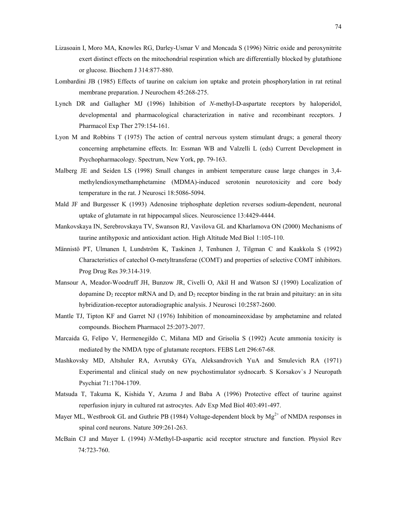- Lizasoain I, Moro MA, Knowles RG, Darley-Usmar V and Moncada S (1996) Nitric oxide and peroxynitrite exert distinct effects on the mitochondrial respiration which are differentially blocked by glutathione or glucose. Biochem J 314:877-880.
- Lombardini JB (1985) Effects of taurine on calcium ion uptake and protein phosphorylation in rat retinal membrane preparation. J Neurochem 45:268-275.
- Lynch DR and Gallagher MJ (1996) Inhibition of *N*-methyl-D-aspartate receptors by haloperidol, developmental and pharmacological characterization in native and recombinant receptors. J Pharmacol Exp Ther 279:154-161.
- Lyon M and Robbins T (1975) The action of central nervous system stimulant drugs; a general theory concerning amphetamine effects. In: Essman WB and Valzelli L (eds) Current Development in Psychopharmacology. Spectrum, New York, pp. 79-163.
- Malberg JE and Seiden LS (1998) Small changes in ambient temperature cause large changes in 3,4 methylendioxymethamphetamine (MDMA)-induced serotonin neurotoxicity and core body temperature in the rat. J Neurosci 18:5086-5094.
- Mald JF and Burgesser K (1993) Adenosine triphosphate depletion reverses sodium-dependent, neuronal uptake of glutamate in rat hippocampal slices. Neuroscience 13:4429-4444.
- Mankovskaya IN, Serebrovskaya TV, Swanson RJ, Vavilova GL and Kharlamova ON (2000) Mechanisms of taurine antihypoxic and antioxidant action. High Altitude Med Biol 1:105-110.
- Männistö PT, Ulmanen I, Lundström K, Taskinen J, Tenhunen J, Tilgman C and Kaakkola S (1992) Characteristics of catechol O-metyltransferae (COMT) and properties of selective COMT inhibitors. Prog Drug Res 39:314-319.
- Mansour A, Meador-Woodruff JH, Bunzow JR, Civelli O, Akil H and Watson SJ (1990) Localization of dopamine  $D_2$  receptor mRNA and  $D_1$  and  $D_2$  receptor binding in the rat brain and pituitary: an in situ hybridization-receptor autoradiographic analysis. J Neurosci 10:2587-2600.
- Mantle TJ, Tipton KF and Garret NJ (1976) Inhibition of monoamineoxidase by amphetamine and related compounds. Biochem Pharmacol 25:2073-2077.
- Marcaida G, Felipo V, Hermenegildo C, Miñana MD and Grisolía S (1992) Acute ammonia toxicity is mediated by the NMDA type of glutamate receptors. FEBS Lett 296:67-68.
- Mashkovsky MD, Altshuler RA, Avrutsky GYa, Aleksandrovich YuA and Smulevich RA (1971) Experimental and clinical study on new psychostimulator sydnocarb. S Korsakov`s J Neuropath Psychiat 71:1704-1709.
- Matsuda T, Takuma K, Kishida Y, Azuma J and Baba A (1996) Protective effect of taurine against reperfusion injury in cultured rat astrocytes. Adv Exp Med Biol 403:491-497.
- Mayer ML, Westbrook GL and Guthrie PB (1984) Voltage-dependent block by  $Mg^{2+}$  of NMDA responses in spinal cord neurons. Nature 309:261-263.
- McBain CJ and Mayer L (1994) *N*-Methyl-D-aspartic acid receptor structure and function. Physiol Rev 74:723-760.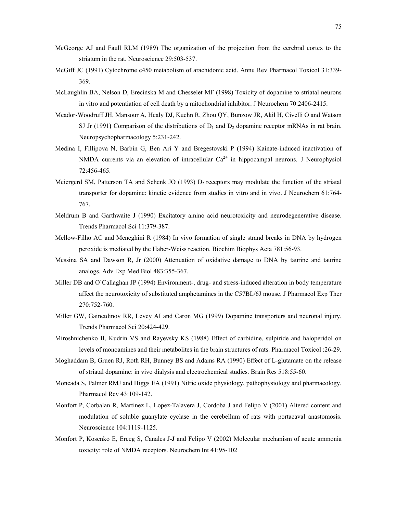- McGeorge AJ and Faull RLM (1989) The organization of the projection from the cerebral cortex to the striatum in the rat. Neuroscience 29:503-537.
- McGiff JC (1991) Cytochrome c450 metabolism of arachidonic acid. Annu Rev Pharmacol Toxicol 31:339- 369.
- McLaughlin BA, Nelson D, Erecińska M and Chesselet MF (1998) Toxicity of dopamine to striatal neurons in vitro and potentiation of cell death by a mitochondrial inhibitor. J Neurochem 70:2406-2415.
- Meador-Woodruff JH, Mansour A, Healy DJ, Kuehn R, Zhou QY, Bunzow JR, Akil H, Civelli O and Watson SJ Jr (1991) Comparison of the distributions of  $D_1$  and  $D_2$  dopamine receptor mRNAs in rat brain. Neuropsychopharmacology 5:231-242.
- Medina I, Fillipova N, Barbin G, Ben Ari Y and Bregestovski P (1994) Kainate-induced inactivation of NMDA currents via an elevation of intracellular  $Ca^{2+}$  in hippocampal neurons. J Neurophysiol 72:456-465.
- Meiergerd SM, Patterson TA and Schenk JO (1993)  $D_2$  receptors may modulate the function of the striatal transporter for dopamine: kinetic evidence from studies in vitro and in vivo. J Neurochem 61:764- 767.
- Meldrum B and Garthwaite J (1990) Excitatory amino acid neurotoxicity and neurodegenerative disease. Trends Pharmacol Sci 11:379-387.
- Mellow-Filho AC and Meneghini R (1984) In vivo formation of single strand breaks in DNA by hydrogen peroxide is mediated by the Haber-Weiss reaction. Biochim Biophys Acta 781:56-93.
- Messina SA and Dawson R, Jr (2000) Attenuation of oxidative damage to DNA by taurine and taurine analogs. Adv Exp Med Biol 483:355-367.
- Miller DB and O`Callaghan JP (1994) Environment-, drug- and stress-induced alteration in body temperature affect the neurotoxicity of substituted amphetamines in the C57BL/6J mouse. J Pharmacol Exp Ther 270:752-760.
- Miller GW, Gainetdinov RR, Levey AI and Caron MG (1999) Dopamine transporters and neuronal injury. Trends Pharmacol Sci 20:424-429.
- Miroshnichenko II, Kudrin VS and Rayevsky KS (1988) Effect of carbidine, sulpiride and haloperidol on levels of monoamines and their metabolites in the brain structures of rats. Pharmacol Toxicol :26-29.
- Moghaddam B, Gruen RJ, Roth RH, Bunney BS and Adams RA (1990) Effect of L-glutamate on the release of striatal dopamine: in vivo dialysis and electrochemical studies. Brain Res 518:55-60.
- Moncada S, Palmer RMJ and Higgs EA (1991) Nitric oxide physiology, pathophysiology and pharmacology. Pharmacol Rev 43:109-142.
- Monfort P, Corbalan R, Martinez L, Lopez-Talavera J, Cordoba J and Felipo V (2001) Altered content and modulation of soluble guanylate cyclase in the cerebellum of rats with portacaval anastomosis. Neuroscience 104:1119-1125.
- Monfort P, Kosenko E, Erceg S, Canales J-J and Felipo V (2002) Molecular mechanism of acute ammonia toxicity: role of NMDA receptors. Neurochem Int 41:95-102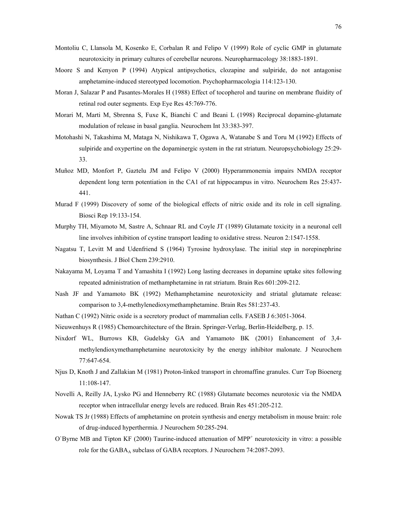- Montoliu C, Llansola M, Kosenko E, Corbalan R and Felipo V (1999) Role of cyclic GMP in glutamate neurotoxicity in primary cultures of cerebellar neurons. Neuropharmacology 38:1883-1891.
- Moore S and Kenyon P (1994) Atypical antipsychotics, clozapine and sulpiride, do not antagonise amphetamine-induced stereotyped locomotion. Psychopharmacologia 114:123-130.
- Moran J, Salazar P and Pasantes-Morales H (1988) Effect of tocopherol and taurine on membrane fluidity of retinal rod outer segments. Exp Eye Res 45:769-776.
- Morari M, Marti M, Sbrenna S, Fuxe K, Bianchi C and Beani L (1998) Reciprocal dopamine-glutamate modulation of release in basal ganglia. Neurochem Int 33:383-397.
- Motohashi N, Takashima M, Mataga N, Nishikawa T, Ogawa A, Watanabe S and Toru M (1992) Effects of sulpiride and oxypertine on the dopaminergic system in the rat striatum. Neuropsychobiology 25:29- 33.
- Muñoz MD, Monfort P, Gaztelu JM and Felipo V (2000) Hyperammonemia impairs NMDA receptor dependent long term potentiation in the CA1 of rat hippocampus in vitro. Neurochem Res 25:437- 441.
- Murad F (1999) Discovery of some of the biological effects of nitric oxide and its role in cell signaling. Biosci Rep 19:133-154.
- Murphy TH, Miyamoto M, Sastre A, Schnaar RL and Coyle JT (1989) Glutamate toxicity in a neuronal cell line involves inhibition of cystine transport leading to oxidative stress. Neuron 2:1547-1558.
- Nagatsu T, Levitt M and Udenfriend S (1964) Tyrosine hydroxylase. The initial step in norepinephrine biosynthesis. J Biol Chem 239:2910.
- Nakayama M, Loyama T and Yamashita I (1992) Long lasting decreases in dopamine uptake sites following repeated administration of methamphetamine in rat striatum. Brain Res 601:209-212.
- Nash JF and Yamamoto BK (1992) Methamphetamine neurotoxicity and striatal glutamate release: comparison to 3,4-methylenedioxymethamphetamine. Brain Res 581:237-43.
- Nathan C (1992) Nitric oxide is a secretory product of mammalian cells. FASEB J 6:3051-3064.
- Nieuwenhuys R (1985) Chemoarchitecture of the Brain. Springer-Verlag, Berlin-Heidelberg, p. 15.
- Nixdorf WL, Burrows KB, Gudelsky GA and Yamamoto BK (2001) Enhancement of 3,4 methylendioxymethamphetamine neurotoxicity by the energy inhibitor malonate. J Neurochem 77:647-654.
- Njus D, Knoth J and Zallakian M (1981) Proton-linked transport in chromaffine granules. Curr Top Bioenerg 11:108-147.
- Novelli A, Reilly JA, Lysko PG and Henneberry RC (1988) Glutamate becomes neurotoxic via the NMDA receptor when intracellular energy levels are reduced. Brain Res 451:205-212.
- Nowak TS Jr (1988) Effects of amphetamine on protein synthesis and energy metabolism in mouse brain: role of drug-induced hyperthermia. J Neurochem 50:285-294.
- O'Byrne MB and Tipton KF (2000) Taurine-induced attenuation of MPP<sup>+</sup> neurotoxicity in vitro: a possible role for the GABA<sub>A</sub> subclass of GABA receptors. J Neurochem 74:2087-2093.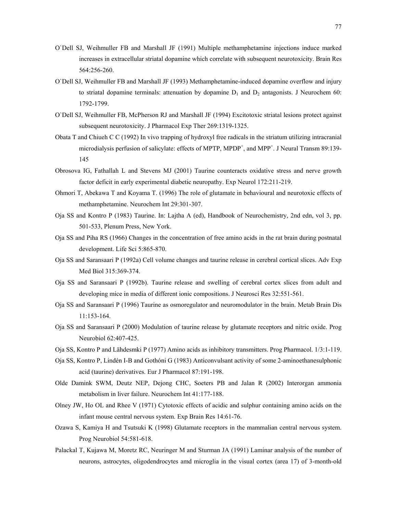- O`Dell SJ, Weihmuller FB and Marshall JF (1991) Multiple methamphetamine injections induce marked increases in extracellular striatal dopamine which correlate with subsequent neurotoxicity. Brain Res 564:256-260.
- O`Dell SJ, Weihmuller FB and Marshall JF (1993) Methamphetamine-induced dopamine overflow and injury to striatal dopamine terminals: attenuation by dopamine  $D_1$  and  $D_2$  antagonists. J Neurochem 60: 1792-1799.
- O`Dell SJ, Weihmuller FB, McPherson RJ and Marshall JF (1994) Excitotoxic striatal lesions protect against subsequent neurotoxicity. J Pharmacol Exp Ther 269:1319-1325.
- Obata T and Chiueh C C (1992) In vivo trapping of hydroxyl free radicals in the striatum utilizing intracranial microdialysis perfusion of salicylate: effects of MPTP, MPDP<sup>+</sup>, and MPP<sup>+</sup>. J Neural Transm 89:139-145
- Obrosova IG, Fathallah L and Stevens MJ (2001) Taurine counteracts oxidative stress and nerve growth factor deficit in early experimental diabetic neuropathy. Exp Neurol 172:211-219.
- Ohmori T, Abekawa T and Koyama T. (1996) The role of glutamate in behavioural and neurotoxic effects of methamphetamine. Neurochem Int 29:301-307.
- Oja SS and Kontro P (1983) Taurine. In: Lajtha A (ed), Handbook of Neurochemistry, 2nd edn, vol 3, pp. 501-533, Plenum Press, New York.
- Oja SS and Piha RS (1966) Changes in the concentration of free amino acids in the rat brain during postnatal development. Life Sci 5:865-870.
- Oja SS and Saransaari P (1992a) Cell volume changes and taurine release in cerebral cortical slices. Adv Exp Med Biol 315:369-374.
- Oja SS and Saransaari P (1992b). Taurine release and swelling of cerebral cortex slices from adult and developing mice in media of different ionic compositions. J Neurosci Res 32:551-561.
- Oja SS and Saransaari P (1996) Taurine as osmoregulator and neuromodulator in the brain. Metab Brain Dis 11:153-164.
- Oja SS and Saransaari P (2000) Modulation of taurine release by glutamate receptors and nitric oxide. Prog Neurobiol 62:407-425.
- Oja SS, Kontro P and L‰hdesmki P (1977) Amino acids as inhibitory transmitters. Prog Pharmacol. 1/3:1-119.
- Oja SS, Kontro P, Lindén I-B and Gothóni G (1983) Anticonvulsant activity of some 2-aminoethanesulphonic acid (taurine) derivatives. Eur J Pharmacol 87:191-198.
- Olde Damink SWM, Deutz NEP, Dejong CHC, Soeters PB and Jalan R (2002) Interorgan ammonia metabolism in liver failure. Neurochem Int 41:177-188.
- Olney JW, Ho OL and Rhee V (1971) Cytotoxic effects of acidic and sulphur containing amino acids on the infant mouse central nervous system. Exp Brain Res 14:61-76.
- Ozawa S, Kamiya H and Tsutsuki K (1998) Glutamate receptors in the mammalian central nervous system. Prog Neurobiol 54:581-618.
- Palackal T, Kujawa M, Moretz RC, Neuringer M and Sturman JA (1991) Laminar analysis of the number of neurons, astrocytes, oligodendrocytes amd microglia in the visual cortex (area 17) of 3-month-old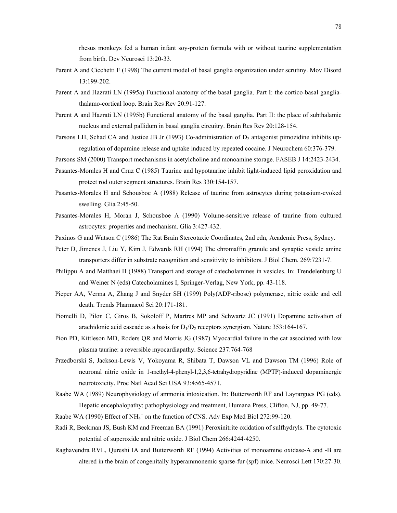rhesus monkeys fed a human infant soy-protein formula with or without taurine supplementation from birth. Dev Neurosci 13:20-33.

- Parent A and Cicchetti F (1998) The current model of basal ganglia organization under scrutiny. Mov Disord 13:199-202.
- Parent A and Hazrati LN (1995a) Functional anatomy of the basal ganglia. Part I: the cortico-basal gangliathalamo-cortical loop. Brain Res Rev 20:91-127.
- Parent A and Hazrati LN (1995b) Functional anatomy of the basal ganglia. Part II: the place of subthalamic nucleus and external pallidum in basal ganglia circuitry. Brain Res Rev 20:128-154.
- Parsons LH, Schad CA and Justice JB Jr (1993) Co-administration of  $D_2$  antagonist pimozidine inhibits upregulation of dopamine release and uptake induced by repeated cocaine. J Neurochem 60:376-379.

Parsons SM (2000) Transport mechanisms in acetylcholine and monoamine storage. FASEB J 14:2423-2434.

- Pasantes-Morales H and Cruz C (1985) Taurine and hypotaurine inhibit light-induced lipid peroxidation and protect rod outer segment structures. Brain Res 330:154-157.
- Pasantes-Morales H and Schousboe A (1988) Release of taurine from astrocytes during potassium-evoked swelling. Glia 2:45-50.
- Pasantes-Morales H, Moran J, Schousboe A (1990) Volume-sensitive release of taurine from cultured astrocytes: properties and mechanism. Glia 3:427-432.
- Paxinos G and Watson C (1986) The Rat Brain Stereotaxic Coordinates, 2nd edn, Academic Press, Sydney.
- Peter D, Jimenes J, Liu Y, Kim J, Edwards RH (1994) The chromaffin granule and synaptic vesicle amine transporters differ in substrate recognition and sensitivity to inhibitors. J Biol Chem. 269:7231-7.
- Philippu A and Matthaei H (1988) Transport and storage of catecholamines in vesicles. In: Trendelenburg U and Weiner N (eds) Catecholamines I, Springer-Verlag, New York, pp. 43-118.
- Pieper AA, Verma A, Zhang J and Snyder SH (1999) Poly(ADP-ribose) polymerase, nitric oxide and cell death. Trends Pharmacol Sci 20:171-181.
- Piomelli D, Pilon C, Giros B, Sokoloff P, Martres MP and Schwartz JC (1991) Dopamine activation of arachidonic acid cascade as a basis for  $D_1/D_2$  receptors synergism. Nature 353:164-167.
- Pion PD, Kittleson MD, Roders QR and Morris JG (1987) Myocardial failure in the cat associated with low plasma taurine: a reversible myocardiapathy. Science 237:764-768
- Przedborski S, Jackson-Lewis V, Yokoyama R, Shibata T, Dawson VL and Dawson TM (1996) Role of neuronal nitric oxide in 1-methyl-4-phenyl-1,2,3,6-tetrahydropyridine (MPTP)-induced dopaminergic neurotoxicity. Proc Natl Acad Sci USA 93:4565-4571.
- Raabe WA (1989) Neurophysiology of ammonia intoxication. In: Butterworth RF and Layrargues PG (eds). Hepatic encephalopathy: pathophysiology and treatment, Humana Press, Clifton, NJ, pp. 49-77.
- Raabe WA (1990) Effect of NH<sub>4</sub><sup>+</sup> on the function of CNS. Adv Exp Med Biol 272:99-120.
- Radi R, Beckman JS, Bush KM and Freeman BA (1991) Peroxinitrite oxidation of sulfhydryls. The cytotoxic potential of superoxide and nitric oxide. J Biol Chem 266:4244-4250.
- Raghavendra RVL, Qureshi IA and Butterworth RF (1994) Activities of monoamine oxidase-A and -B are altered in the brain of congenitally hyperammonemic sparse-fur (spf) mice. Neurosci Lett 170:27-30.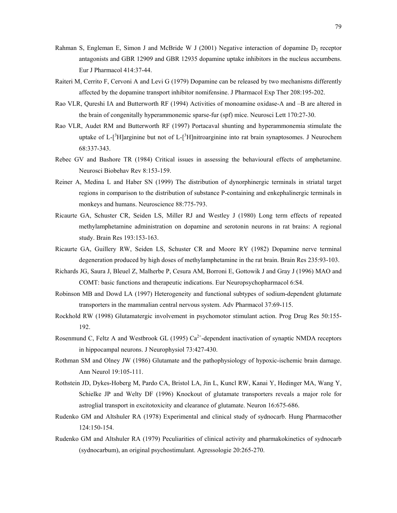- Rahman S, Engleman E, Simon J and McBride W J (2001) Negative interaction of dopamine  $D_2$  receptor antagonists and GBR 12909 and GBR 12935 dopamine uptake inhibitors in the nucleus accumbens. Eur J Pharmacol 414:37-44.
- Raiteri M, Cerrito F, Cervoni A and Levi G (1979) Dopamine can be released by two mechanisms differently affected by the dopamine transport inhibitor nomifensine. J Pharmacol Exp Ther 208:195-202.
- Rao VLR, Qureshi IA and Butterworth RF (1994) Activities of monoamine oxidase-A and -B are altered in the brain of congenitally hyperammonemic sparse-fur (spf) mice. Neurosci Lett 170:27-30.
- Rao VLR, Audet RM and Butterworth RF (1997) Portacaval shunting and hyperammonemia stimulate the uptake of L- $[^3H]$ arginine but not of L- $[^3H]$ nitroarginine into rat brain synaptosomes. J Neurochem 68:337-343.
- Rebec GV and Bashore TR (1984) Critical issues in assessing the behavioural effects of amphetamine. Neurosci Biobehav Rev 8:153-159.
- Reiner A, Medina L and Haber SN (1999) The distribution of dynorphinergic terminals in striatal target regions in comparison to the distribution of substance P-containing and enkephalinergic terminals in monkeys and humans. Neuroscience 88:775-793.
- Ricaurte GA, Schuster CR, Seiden LS, Miller RJ and Westley J (1980) Long term effects of repeated methylamphetamine administration on dopamine and serotonin neurons in rat brains: A regional study. Brain Res 193:153-163.
- Ricaurte GA, Guillery RW, Seiden LS, Schuster CR and Moore RY (1982) Dopamine nerve terminal degeneration produced by high doses of methylamphetamine in the rat brain. Brain Res 235:93-103.
- Richards JG, Saura J, Bleuel Z, Malherbe P, Cesura AM, Borroni E, Gottowik J and Gray J (1996) MAO and COMT: basic functions and therapeutic indications. Eur Neuropsychopharmacol 6:S4.
- Robinson MB and Dowd LA (1997) Heterogeneity and functional subtypes of sodium-dependent glutamate transporters in the mammalian central nervous system. Adv Pharmacol 37:69-115.
- Rockhold RW (1998) Glutamatergic involvement in psychomotor stimulant action. Prog Drug Res 50:155- 192.
- Rosenmund C, Feltz A and Westbrook GL (1995)  $Ca^{2+}$ -dependent inactivation of synaptic NMDA receptors in hippocampal neurons. J Neurophysiol 73:427-430.
- Rothman SM and Olney JW (1986) Glutamate and the pathophysiology of hypoxic-ischemic brain damage. Ann Neurol 19:105-111.
- Rothstein JD, Dykes-Hoberg M, Pardo CA, Bristol LA, Jin L, Kuncl RW, Kanai Y, Hedinger MA, Wang Y, Schielke JP and Welty DF (1996) Knockout of glutamate transporters reveals a major role for astroglial transport in excitotoxicity and clearance of glutamate. Neuron 16:675-686.
- Rudenko GM and Altshuler RA (1978) Experimental and clinical study of sydnocarb. Hung Pharmacother 124:150-154.
- Rudenko GM and Altshuler RA (1979) Peculiarities of clinical activity and pharmakokinetics of sydnocarb (sydnocarbum), an original psychostimulant. Agressologie 20:265-270.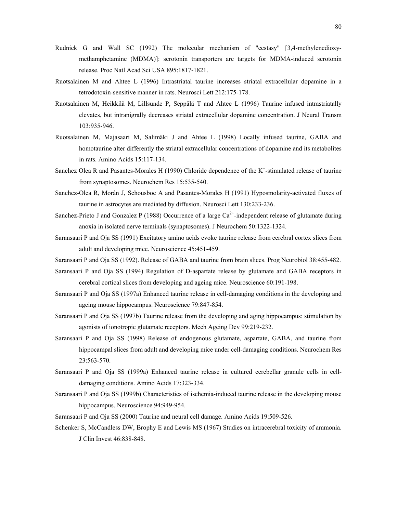- Rudnick G and Wall SC (1992) The molecular mechanism of "ecstasy" [3,4-methylenedioxymethamphetamine (MDMA)]: serotonin transporters are targets for MDMA-induced serotonin release. Proc Natl Acad Sci USA 895:1817-1821.
- Ruotsalainen M and Ahtee L (1996) Intrastriatal taurine increases striatal extracellular dopamine in a tetrodotoxin-sensitive manner in rats. Neurosci Lett 212:175-178.
- Ruotsalainen M, Heikkilä M, Lillsunde P, Seppälä T and Ahtee L (1996) Taurine infused intrastriatally elevates, but intranigrally decreases striatal extracellular dopamine concentration. J Neural Transm 103:935-946.
- Ruotsalainen M, Majasaari M, Salimäki J and Ahtee L (1998) Locally infused taurine, GABA and homotaurine alter differently the striatal extracellular concentrations of dopamine and its metabolites in rats. Amino Acids 15:117-134.
- Sanchez Olea R and Pasantes-Morales H (1990) Chloride dependence of the  $K^+$ -stimulated release of taurine from synaptosomes. Neurochem Res 15:535-540.
- Sanchez-Olea R, Morán J, Schousboe A and Pasantes-Morales H (1991) Hyposmolarity-activated fluxes of taurine in astrocytes are mediated by diffusion. Neurosci Lett 130:233-236.
- Sanchez-Prieto J and Gonzalez P (1988) Occurrence of a large  $Ca^{2+}$ -independent release of glutamate during anoxia in isolated nerve terminals (synaptosomes). J Neurochem 50:1322-1324.
- Saransaari P and Oja SS (1991) Excitatory amino acids evoke taurine release from cerebral cortex slices from adult and developing mice. Neuroscience 45:451-459.
- Saransaari P and Oja SS (1992). Release of GABA and taurine from brain slices. Prog Neurobiol 38:455-482.
- Saransaari P and Oja SS (1994) Regulation of D-aspartate release by glutamate and GABA receptors in cerebral cortical slices from developing and ageing mice. Neuroscience 60:191-198.
- Saransaari P and Oja SS (1997a) Enhanced taurine release in cell-damaging conditions in the developing and ageing mouse hippocampus. Neuroscience 79:847-854.
- Saransaari P and Oja SS (1997b) Taurine release from the developing and aging hippocampus: stimulation by agonists of ionotropic glutamate receptors. Mech Ageing Dev 99:219-232.
- Saransaari P and Oja SS (1998) Release of endogenous glutamate, aspartate, GABA, and taurine from hippocampal slices from adult and developing mice under cell-damaging conditions. Neurochem Res 23:563-570.
- Saransaari P and Oja SS (1999a) Enhanced taurine release in cultured cerebellar granule cells in celldamaging conditions. Amino Acids 17:323-334.
- Saransaari P and Oja SS (1999b) Characteristics of ischemia-induced taurine release in the developing mouse hippocampus. Neuroscience 94:949-954.
- Saransaari P and Oja SS (2000) Taurine and neural cell damage. Amino Acids 19:509-526.
- Schenker S, McCandless DW, Brophy E and Lewis MS (1967) Studies on intracerebral toxicity of ammonia. J Clin Invest 46:838-848.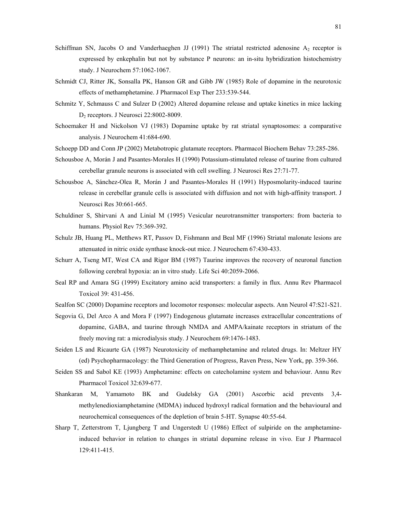- Schiffman SN, Jacobs O and Vanderhaeghen JJ (1991) The striatal restricted adenosine  $A_2$  receptor is expressed by enkephalin but not by substance P neurons: an in-situ hybridization histochemistry study. J Neurochem 57:1062-1067.
- Schmidt CJ, Ritter JK, Sonsalla PK, Hanson GR and Gibb JW (1985) Role of dopamine in the neurotoxic effects of methamphetamine. J Pharmacol Exp Ther 233:539-544.
- Schmitz Y, Schmauss C and Sulzer D (2002) Altered dopamine release and uptake kinetics in mice lacking D2 receptors. J Neurosci 22:8002-8009.
- Schoemaker H and Nickolson VJ (1983) Dopamine uptake by rat striatal synaptosomes: a comparative analysis. J Neurochem 41:684-690.
- Schoepp DD and Conn JP (2002) Metabotropic glutamate receptors. Pharmacol Biochem Behav 73:285-286.
- Schousboe A, Morán J and Pasantes-Morales H (1990) Potassium-stimulated release of taurine from cultured cerebellar granule neurons is associated with cell swelling. J Neurosci Res 27:71-77.
- Schousboe A, Sánchez-Olea R, Morán J and Pasantes-Morales H (1991) Hyposmolarity-induced taurine release in cerebellar granule cells is associated with diffusion and not with high-affinity transport. J Neurosci Res 30:661-665.
- Schuldiner S, Shirvani A and Linial M (1995) Vesicular neurotransmitter transporters: from bacteria to humans. Physiol Rev 75:369-392.
- Schulz JB, Huang PL, Metthews RT, Passov D, Fishmann and Beal MF (1996) Striatal malonate lesions are attenuated in nitric oxide synthase knock-out mice. J Neurochem 67:430-433.
- Schurr A, Tseng MT, West CA and Rigor BM (1987) Taurine improves the recovery of neuronal function following cerebral hypoxia: an in vitro study. Life Sci 40:2059-2066.
- Seal RP and Amara SG (1999) Excitatory amino acid transporters: a family in flux. Annu Rev Pharmacol Toxicol 39: 431-456.
- Sealfon SC (2000) Dopamine receptors and locomotor responses: molecular aspects. Ann Neurol 47:S21-S21.
- Segovia G, Del Arco A and Mora F (1997) Endogenous glutamate increases extracellular concentrations of dopamine, GABA, and taurine through NMDA and AMPA/kainate receptors in striatum of the freely moving rat: a microdialysis study. J Neurochem 69:1476-1483.
- Seiden LS and Ricaurte GA (1987) Neurotoxicity of methamphetamine and related drugs. In: Meltzer HY (ed) Psychopharmacology: the Third Generation of Progress, Raven Press, New York, pp. 359-366.
- Seiden SS and Sabol KE (1993) Amphetamine: effects on catecholamine system and behaviour. Annu Rev Pharmacol Toxicol 32:639-677.
- Shankaran M, Yamamoto BK and Gudelsky GA (2001) Ascorbic acid prevents 3,4 methylenedioxiamphetamine (MDMA) induced hydroxyl radical formation and the behavioural and neurochemical consequences of the depletion of brain 5-HT. Synapse 40:55-64.
- Sharp T, Zetterstrom T, Ljungberg T and Ungerstedt U (1986) Effect of sulpiride on the amphetamineinduced behavior in relation to changes in striatal dopamine release in vivo. Eur J Pharmacol 129:411-415.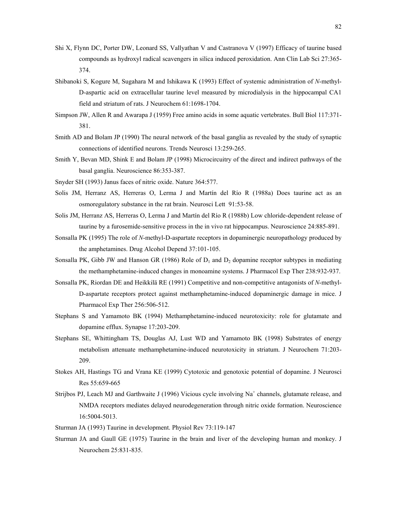- Shi X, Flynn DC, Porter DW, Leonard SS, Vallyathan V and Castranova V (1997) Efficacy of taurine based compounds as hydroxyl radical scavengers in silica induced peroxidation. Ann Clin Lab Sci 27:365- 374.
- Shibanoki S, Kogure M, Sugahara M and Ishikawa K (1993) Effect of systemic administration of *N*-methyl-D-aspartic acid on extracellular taurine level measured by microdialysis in the hippocampal CA1 field and striatum of rats. J Neurochem 61:1698-1704.
- Simpson JW, Allen R and Awarapa J (1959) Free amino acids in some aquatic vertebrates. Bull Biol 117:371- 381.
- Smith AD and Bolam JP (1990) The neural network of the basal ganglia as revealed by the study of synaptic connections of identified neurons. Trends Neurosci 13:259-265.
- Smith Y, Bevan MD, Shink E and Bolam JP (1998) Microcircuitry of the direct and indirect pathways of the basal ganglia. Neuroscience 86:353-387.
- Snyder SH (1993) Janus faces of nitric oxide. Nature 364:577.
- Solis JM, Herranz AS, Herreras O, Lerma J and Martín del Río R (1988a) Does taurine act as an osmoregulatory substance in the rat brain. Neurosci Lett 91:53-58.
- Solis JM, Herranz AS, Herreras O, Lerma J and Martín del Río R (1988b) Low chloride-dependent release of taurine by a furosemide-sensitive process in the in vivo rat hippocampus. Neuroscience 24:885-891.
- Sonsalla PK (1995) The role of *N*-methyl-D-aspartate receptors in dopaminergic neuropathology produced by the amphetamines. Drug Alcohol Depend 37:101-105.
- Sonsalla PK, Gibb JW and Hanson GR (1986) Role of  $D_1$  and  $D_2$  dopamine receptor subtypes in mediating the methamphetamine-induced changes in monoamine systems. J Pharmacol Exp Ther 238:932-937.
- Sonsalla PK, Riordan DE and Heikkilä RE (1991) Competitive and non-competitive antagonists of *N*-methyl-D-aspartate receptors protect against methamphetamine-induced dopaminergic damage in mice. J Pharmacol Exp Ther 256:506-512.
- Stephans S and Yamamoto BK (1994) Methamphetamine-induced neurotoxicity: role for glutamate and dopamine efflux. Synapse 17:203-209.
- Stephans SE, Whittingham TS, Douglas AJ, Lust WD and Yamamoto BK (1998) Substrates of energy metabolism attenuate methamphetamine-induced neurotoxicity in striatum. J Neurochem 71:203- 209.
- Stokes AH, Hastings TG and Vrana KE (1999) Cytotoxic and genotoxic potential of dopamine. J Neurosci Res 55:659-665
- Strijbos PJ, Leach MJ and Garthwaite J (1996) Vicious cycle involving Na<sup>+</sup> channels, glutamate release, and NMDA receptors mediates delayed neurodegeneration through nitric oxide formation. Neuroscience 16:5004-5013.
- Sturman JA (1993) Taurine in development. Physiol Rev 73:119-147
- Sturman JA and Gaull GE (1975) Taurine in the brain and liver of the developing human and monkey. J Neurochem 25:831-835.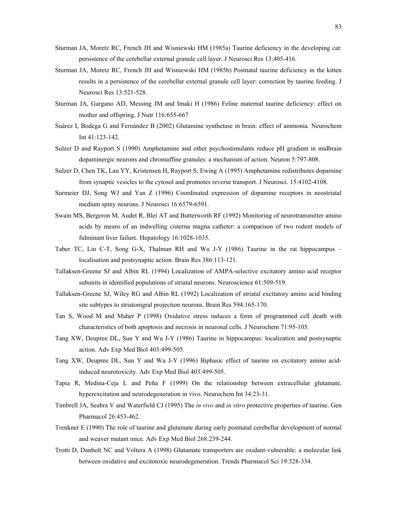- Sturman JA, Moretz RC, French JH and Wisniewski HM (1985a) Taurine deficiency in the developing cat: persistence of the cerebellar external granule cell layer. J Neurosci Res 13:405-416.
- Sturman JA, Moretz RC, French JH and Wisniewski HM (1985b) Postnatal taurine deficiency in the kitten results in a persistence of the cerebellar external granule cell layer: correction by taurine feeding. J Neurosci Res 13:521-528.
- Sturman JA, Gargano AD, Messing JM and Imaki H (1986) Feline maternal taurine deficiency: effect on mother and offspring. J Nutr 116:655-667
- Suárez I, Bodega G and Fernández B (2002) Glutamine synthetase in brain: effect of ammonia. Neurochem Int 41:123-142.
- Sulzer D and Rayport S (1990) Amphetamine and other psychostimulants reduce pH gradient in midbrain dopaminergic neurons and chromaffine granules: a mechanism of action. Neuron 5:797-808.
- Sulzer D, Chen TK, Lau YY, Kristensen H, Rayport S, Ewing A (1995) Amphetamine redistributes dopamine from synaptic vesicles to the cytosol and promotes reverse transport. J Neurosci. 15:4102-4108.
- Surmeier DJ, Song WJ and Yan Z (1996) Coordinated expression of dopamine receptors in neostriatal medium spiny neurons. J Neurosci 16:6579-6591.
- Swain MS, Bergeron M, Audet R, Blei AT and Butterworth RF (1992) Monitoring of neurotransmitter amino acids by means of an indwelling cisterna magna catheter: a comparison of two rodent models of fulminant liver failure. Hepatology 16:1028-1035.
- Taber TC, Lin C-T, Song G-X, Thalman RH and Wu J-Y (1986) Taurine in the rat hippocampus localisation and postsynaptic action. Brain Res 386:113-121.
- Tallaksen-Greene SJ and Albin RL (1994) Localization of AMPA-selective excitatory amino acid receptor subunits in identified populations of striatal neurons. Neuroscience 61:509-519.
- Tallaksen-Greene SJ, Wiley RG and Albin RL (1992) Localization of striatal excitatory amino acid binding site subtypes to striatonigral projection neurons. Brain Res 594:165-170.
- Tan S, Wood M and Maher P (1998) Oxidative stress induces a form of programmed cell death with characteristics of both apoptosis and necrosis in neuronal cells. J Neurochem 71:95-105.
- Tang XW, Deupree DL, Sun Y and Wu J-Y (1986) Taurine in hippocampus: localization and postsynaptic action. Adv Exp Med Biol 403:499-505.
- Tang XW, Deupree DL, Sun Y and Wu J-Y (1996) Biphasic effect of taurine on excitatory amino acidinduced neurotoxicity. Adv Exp Med Biol 403:499-505.
- Tapia R, Medina-Ceja L and Peña F (1999) On the relationship between extracellular glutamate, hyperexcitation and neurodegeneration in vivo. Neurochem Int 34:23-31.
- Timbrell JA, Seabra V and Waterfield CJ (1995) The *in vivo* and *in vitro* protective properties of taurine. Gen Pharmacol 26:453-462.
- Trenkner E (1990) The role of taurine and glutamate during early postnatal cerebellar development of normal and weaver mutant mice. Adv Exp Med Biol 268:239-244.
- Trotti D, Danbolt NC and Voltera A (1998) Glutamate transporters are oxidant-vulnerable: a molecular link between oxidative and excitotoxic neurodegeneration. Trends Pharmacol Sci 19:328-334.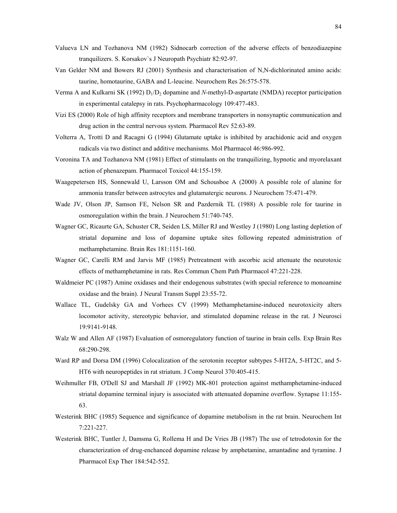- Valueva LN and Tozhanova NM (1982) Sidnocarb correction of the adverse effects of benzodiazepine tranquilizers. S. Korsakov`s J Neuropath Psychiatr 82:92-97.
- Van Gelder NM and Bowers RJ (2001) Synthesis and characterisation of N,N-dichlorinated amino acids: taurine, homotaurine, GABA and L-leucine. Neurochem Res 26:575-578.
- Verma A and Kulkarni SK (1992) D<sub>1</sub>/D<sub>2</sub> dopamine and *N*-methyl-D-aspartate (NMDA) receptor participation in experimental catalepsy in rats. Psychopharmacology 109:477-483.
- Vizi ES (2000) Role of high affinity receptors and membrane transporters in nonsynaptic communication and drug action in the central nervous system. Pharmacol Rev 52:63-89.
- Volterra A, Trotti D and Racagni G (1994) Glutamate uptake is inhibited by arachidonic acid and oxygen radicals via two distinct and additive mechanisms. Mol Pharmacol 46:986-992.
- Voronina TA and Tozhanova NM (1981) Effect of stimulants on the tranquilizing, hypnotic and myorelaxant action of phenazepam. Pharmacol Toxicol 44:155-159.
- Waagepetersen HS, Sonnewald U, Larsson OM and Schousboe A (2000) A possible role of alanine for ammonia transfer between astrocytes and glutamatergic neurons. J Neurochem 75:471-479.
- Wade JV, Olson JP, Samson FE, Nelson SR and Pazdernik TL (1988) A possible role for taurine in osmoregulation within the brain. J Neurochem 51:740-745.
- Wagner GC, Ricaurte GA, Schuster CR, Seiden LS, Miller RJ and Westley J (1980) Long lasting depletion of striatal dopamine and loss of dopamine uptake sites following repeated administration of methamphetamine. Brain Res 181:1151-160.
- Wagner GC, Carelli RM and Jarvis MF (1985) Pretreatment with ascorbic acid attenuate the neurotoxic effects of methamphetamine in rats. Res Commun Chem Path Pharmacol 47:221-228.
- Waldmeier PC (1987) Amine oxidases and their endogenous substrates (with special reference to monoamine oxidase and the brain). J Neural Transm Suppl 23:55-72.
- Wallace TL, Gudelsky GA and Vorhees CV (1999) Methamphetamine-induced neurotoxicity alters locomotor activity, stereotypic behavior, and stimulated dopamine release in the rat. J Neurosci 19:9141-9148.
- Walz W and Allen AF (1987) Evaluation of osmoregulatory function of taurine in brain cells. Exp Brain Res 68:290-298.
- Ward RP and Dorsa DM (1996) Colocalization of the serotonin receptor subtypes 5-HT2A, 5-HT2C, and 5-HT6 with neuropeptides in rat striatum. J Comp Neurol 370:405-415.
- Weihmuller FB, O'Dell SJ and Marshall JF (1992) MK-801 protection against methamphetamine-induced striatal dopamine terminal injury is associated with attenuated dopamine overflow. Synapse 11:155- 63.
- Westerink BHC (1985) Sequence and significance of dopamine metabolism in the rat brain. Neurochem Int 7:221-227.
- Westerink BHC, Tuntler J, Damsma G, Rollema H and De Vries JB (1987) The use of tetrodotoxin for the characterization of drug-enchanced dopamine release by amphetamine, amantadine and tyramine. J Pharmacol Exp Ther 184:542-552.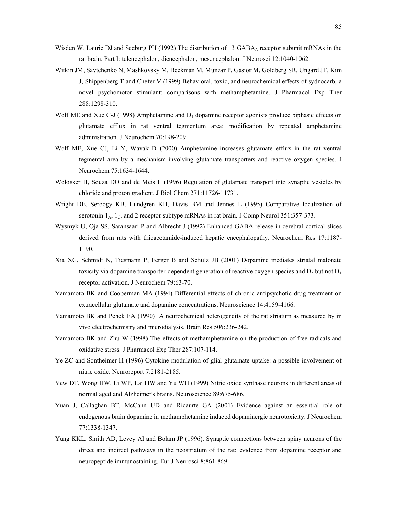- Wisden W, Laurie DJ and Seeburg PH (1992) The distribution of 13 GABA $_A$  receptor subunit mRNAs in the rat brain. Part I: telencephalon, diencephalon, mesencephalon. J Neurosci 12:1040-1062.
- Witkin JM, Savtchenko N, Mashkovsky M, Beekman M, Munzar P, Gasior M, Goldberg SR, Ungard JT, Kim J, Shippenberg T and Chefer V (1999) Behavioral, toxic, and neurochemical effects of sydnocarb, a novel psychomotor stimulant: comparisons with methamphetamine. J Pharmacol Exp Ther 288:1298-310.
- Wolf ME and Xue C-J (1998) Amphetamine and  $D_1$  dopamine receptor agonists produce biphasic effects on glutamate efflux in rat ventral tegmentum area: modification by repeated amphetamine administration. J Neurochem 70:198-209.
- Wolf ME, Xue CJ, Li Y, Wavak D (2000) Amphetamine increases glutamate efflux in the rat ventral tegmental area by a mechanism involving glutamate transporters and reactive oxygen species. J Neurochem 75:1634-1644.
- Wolosker H, Souza DO and de Meis L (1996) Regulation of glutamate transport into synaptic vesicles by chloride and proton gradient. J Biol Chem 271:11726-11731.
- Wright DE, Seroogy KB, Lundgren KH, Davis BM and Jennes L (1995) Comparative localization of serotonin  $1_A$ ,  $1_C$ , and 2 receptor subtype mRNAs in rat brain. J Comp Neurol 351:357-373.
- Wysmyk U, Oja SS, Saransaari P and Albrecht J (1992) Enhanced GABA release in cerebral cortical slices derived from rats with thioacetamide-induced hepatic encephalopathy. Neurochem Res 17:1187- 1190.
- Xia XG, Schmidt N, Tiesmann P, Ferger B and Schulz JB (2001) Dopamine mediates striatal malonate toxicity via dopamine transporter-dependent generation of reactive oxygen species and  $D_2$  but not  $D_1$ receptor activation. J Neurochem 79:63-70.
- Yamamoto BK and Cooperman MA (1994) Differential effects of chronic antipsychotic drug treatment on extracellular glutamate and dopamine concentrations. Neuroscience 14:4159-4166.
- Yamamoto BK and Pehek EA (1990) A neurochemical heterogeneity of the rat striatum as measured by in vivo electrochemistry and microdialysis. Brain Res 506:236-242.
- Yamamoto BK and Zhu W (1998) The effects of methamphetamine on the production of free radicals and oxidative stress. J Pharmacol Exp Ther 287:107-114.
- Ye ZC and Sontheimer H (1996) Cytokine modulation of glial glutamate uptake: a possible involvement of nitric oxide. Neuroreport 7:2181-2185.
- Yew DT, Wong HW, Li WP, Lai HW and Yu WH (1999) Nitric oxide synthase neurons in different areas of normal aged and Alzheimer's brains. Neuroscience 89:675-686.
- Yuan J, Callaghan BT, McCann UD and Ricaurte GA (2001) Evidence against an essential role of endogenous brain dopamine in methamphetamine induced dopaminergic neurotoxicity. J Neurochem 77:1338-1347.
- Yung KKL, Smith AD, Levey AI and Bolam JP (1996). Synaptic connections between spiny neurons of the direct and indirect pathways in the neostriatum of the rat: evidence from dopamine receptor and neuropeptide immunostaining. Eur J Neurosci 8:861-869.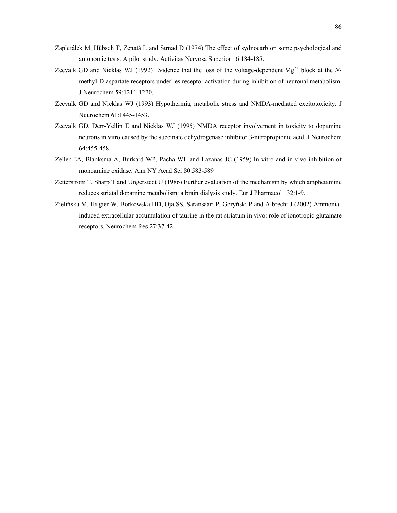- Zapletálek M, Hübsch T, Zenatá L and Strnad D (1974) The effect of sydnocarb on some psychological and autonomic tests. A pilot study. Activitas Nervosa Superior 16:184-185.
- Zeevalk GD and Nicklas WJ (1992) Evidence that the loss of the voltage-dependent Mg<sup>2+</sup> block at the *N*methyl-D-aspartate receptors underlies receptor activation during inhibition of neuronal metabolism. J Neurochem 59:1211-1220.
- Zeevalk GD and Nicklas WJ (1993) Hypothermia, metabolic stress and NMDA-mediated excitotoxicity. J Neurochem 61:1445-1453.
- Zeevalk GD, Derr-Yellin E and Nicklas WJ (1995) NMDA receptor involvement in toxicity to dopamine neurons in vitro caused by the succinate dehydrogenase inhibitor 3-nitropropionic acid. J Neurochem 64:455-458.
- Zeller EA, Blanksma A, Burkard WP, Pacha WL and Lazanas JC (1959) In vitro and in vivo inhibition of monoamine oxidase. Ann NY Acad Sci 80:583-589
- Zetterstrom T, Sharp T and Ungerstedt U (1986) Further evaluation of the mechanism by which amphetamine reduces striatal dopamine metabolism: a brain dialysis study. Eur J Pharmacol 132:1-9.
- Zielińska M, Hilgier W, Borkowska HD, Oja SS, Saransaari P, Goryński P and Albrecht J (2002) Ammoniainduced extracellular accumulation of taurine in the rat striatum in vivo: role of ionotropic glutamate receptors. Neurochem Res 27:37-42.